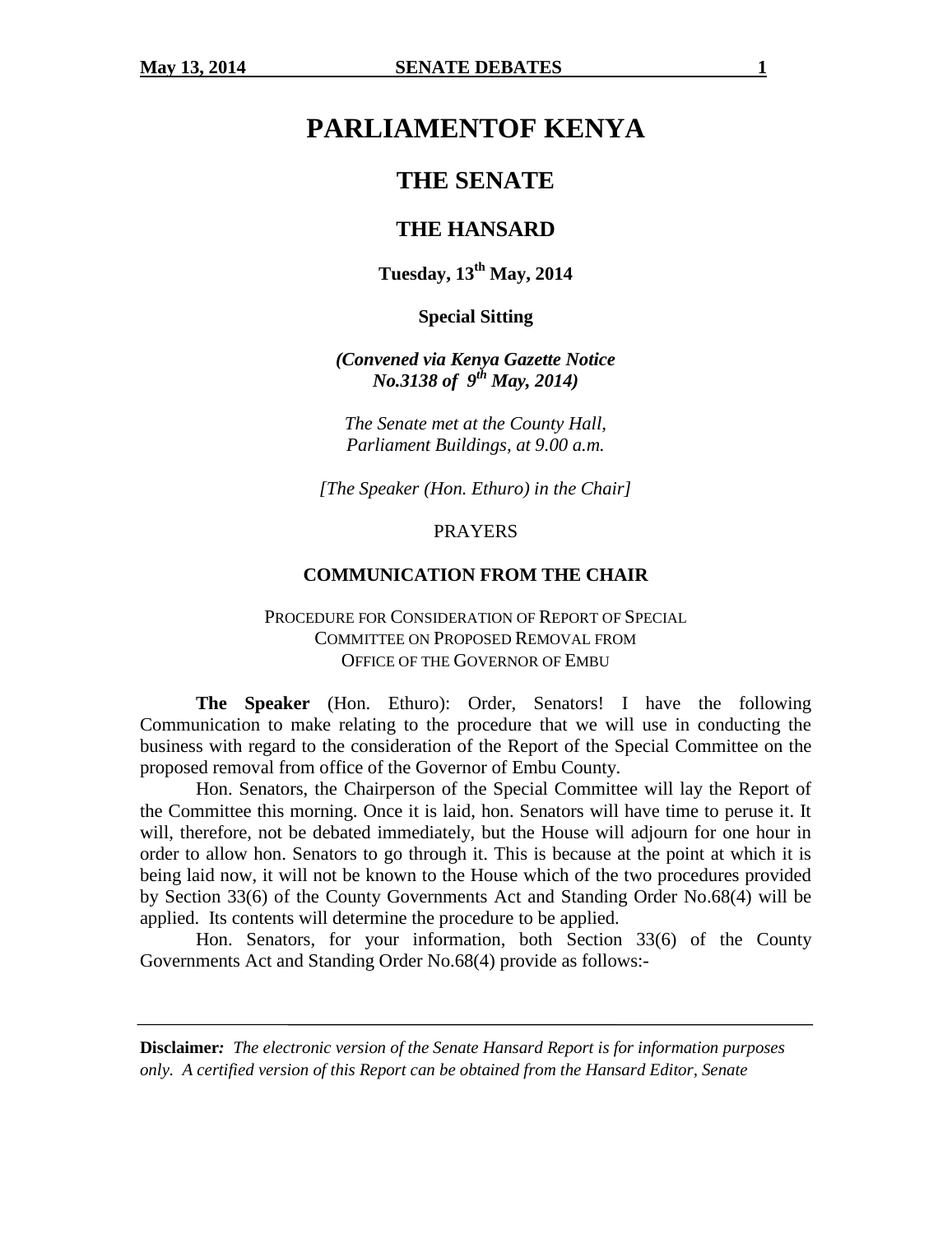# **PARLIAMENTOF KENYA**

# **THE SENATE**

# **THE HANSARD**

**Tuesday, 13th May, 2014**

**Special Sitting**

*(Convened via Kenya Gazette Notice No.3138 of 9 th May, 2014)*

*The Senate met at the County Hall, Parliament Buildings, at 9.00 a.m.*

*[The Speaker (Hon. Ethuro) in the Chair]*

#### **PRAYERS**

#### **COMMUNICATION FROM THE CHAIR**

# PROCEDURE FOR CONSIDERATION OF REPORT OF SPECIAL COMMITTEE ON PROPOSED REMOVAL FROM OFFICE OF THE GOVERNOR OF EMBU

**The Speaker** (Hon. Ethuro): Order, Senators! I have the following Communication to make relating to the procedure that we will use in conducting the business with regard to the consideration of the Report of the Special Committee on the proposed removal from office of the Governor of Embu County.

Hon. Senators, the Chairperson of the Special Committee will lay the Report of the Committee this morning. Once it is laid, hon. Senators will have time to peruse it. It will, therefore, not be debated immediately, but the House will adjourn for one hour in order to allow hon. Senators to go through it. This is because at the point at which it is being laid now, it will not be known to the House which of the two procedures provided by Section 33(6) of the County Governments Act and Standing Order No.68(4) will be applied. Its contents will determine the procedure to be applied.

Hon. Senators, for your information, both Section 33(6) of the County Governments Act and Standing Order No.68(4) provide as follows:-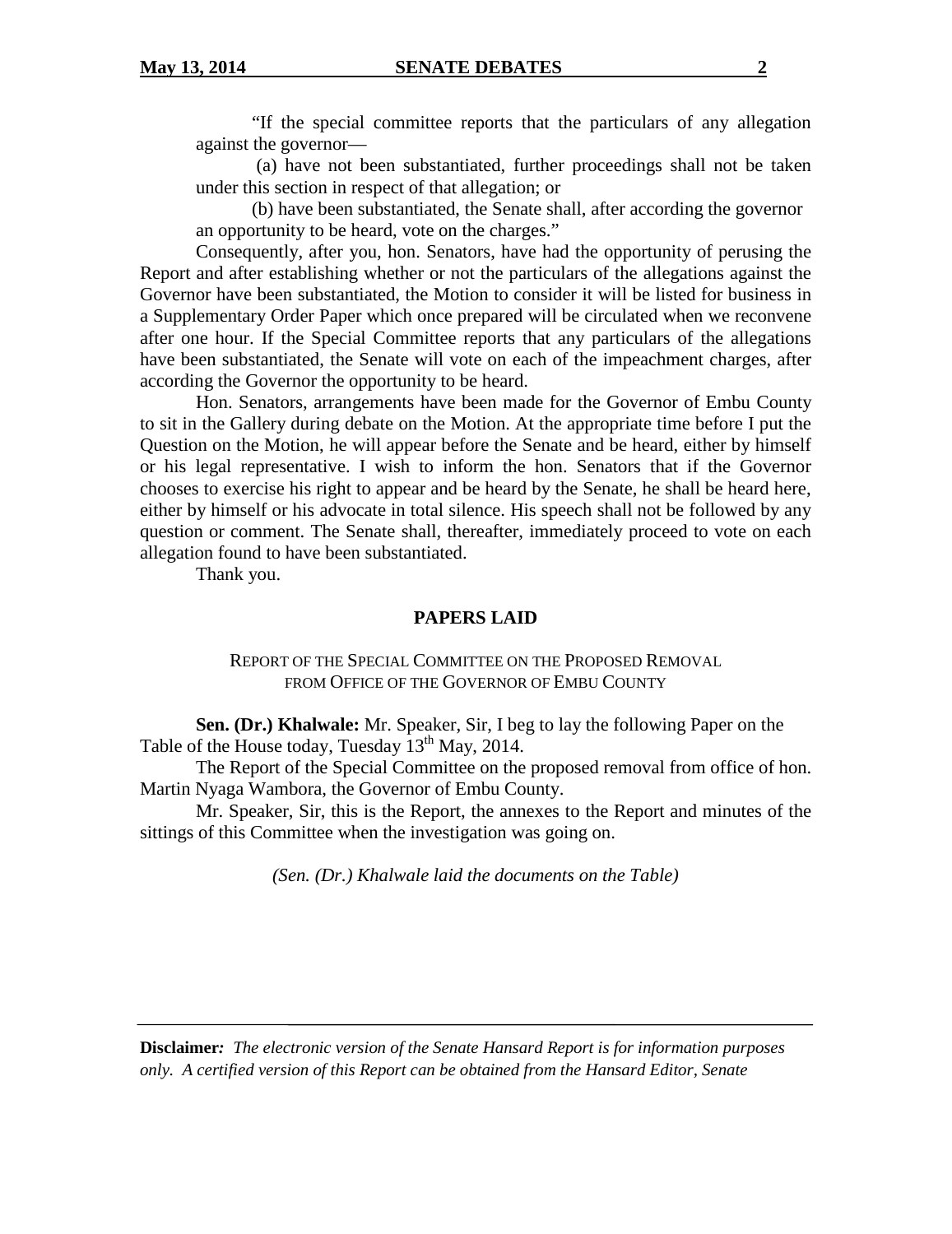"If the special committee reports that the particulars of any allegation against the governor—

(a) have not been substantiated, further proceedings shall not be taken under this section in respect of that allegation; or

(b) have been substantiated, the Senate shall, after according the governor an opportunity to be heard, vote on the charges."

Consequently, after you, hon. Senators, have had the opportunity of perusing the Report and after establishing whether or not the particulars of the allegations against the Governor have been substantiated, the Motion to consider it will be listed for business in a Supplementary Order Paper which once prepared will be circulated when we reconvene after one hour. If the Special Committee reports that any particulars of the allegations have been substantiated, the Senate will vote on each of the impeachment charges, after according the Governor the opportunity to be heard.

Hon. Senators, arrangements have been made for the Governor of Embu County to sit in the Gallery during debate on the Motion. At the appropriate time before I put the Question on the Motion, he will appear before the Senate and be heard, either by himself or his legal representative. I wish to inform the hon. Senators that if the Governor chooses to exercise his right to appear and be heard by the Senate, he shall be heard here, either by himself or his advocate in total silence. His speech shall not be followed by any question or comment. The Senate shall, thereafter, immediately proceed to vote on each allegation found to have been substantiated.

Thank you.

#### **PAPERS LAID**

#### REPORT OF THE SPECIAL COMMITTEE ON THE PROPOSED REMOVAL FROM OFFICE OF THE GOVERNOR OF EMBU COUNTY

**Sen. (Dr.) Khalwale:** Mr. Speaker, Sir, I beg to lay the following Paper on the Table of the House today, Tuesday  $13^{th}$  May, 2014.

The Report of the Special Committee on the proposed removal from office of hon. Martin Nyaga Wambora, the Governor of Embu County.

Mr. Speaker, Sir, this is the Report, the annexes to the Report and minutes of the sittings of this Committee when the investigation was going on.

*(Sen. (Dr.) Khalwale laid the documents on the Table)*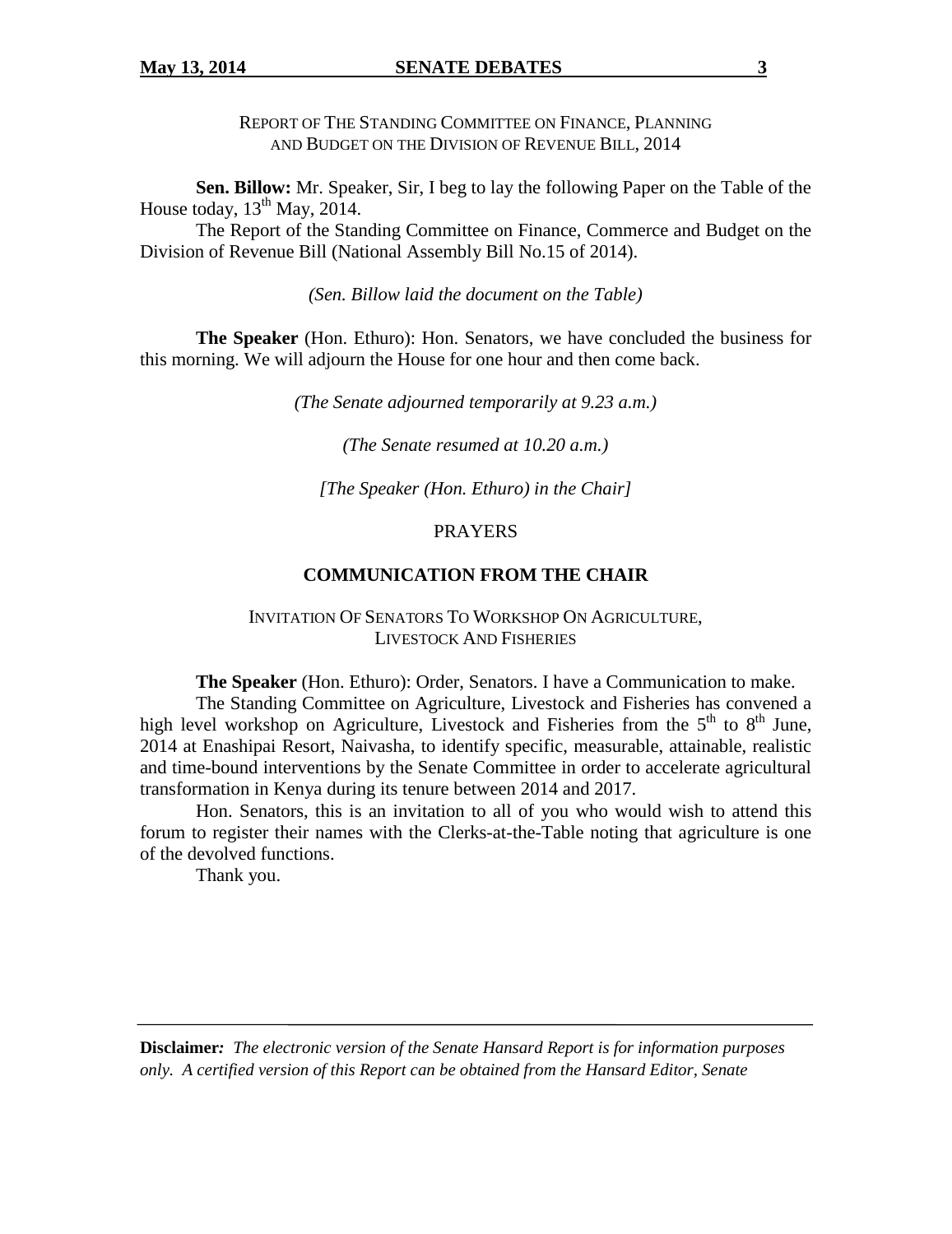REPORT OF THE STANDING COMMITTEE ON FINANCE, PLANNING AND BUDGET ON THE DIVISION OF REVENUE BILL, 2014

**Sen. Billow:** Mr. Speaker, Sir, I beg to lay the following Paper on the Table of the House today,  $13^{\text{th}}$  May, 2014.

The Report of the Standing Committee on Finance, Commerce and Budget on the Division of Revenue Bill (National Assembly Bill No.15 of 2014).

*(Sen. Billow laid the document on the Table)*

**The Speaker** (Hon. Ethuro): Hon. Senators, we have concluded the business for this morning. We will adjourn the House for one hour and then come back.

*(The Senate adjourned temporarily at 9.23 a.m.)*

*(The Senate resumed at 10.20 a.m.)*

*[The Speaker (Hon. Ethuro) in the Chair]*

#### **PRAYERS**

#### **COMMUNICATION FROM THE CHAIR**

INVITATION OF SENATORS TO WORKSHOP ON AGRICULTURE, LIVESTOCK AND FISHERIES

**The Speaker** (Hon. Ethuro): Order, Senators. I have a Communication to make.

The Standing Committee on Agriculture, Livestock and Fisheries has convened a high level workshop on Agriculture, Livestock and Fisheries from the  $5<sup>th</sup>$  to  $8<sup>th</sup>$  June. 2014 at Enashipai Resort, Naivasha, to identify specific, measurable, attainable, realistic and time-bound interventions by the Senate Committee in order to accelerate agricultural transformation in Kenya during its tenure between 2014 and 2017.

Hon. Senators, this is an invitation to all of you who would wish to attend this forum to register their names with the Clerks-at-the-Table noting that agriculture is one of the devolved functions.

Thank you.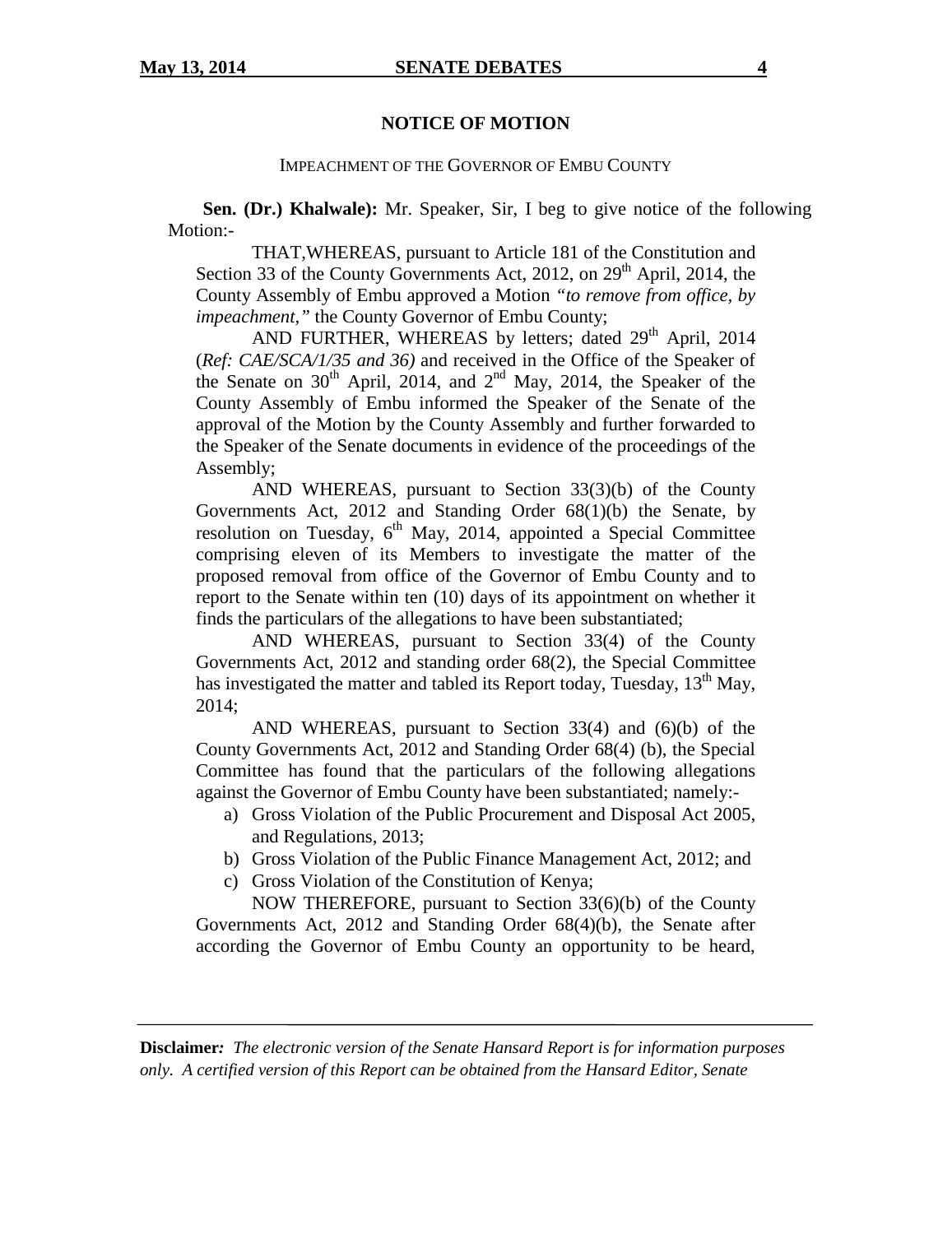#### **NOTICE OF MOTION**

#### IMPEACHMENT OF THE GOVERNOR OF EMBU COUNTY

**Sen. (Dr.) Khalwale):** Mr. Speaker, Sir, I beg to give notice of the following Motion:-

THAT,WHEREAS, pursuant to Article 181 of the Constitution and Section 33 of the County Governments Act, 2012, on  $29<sup>th</sup>$  April, 2014, the County Assembly of Embu approved a Motion *"to remove from office, by impeachment,"* the County Governor of Embu County;

AND FURTHER, WHEREAS by letters; dated 29<sup>th</sup> April, 2014 (*Ref: CAE/SCA/1/35 and 36)* and received in the Office of the Speaker of the Senate on  $30<sup>th</sup>$  April, 2014, and  $2<sup>nd</sup>$  May, 2014, the Speaker of the County Assembly of Embu informed the Speaker of the Senate of the approval of the Motion by the County Assembly and further forwarded to the Speaker of the Senate documents in evidence of the proceedings of the Assembly;

AND WHEREAS, pursuant to Section 33(3)(b) of the County Governments Act, 2012 and Standing Order 68(1)(b) the Senate, by resolution on Tuesday,  $6<sup>th</sup>$  May, 2014, appointed a Special Committee comprising eleven of its Members to investigate the matter of the proposed removal from office of the Governor of Embu County and to report to the Senate within ten (10) days of its appointment on whether it finds the particulars of the allegations to have been substantiated;

AND WHEREAS, pursuant to Section 33(4) of the County Governments Act, 2012 and standing order 68(2), the Special Committee has investigated the matter and tabled its Report today, Tuesday,  $13<sup>th</sup>$  May, 2014;

AND WHEREAS, pursuant to Section 33(4) and (6)(b) of the County Governments Act, 2012 and Standing Order 68(4) (b), the Special Committee has found that the particulars of the following allegations against the Governor of Embu County have been substantiated; namely:-

- a) Gross Violation of the Public Procurement and Disposal Act 2005, and Regulations, 2013;
- b) Gross Violation of the Public Finance Management Act, 2012; and
- c) Gross Violation of the Constitution of Kenya;

NOW THEREFORE, pursuant to Section 33(6)(b) of the County Governments Act, 2012 and Standing Order 68(4)(b), the Senate after according the Governor of Embu County an opportunity to be heard,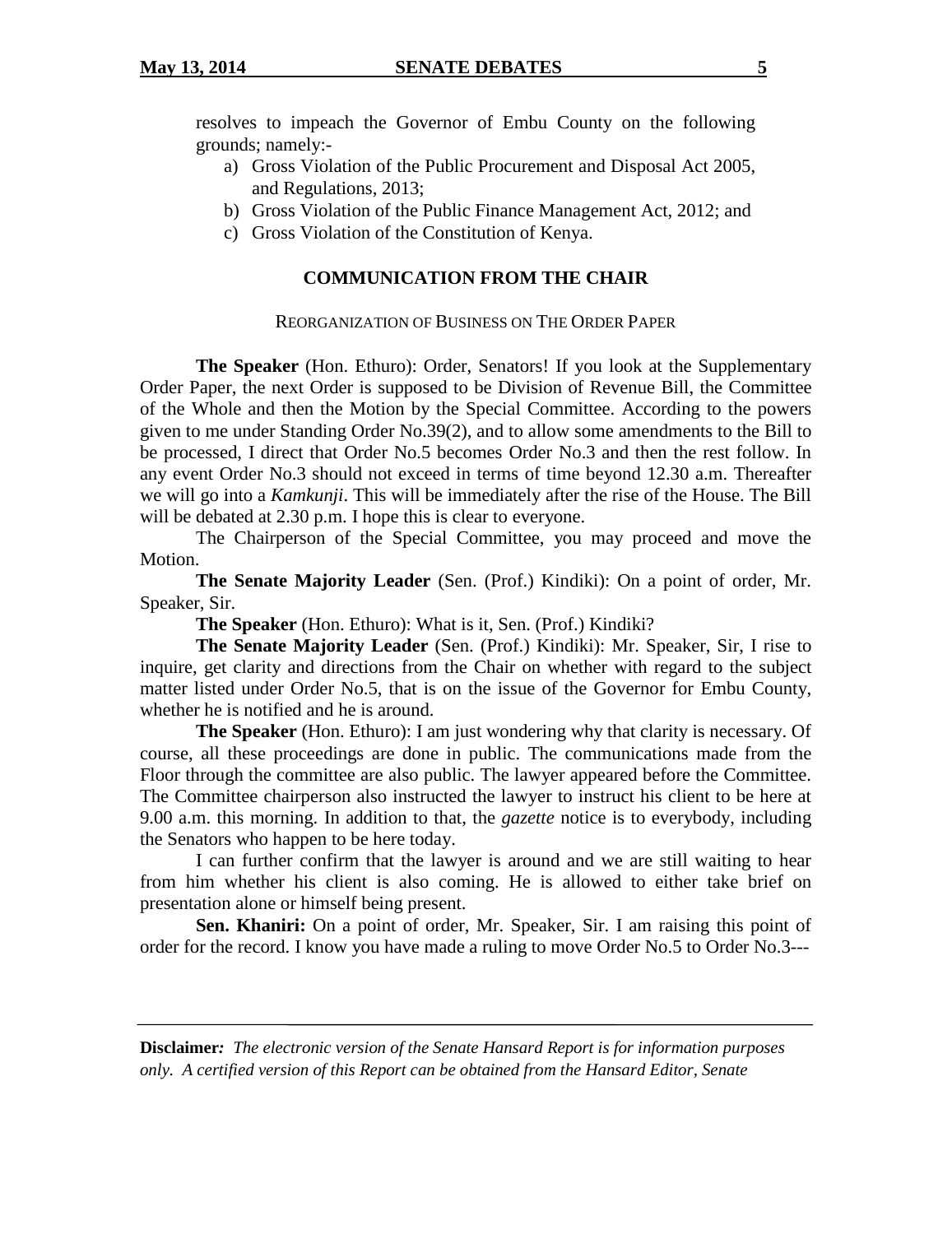resolves to impeach the Governor of Embu County on the following grounds; namely:-

- a) Gross Violation of the Public Procurement and Disposal Act 2005, and Regulations, 2013;
- b) Gross Violation of the Public Finance Management Act, 2012; and
- c) Gross Violation of the Constitution of Kenya.

# **COMMUNICATION FROM THE CHAIR**

#### REORGANIZATION OF BUSINESS ON THE ORDER PAPER

**The Speaker** (Hon. Ethuro): Order, Senators! If you look at the Supplementary Order Paper, the next Order is supposed to be Division of Revenue Bill, the Committee of the Whole and then the Motion by the Special Committee. According to the powers given to me under Standing Order No.39(2), and to allow some amendments to the Bill to be processed, I direct that Order No.5 becomes Order No.3 and then the rest follow. In any event Order No.3 should not exceed in terms of time beyond 12.30 a.m. Thereafter we will go into a *Kamkunji*. This will be immediately after the rise of the House. The Bill will be debated at 2.30 p.m. I hope this is clear to everyone.

The Chairperson of the Special Committee, you may proceed and move the Motion.

**The Senate Majority Leader** (Sen. (Prof.) Kindiki): On a point of order, Mr. Speaker, Sir.

**The Speaker** (Hon. Ethuro): What is it, Sen. (Prof.) Kindiki?

**The Senate Majority Leader** (Sen. (Prof.) Kindiki): Mr. Speaker, Sir, I rise to inquire, get clarity and directions from the Chair on whether with regard to the subject matter listed under Order No.5, that is on the issue of the Governor for Embu County, whether he is notified and he is around.

**The Speaker** (Hon. Ethuro): I am just wondering why that clarity is necessary. Of course, all these proceedings are done in public. The communications made from the Floor through the committee are also public. The lawyer appeared before the Committee. The Committee chairperson also instructed the lawyer to instruct his client to be here at 9.00 a.m. this morning. In addition to that, the *gazette* notice is to everybody, including the Senators who happen to be here today.

I can further confirm that the lawyer is around and we are still waiting to hear from him whether his client is also coming. He is allowed to either take brief on presentation alone or himself being present.

**Sen. Khaniri:** On a point of order, Mr. Speaker, Sir. I am raising this point of order for the record. I know you have made a ruling to move Order No.5 to Order No.3---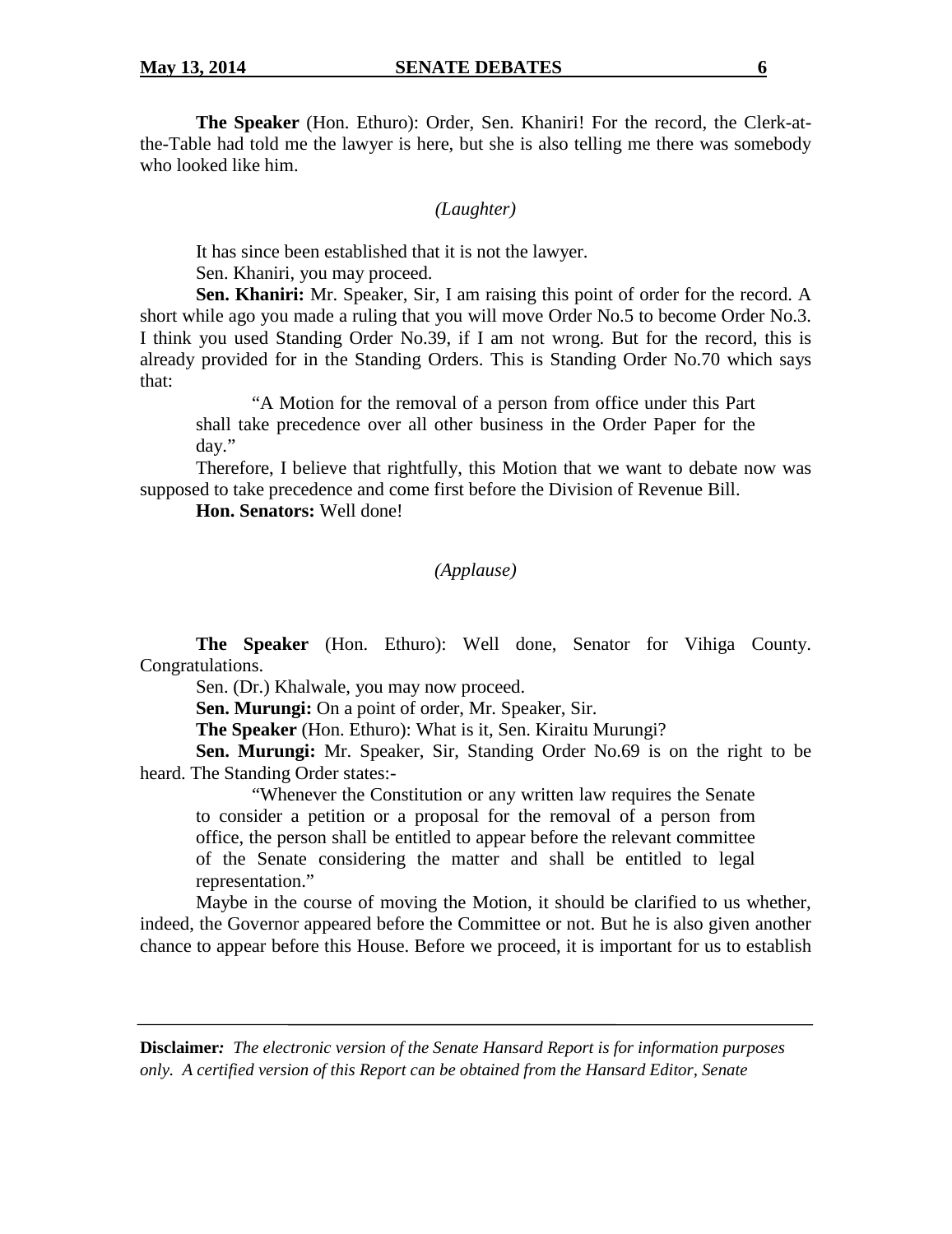**The Speaker** (Hon. Ethuro): Order, Sen. Khaniri! For the record, the Clerk-atthe-Table had told me the lawyer is here, but she is also telling me there was somebody who looked like him.

## *(Laughter)*

It has since been established that it is not the lawyer.

Sen. Khaniri, you may proceed.

**Sen. Khaniri:** Mr. Speaker, Sir, I am raising this point of order for the record. A short while ago you made a ruling that you will move Order No.5 to become Order No.3. I think you used Standing Order No.39, if I am not wrong. But for the record, this is already provided for in the Standing Orders. This is Standing Order No.70 which says that:

"A Motion for the removal of a person from office under this Part shall take precedence over all other business in the Order Paper for the day."

Therefore, I believe that rightfully, this Motion that we want to debate now was supposed to take precedence and come first before the Division of Revenue Bill.

**Hon. Senators:** Well done!

# *(Applause)*

**The Speaker** (Hon. Ethuro): Well done, Senator for Vihiga County. Congratulations.

Sen. (Dr.) Khalwale, you may now proceed.

**Sen. Murungi:** On a point of order, Mr. Speaker, Sir.

**The Speaker** (Hon. Ethuro): What is it, Sen. Kiraitu Murungi?

**Sen. Murungi:** Mr. Speaker, Sir, Standing Order No.69 is on the right to be heard. The Standing Order states:-

"Whenever the Constitution or any written law requires the Senate to consider a petition or a proposal for the removal of a person from office, the person shall be entitled to appear before the relevant committee of the Senate considering the matter and shall be entitled to legal representation."

Maybe in the course of moving the Motion, it should be clarified to us whether, indeed, the Governor appeared before the Committee or not. But he is also given another chance to appear before this House. Before we proceed, it is important for us to establish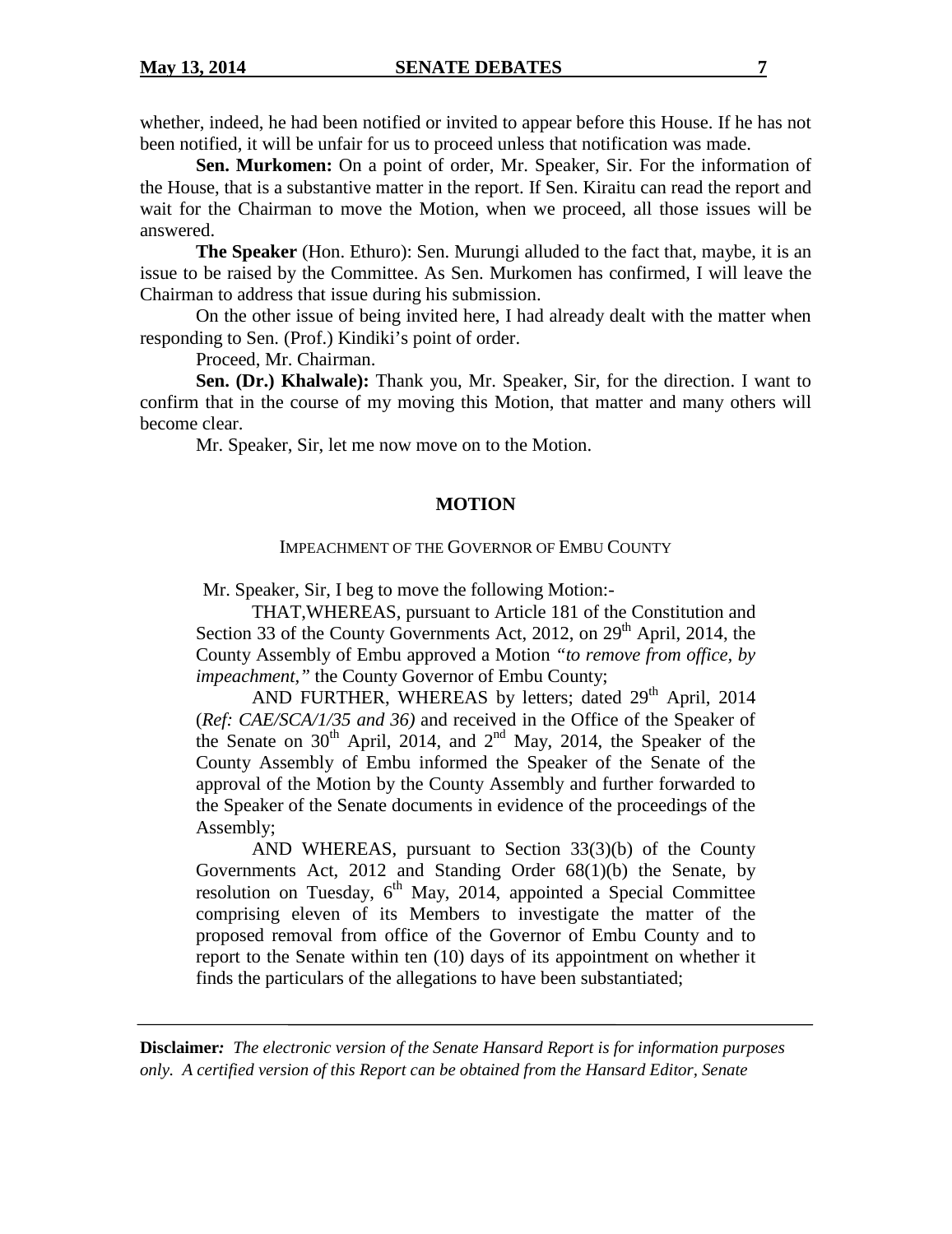whether, indeed, he had been notified or invited to appear before this House. If he has not been notified, it will be unfair for us to proceed unless that notification was made.

**Sen. Murkomen:** On a point of order, Mr. Speaker, Sir. For the information of the House, that is a substantive matter in the report. If Sen. Kiraitu can read the report and wait for the Chairman to move the Motion, when we proceed, all those issues will be answered.

**The Speaker** (Hon. Ethuro): Sen. Murungi alluded to the fact that, maybe, it is an issue to be raised by the Committee. As Sen. Murkomen has confirmed, I will leave the Chairman to address that issue during his submission.

On the other issue of being invited here, I had already dealt with the matter when responding to Sen. (Prof.) Kindiki's point of order.

Proceed, Mr. Chairman.

**Sen. (Dr.) Khalwale):** Thank you, Mr. Speaker, Sir, for the direction. I want to confirm that in the course of my moving this Motion, that matter and many others will become clear.

Mr. Speaker, Sir, let me now move on to the Motion.

#### **MOTION**

#### IMPEACHMENT OF THE GOVERNOR OF EMBU COUNTY

Mr. Speaker, Sir, I beg to move the following Motion:-

THAT,WHEREAS, pursuant to Article 181 of the Constitution and Section 33 of the County Governments Act, 2012, on  $29<sup>th</sup>$  April, 2014, the County Assembly of Embu approved a Motion *"to remove from office, by impeachment,"* the County Governor of Embu County;

AND FURTHER, WHEREAS by letters; dated  $29<sup>th</sup>$  April, 2014 (*Ref: CAE/SCA/1/35 and 36)* and received in the Office of the Speaker of the Senate on  $30<sup>th</sup>$  April, 2014, and  $2<sup>nd</sup>$  May, 2014, the Speaker of the County Assembly of Embu informed the Speaker of the Senate of the approval of the Motion by the County Assembly and further forwarded to the Speaker of the Senate documents in evidence of the proceedings of the Assembly;

AND WHEREAS, pursuant to Section 33(3)(b) of the County Governments Act, 2012 and Standing Order 68(1)(b) the Senate, by resolution on Tuesday,  $6<sup>th</sup>$  May, 2014, appointed a Special Committee comprising eleven of its Members to investigate the matter of the proposed removal from office of the Governor of Embu County and to report to the Senate within ten (10) days of its appointment on whether it finds the particulars of the allegations to have been substantiated;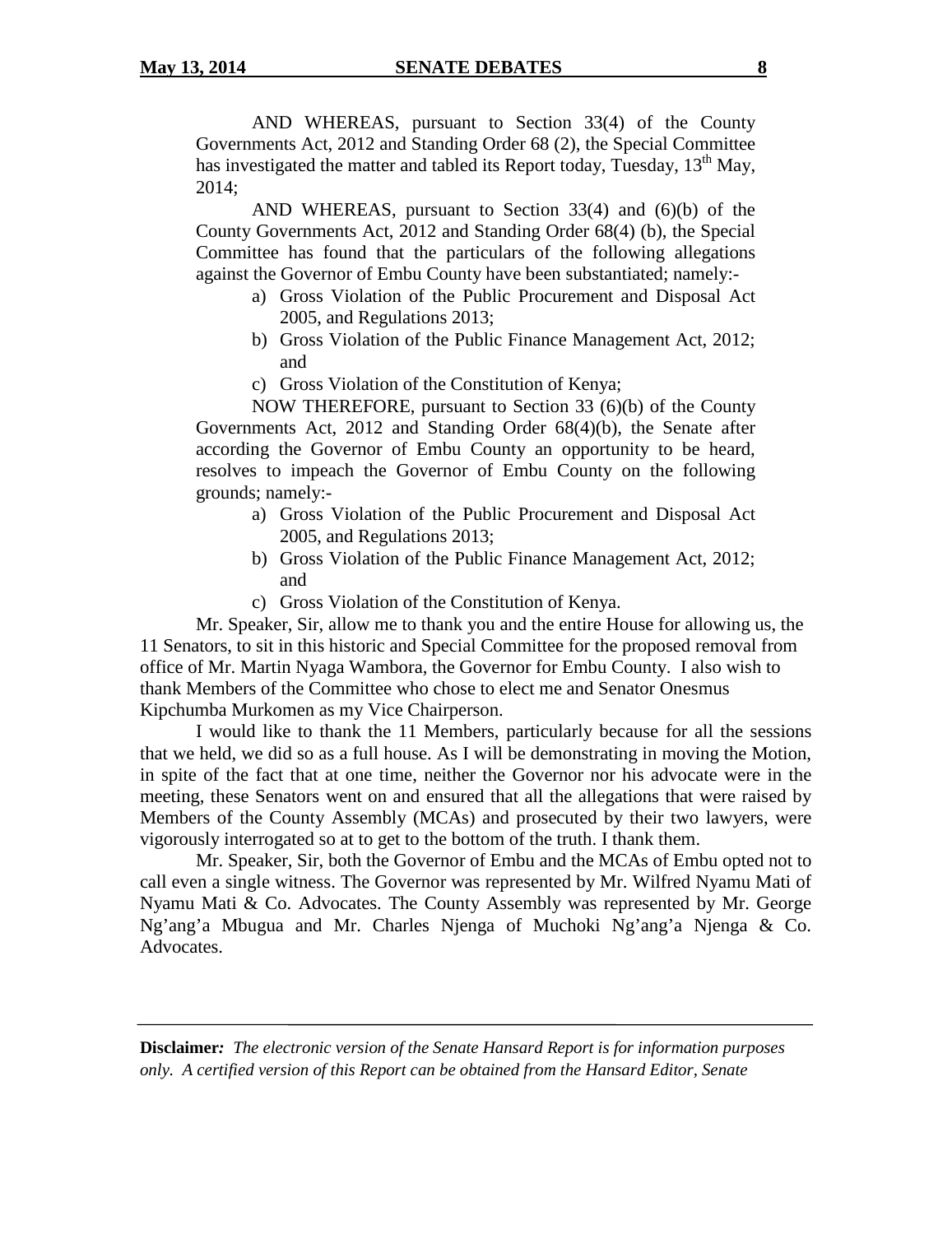AND WHEREAS, pursuant to Section 33(4) of the County Governments Act, 2012 and Standing Order 68 (2), the Special Committee has investigated the matter and tabled its Report today, Tuesday,  $13<sup>th</sup>$  May, 2014;

AND WHEREAS, pursuant to Section 33(4) and (6)(b) of the County Governments Act, 2012 and Standing Order 68(4) (b), the Special Committee has found that the particulars of the following allegations against the Governor of Embu County have been substantiated; namely:-

- a) Gross Violation of the Public Procurement and Disposal Act 2005, and Regulations 2013;
- b) Gross Violation of the Public Finance Management Act, 2012; and
- c) Gross Violation of the Constitution of Kenya;

NOW THEREFORE, pursuant to Section 33 (6)(b) of the County Governments Act, 2012 and Standing Order 68(4)(b), the Senate after according the Governor of Embu County an opportunity to be heard, resolves to impeach the Governor of Embu County on the following grounds; namely:-

- a) Gross Violation of the Public Procurement and Disposal Act 2005, and Regulations 2013;
- b) Gross Violation of the Public Finance Management Act, 2012; and
- c) Gross Violation of the Constitution of Kenya.

Mr. Speaker, Sir, allow me to thank you and the entire House for allowing us, the 11 Senators, to sit in this historic and Special Committee for the proposed removal from office of Mr. Martin Nyaga Wambora, the Governor for Embu County. I also wish to thank Members of the Committee who chose to elect me and Senator Onesmus Kipchumba Murkomen as my Vice Chairperson.

I would like to thank the 11 Members, particularly because for all the sessions that we held, we did so as a full house. As I will be demonstrating in moving the Motion, in spite of the fact that at one time, neither the Governor nor his advocate were in the meeting, these Senators went on and ensured that all the allegations that were raised by Members of the County Assembly (MCAs) and prosecuted by their two lawyers, were vigorously interrogated so at to get to the bottom of the truth. I thank them.

Mr. Speaker, Sir, both the Governor of Embu and the MCAs of Embu opted not to call even a single witness. The Governor was represented by Mr. Wilfred Nyamu Mati of Nyamu Mati & Co. Advocates. The County Assembly was represented by Mr. George Ng'ang'a Mbugua and Mr. Charles Njenga of Muchoki Ng'ang'a Njenga & Co. Advocates.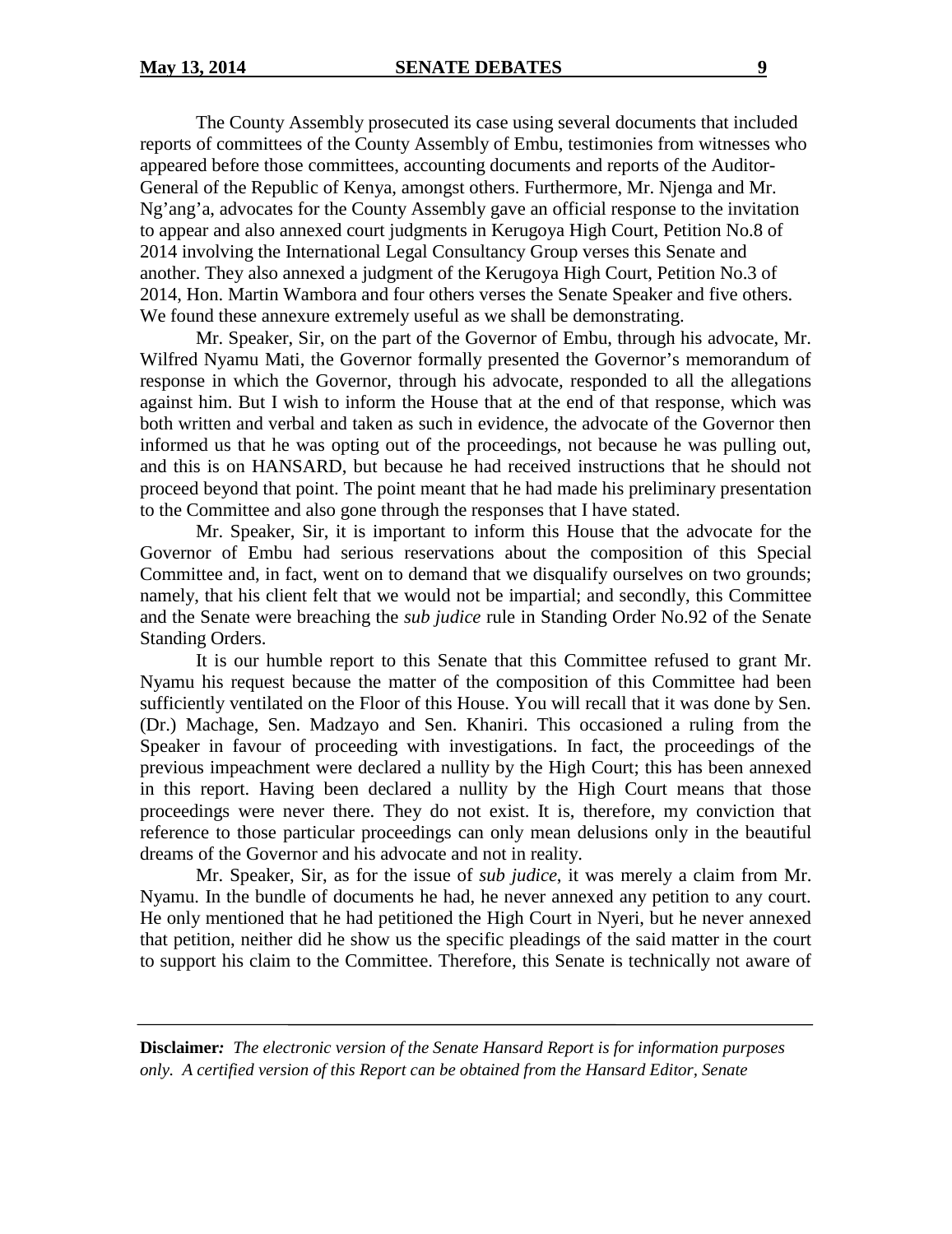The County Assembly prosecuted its case using several documents that included reports of committees of the County Assembly of Embu, testimonies from witnesses who appeared before those committees, accounting documents and reports of the Auditor-General of the Republic of Kenya, amongst others. Furthermore, Mr. Njenga and Mr. Ng'ang'a, advocates for the County Assembly gave an official response to the invitation to appear and also annexed court judgments in Kerugoya High Court, Petition No.8 of 2014 involving the International Legal Consultancy Group verses this Senate and another. They also annexed a judgment of the Kerugoya High Court, Petition No.3 of 2014, Hon. Martin Wambora and four others verses the Senate Speaker and five others. We found these annexure extremely useful as we shall be demonstrating.

Mr. Speaker, Sir, on the part of the Governor of Embu, through his advocate, Mr. Wilfred Nyamu Mati, the Governor formally presented the Governor's memorandum of response in which the Governor, through his advocate, responded to all the allegations against him. But I wish to inform the House that at the end of that response, which was both written and verbal and taken as such in evidence, the advocate of the Governor then informed us that he was opting out of the proceedings, not because he was pulling out, and this is on HANSARD, but because he had received instructions that he should not proceed beyond that point. The point meant that he had made his preliminary presentation to the Committee and also gone through the responses that I have stated.

Mr. Speaker, Sir, it is important to inform this House that the advocate for the Governor of Embu had serious reservations about the composition of this Special Committee and, in fact, went on to demand that we disqualify ourselves on two grounds; namely, that his client felt that we would not be impartial; and secondly, this Committee and the Senate were breaching the *sub judice* rule in Standing Order No.92 of the Senate Standing Orders.

It is our humble report to this Senate that this Committee refused to grant Mr. Nyamu his request because the matter of the composition of this Committee had been sufficiently ventilated on the Floor of this House. You will recall that it was done by Sen. (Dr.) Machage, Sen. Madzayo and Sen. Khaniri. This occasioned a ruling from the Speaker in favour of proceeding with investigations. In fact, the proceedings of the previous impeachment were declared a nullity by the High Court; this has been annexed in this report. Having been declared a nullity by the High Court means that those proceedings were never there. They do not exist. It is, therefore, my conviction that reference to those particular proceedings can only mean delusions only in the beautiful dreams of the Governor and his advocate and not in reality.

Mr. Speaker, Sir, as for the issue of *sub judice*, it was merely a claim from Mr. Nyamu. In the bundle of documents he had, he never annexed any petition to any court. He only mentioned that he had petitioned the High Court in Nyeri, but he never annexed that petition, neither did he show us the specific pleadings of the said matter in the court to support his claim to the Committee. Therefore, this Senate is technically not aware of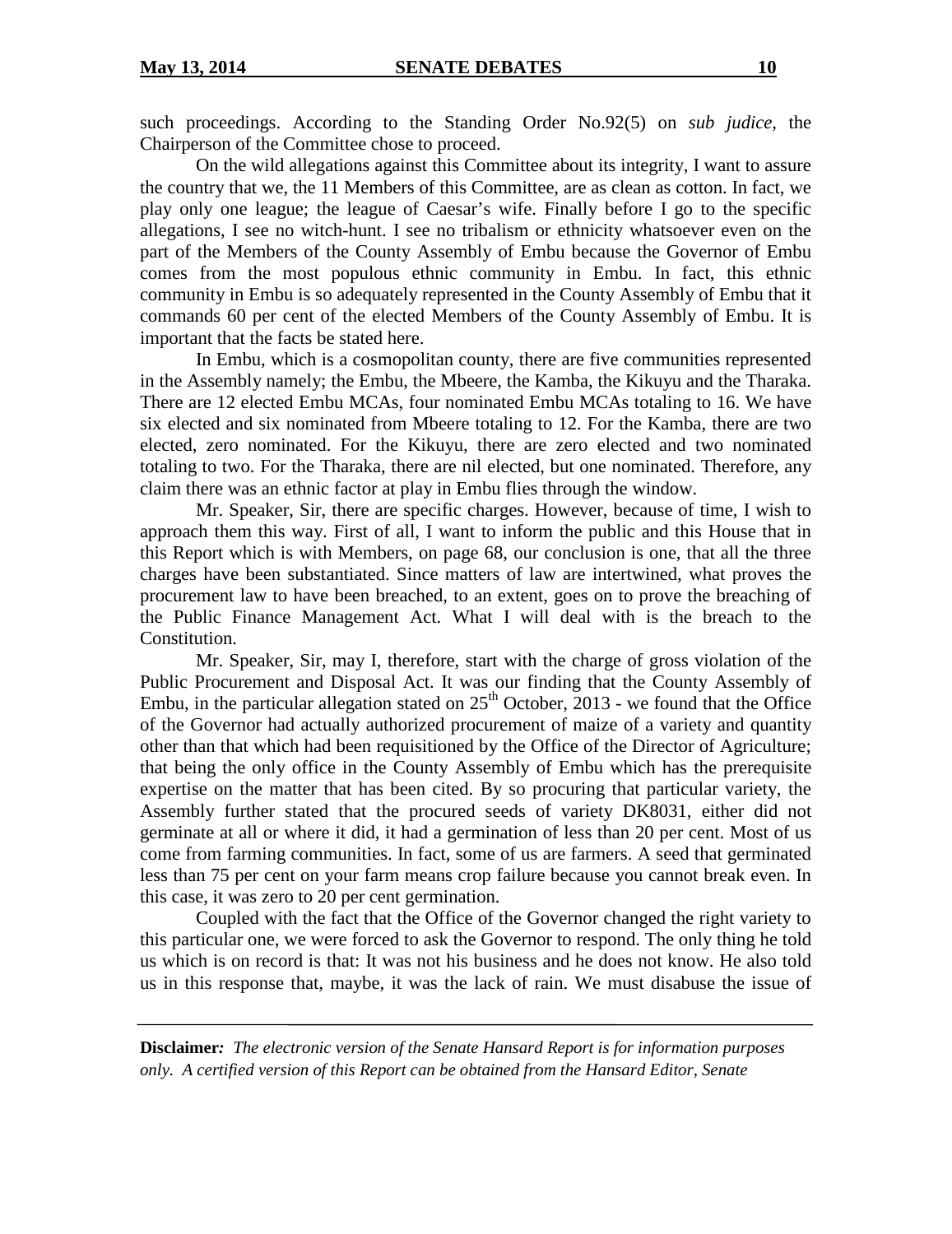such proceedings. According to the Standing Order No.92(5) on *sub judice,* the Chairperson of the Committee chose to proceed.

On the wild allegations against this Committee about its integrity, I want to assure the country that we, the 11 Members of this Committee, are as clean as cotton. In fact, we play only one league; the league of Caesar's wife. Finally before I go to the specific allegations, I see no witch-hunt. I see no tribalism or ethnicity whatsoever even on the part of the Members of the County Assembly of Embu because the Governor of Embu comes from the most populous ethnic community in Embu. In fact, this ethnic community in Embu is so adequately represented in the County Assembly of Embu that it commands 60 per cent of the elected Members of the County Assembly of Embu. It is important that the facts be stated here.

In Embu, which is a cosmopolitan county, there are five communities represented in the Assembly namely; the Embu, the Mbeere, the Kamba, the Kikuyu and the Tharaka. There are 12 elected Embu MCAs, four nominated Embu MCAs totaling to 16. We have six elected and six nominated from Mbeere totaling to 12. For the Kamba, there are two elected, zero nominated. For the Kikuyu, there are zero elected and two nominated totaling to two. For the Tharaka, there are nil elected, but one nominated. Therefore, any claim there was an ethnic factor at play in Embu flies through the window.

Mr. Speaker, Sir, there are specific charges. However, because of time, I wish to approach them this way. First of all, I want to inform the public and this House that in this Report which is with Members, on page 68, our conclusion is one, that all the three charges have been substantiated. Since matters of law are intertwined, what proves the procurement law to have been breached, to an extent, goes on to prove the breaching of the Public Finance Management Act. What I will deal with is the breach to the Constitution.

Mr. Speaker, Sir, may I, therefore, start with the charge of gross violation of the Public Procurement and Disposal Act. It was our finding that the County Assembly of Embu, in the particular allegation stated on  $25<sup>th</sup>$  October, 2013 - we found that the Office of the Governor had actually authorized procurement of maize of a variety and quantity other than that which had been requisitioned by the Office of the Director of Agriculture; that being the only office in the County Assembly of Embu which has the prerequisite expertise on the matter that has been cited. By so procuring that particular variety, the Assembly further stated that the procured seeds of variety DK8031, either did not germinate at all or where it did, it had a germination of less than 20 per cent. Most of us come from farming communities. In fact, some of us are farmers. A seed that germinated less than 75 per cent on your farm means crop failure because you cannot break even. In this case, it was zero to 20 per cent germination.

Coupled with the fact that the Office of the Governor changed the right variety to this particular one, we were forced to ask the Governor to respond. The only thing he told us which is on record is that: It was not his business and he does not know. He also told us in this response that, maybe, it was the lack of rain. We must disabuse the issue of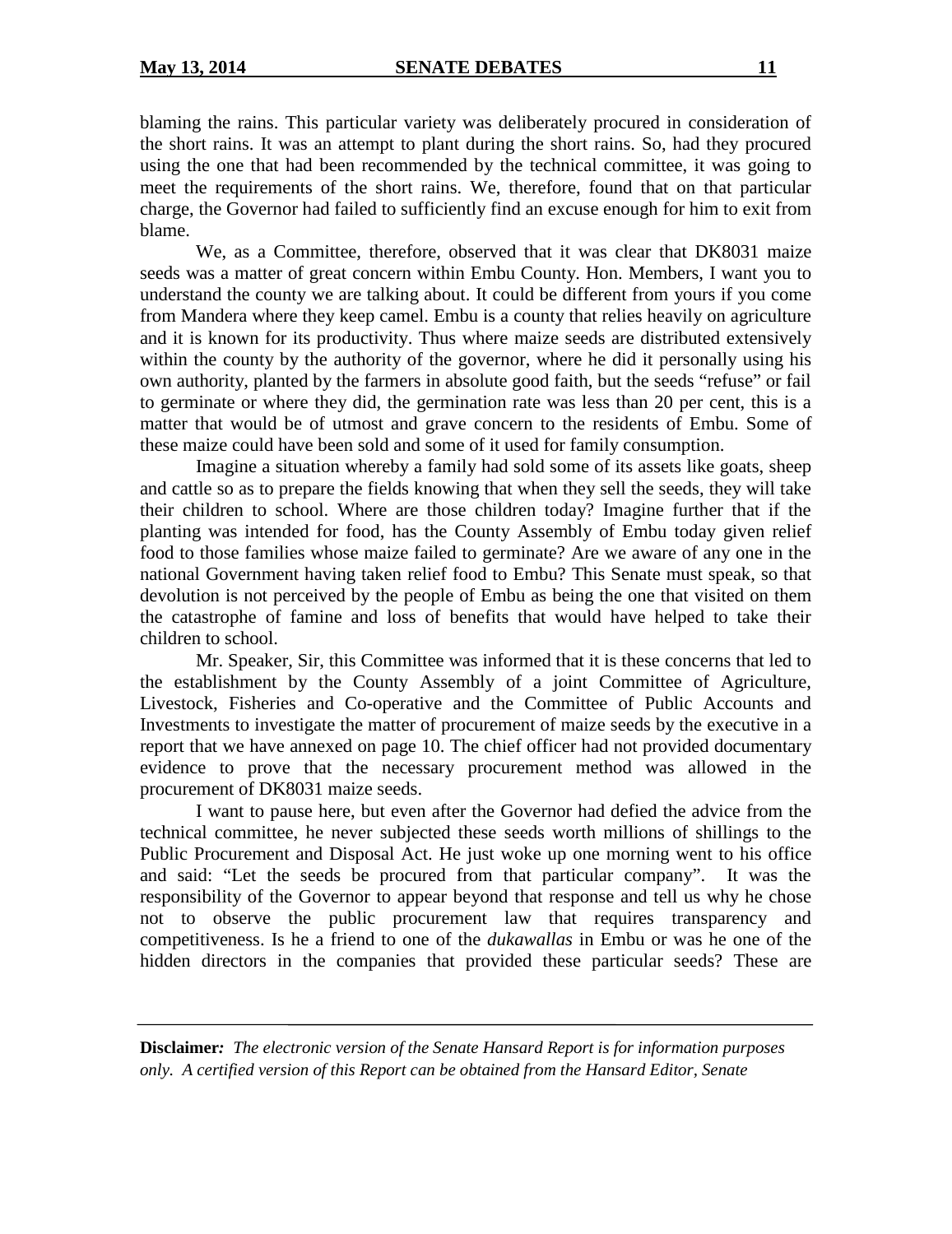blaming the rains. This particular variety was deliberately procured in consideration of the short rains. It was an attempt to plant during the short rains. So, had they procured using the one that had been recommended by the technical committee, it was going to meet the requirements of the short rains. We, therefore, found that on that particular charge, the Governor had failed to sufficiently find an excuse enough for him to exit from blame.

We, as a Committee, therefore, observed that it was clear that DK8031 maize seeds was a matter of great concern within Embu County. Hon. Members, I want you to understand the county we are talking about. It could be different from yours if you come from Mandera where they keep camel. Embu is a county that relies heavily on agriculture and it is known for its productivity. Thus where maize seeds are distributed extensively within the county by the authority of the governor, where he did it personally using his own authority, planted by the farmers in absolute good faith, but the seeds "refuse" or fail to germinate or where they did, the germination rate was less than 20 per cent, this is a matter that would be of utmost and grave concern to the residents of Embu. Some of these maize could have been sold and some of it used for family consumption.

Imagine a situation whereby a family had sold some of its assets like goats, sheep and cattle so as to prepare the fields knowing that when they sell the seeds, they will take their children to school. Where are those children today? Imagine further that if the planting was intended for food, has the County Assembly of Embu today given relief food to those families whose maize failed to germinate? Are we aware of any one in the national Government having taken relief food to Embu? This Senate must speak, so that devolution is not perceived by the people of Embu as being the one that visited on them the catastrophe of famine and loss of benefits that would have helped to take their children to school.

Mr. Speaker, Sir, this Committee was informed that it is these concerns that led to the establishment by the County Assembly of a joint Committee of Agriculture, Livestock, Fisheries and Co-operative and the Committee of Public Accounts and Investments to investigate the matter of procurement of maize seeds by the executive in a report that we have annexed on page 10. The chief officer had not provided documentary evidence to prove that the necessary procurement method was allowed in the procurement of DK8031 maize seeds.

I want to pause here, but even after the Governor had defied the advice from the technical committee, he never subjected these seeds worth millions of shillings to the Public Procurement and Disposal Act. He just woke up one morning went to his office and said: "Let the seeds be procured from that particular company". It was the responsibility of the Governor to appear beyond that response and tell us why he chose not to observe the public procurement law that requires transparency and competitiveness. Is he a friend to one of the *dukawallas* in Embu or was he one of the hidden directors in the companies that provided these particular seeds? These are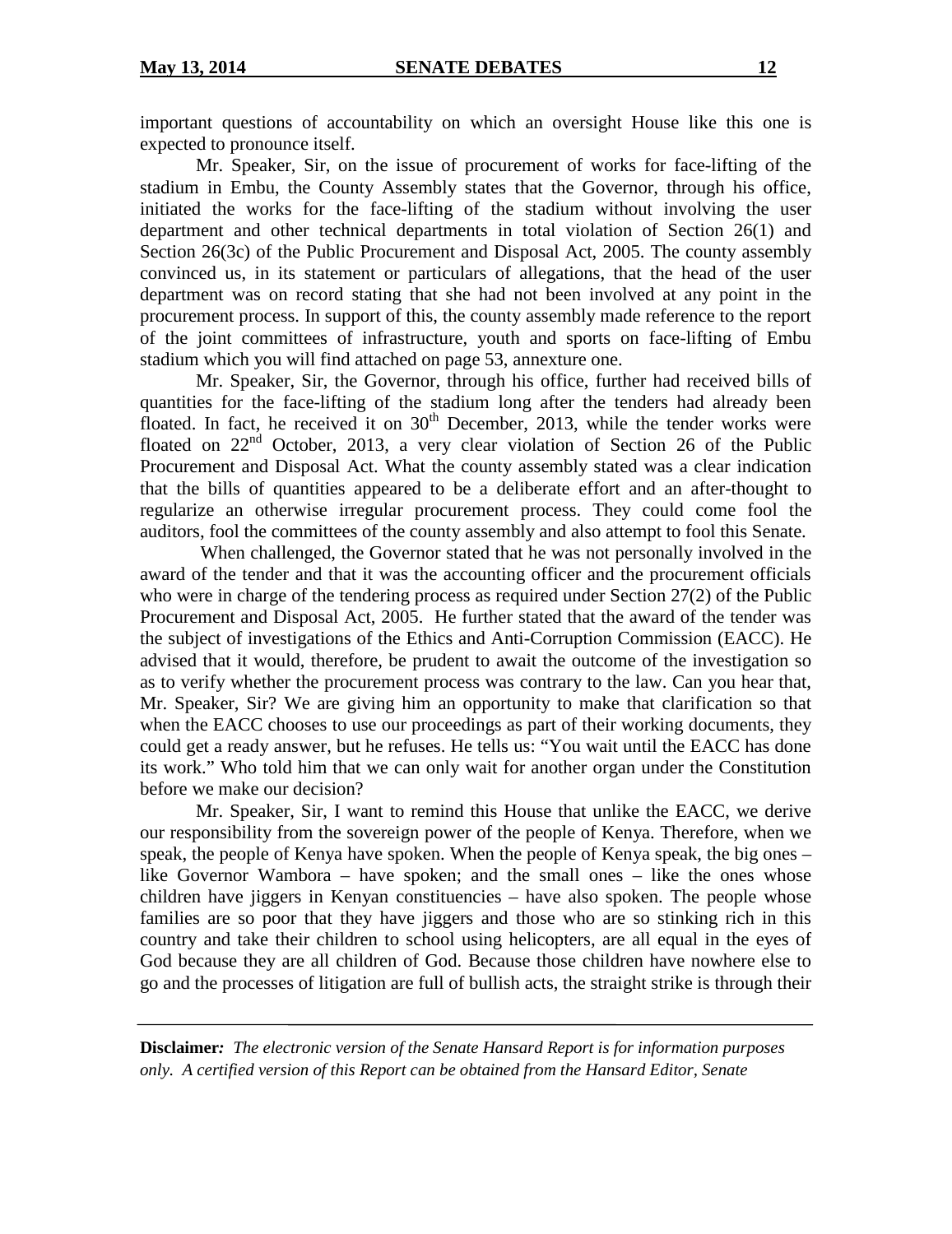important questions of accountability on which an oversight House like this one is expected to pronounce itself.

Mr. Speaker, Sir, on the issue of procurement of works for face-lifting of the stadium in Embu, the County Assembly states that the Governor, through his office, initiated the works for the face-lifting of the stadium without involving the user department and other technical departments in total violation of Section 26(1) and Section 26(3c) of the Public Procurement and Disposal Act, 2005. The county assembly convinced us, in its statement or particulars of allegations, that the head of the user department was on record stating that she had not been involved at any point in the procurement process. In support of this, the county assembly made reference to the report of the joint committees of infrastructure, youth and sports on face-lifting of Embu stadium which you will find attached on page 53, annexture one.

Mr. Speaker, Sir, the Governor, through his office, further had received bills of quantities for the face-lifting of the stadium long after the tenders had already been floated. In fact, he received it on  $30<sup>th</sup>$  December, 2013, while the tender works were floated on  $22<sup>nd</sup>$  October, 2013, a very clear violation of Section 26 of the Public Procurement and Disposal Act. What the county assembly stated was a clear indication that the bills of quantities appeared to be a deliberate effort and an after-thought to regularize an otherwise irregular procurement process. They could come fool the auditors, fool the committees of the county assembly and also attempt to fool this Senate.

When challenged, the Governor stated that he was not personally involved in the award of the tender and that it was the accounting officer and the procurement officials who were in charge of the tendering process as required under Section 27(2) of the Public Procurement and Disposal Act, 2005. He further stated that the award of the tender was the subject of investigations of the Ethics and Anti-Corruption Commission (EACC). He advised that it would, therefore, be prudent to await the outcome of the investigation so as to verify whether the procurement process was contrary to the law. Can you hear that, Mr. Speaker, Sir? We are giving him an opportunity to make that clarification so that when the EACC chooses to use our proceedings as part of their working documents, they could get a ready answer, but he refuses. He tells us: "You wait until the EACC has done its work." Who told him that we can only wait for another organ under the Constitution before we make our decision?

Mr. Speaker, Sir, I want to remind this House that unlike the EACC, we derive our responsibility from the sovereign power of the people of Kenya. Therefore, when we speak, the people of Kenya have spoken. When the people of Kenya speak, the big ones – like Governor Wambora – have spoken; and the small ones – like the ones whose children have jiggers in Kenyan constituencies – have also spoken. The people whose families are so poor that they have jiggers and those who are so stinking rich in this country and take their children to school using helicopters, are all equal in the eyes of God because they are all children of God. Because those children have nowhere else to go and the processes of litigation are full of bullish acts, the straight strike is through their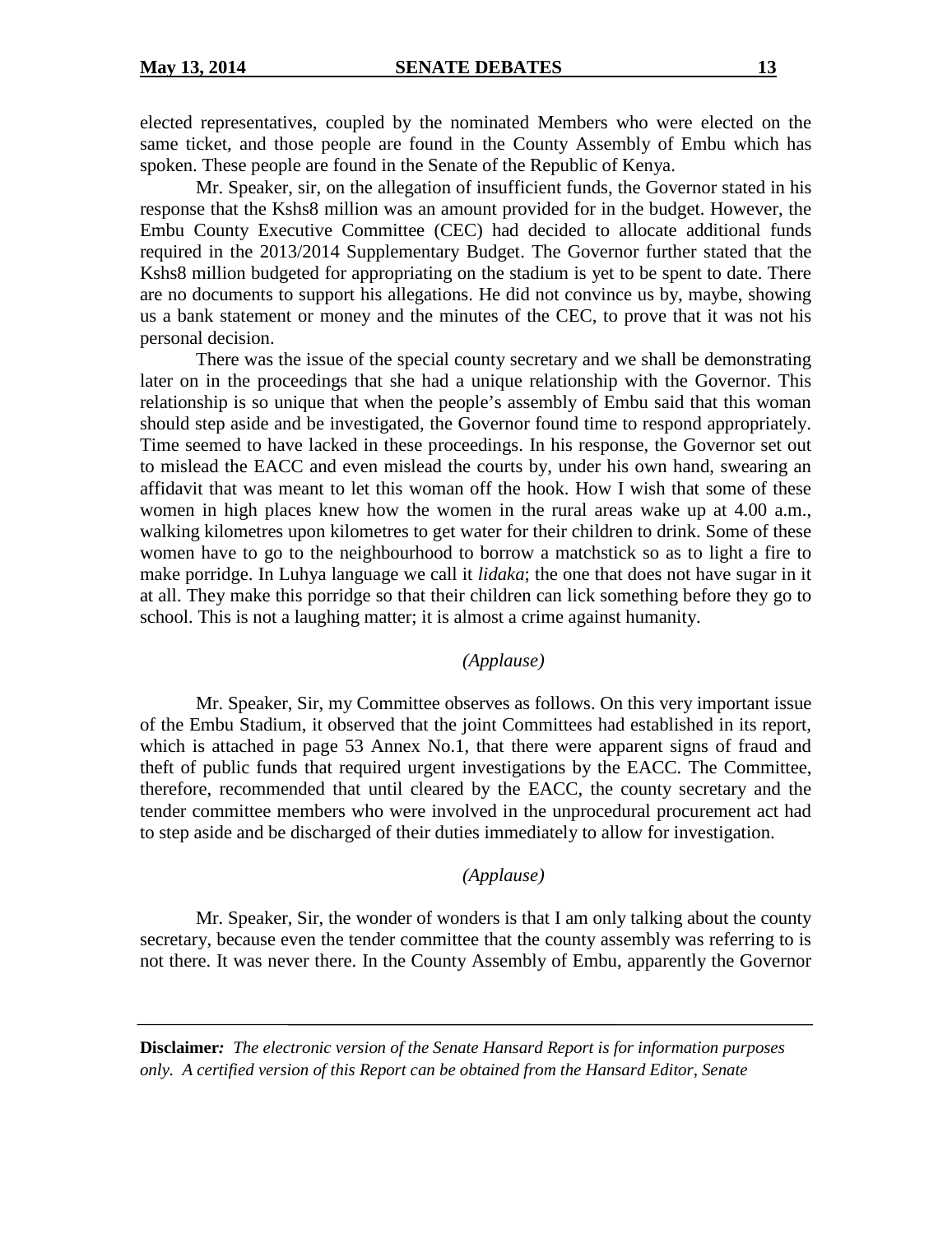elected representatives, coupled by the nominated Members who were elected on the same ticket, and those people are found in the County Assembly of Embu which has spoken. These people are found in the Senate of the Republic of Kenya.

Mr. Speaker, sir, on the allegation of insufficient funds, the Governor stated in his response that the Kshs8 million was an amount provided for in the budget. However, the Embu County Executive Committee (CEC) had decided to allocate additional funds required in the 2013/2014 Supplementary Budget. The Governor further stated that the Kshs8 million budgeted for appropriating on the stadium is yet to be spent to date. There are no documents to support his allegations. He did not convince us by, maybe, showing us a bank statement or money and the minutes of the CEC, to prove that it was not his personal decision.

There was the issue of the special county secretary and we shall be demonstrating later on in the proceedings that she had a unique relationship with the Governor. This relationship is so unique that when the people's assembly of Embu said that this woman should step aside and be investigated, the Governor found time to respond appropriately. Time seemed to have lacked in these proceedings. In his response, the Governor set out to mislead the EACC and even mislead the courts by, under his own hand, swearing an affidavit that was meant to let this woman off the hook. How I wish that some of these women in high places knew how the women in the rural areas wake up at 4.00 a.m., walking kilometres upon kilometres to get water for their children to drink. Some of these women have to go to the neighbourhood to borrow a matchstick so as to light a fire to make porridge. In Luhya language we call it *lidaka*; the one that does not have sugar in it at all. They make this porridge so that their children can lick something before they go to school. This is not a laughing matter; it is almost a crime against humanity.

# *(Applause)*

Mr. Speaker, Sir, my Committee observes as follows. On this very important issue of the Embu Stadium, it observed that the joint Committees had established in its report, which is attached in page 53 Annex No.1, that there were apparent signs of fraud and theft of public funds that required urgent investigations by the EACC. The Committee, therefore, recommended that until cleared by the EACC, the county secretary and the tender committee members who were involved in the unprocedural procurement act had to step aside and be discharged of their duties immediately to allow for investigation.

#### *(Applause)*

Mr. Speaker, Sir, the wonder of wonders is that I am only talking about the county secretary, because even the tender committee that the county assembly was referring to is not there. It was never there. In the County Assembly of Embu, apparently the Governor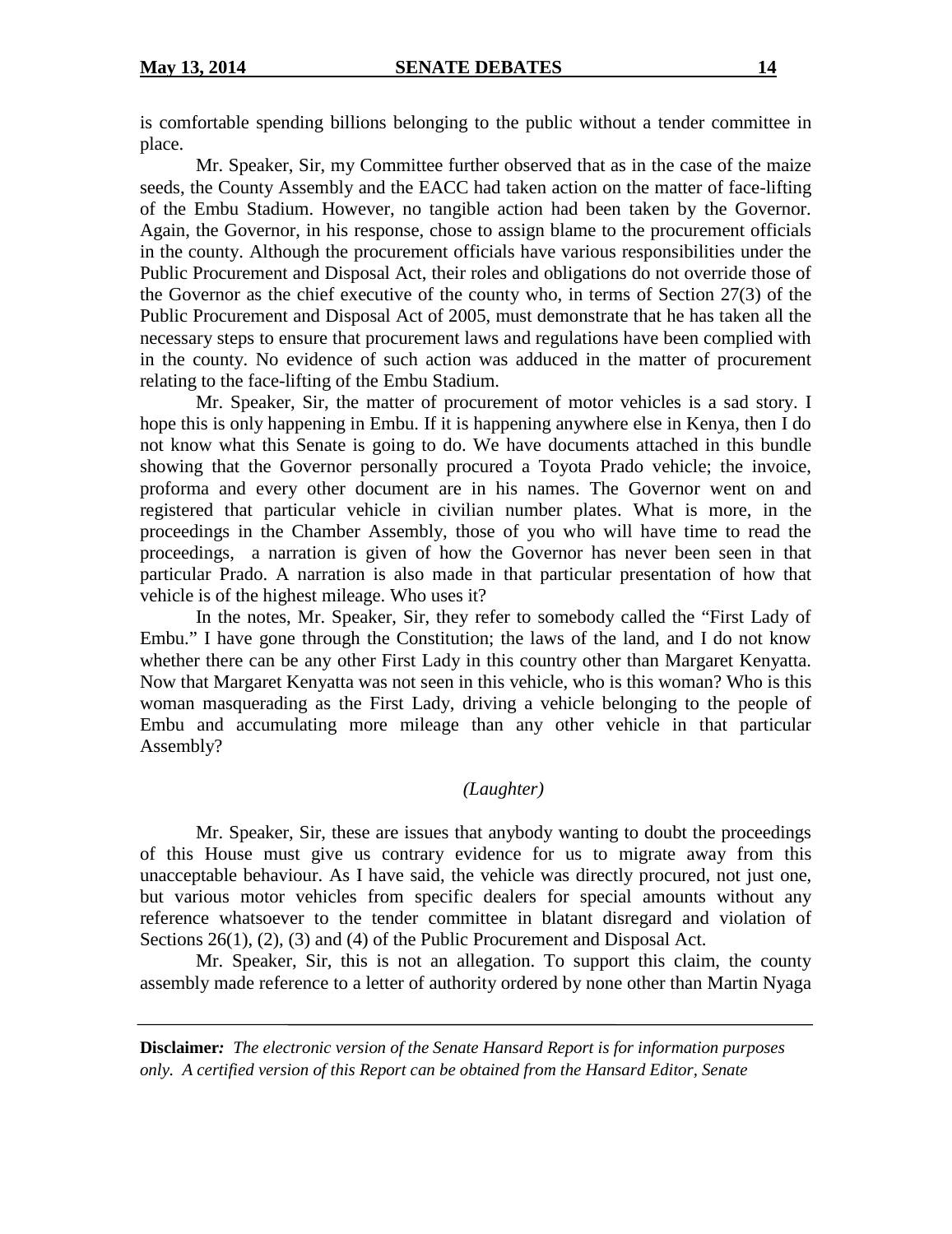is comfortable spending billions belonging to the public without a tender committee in place.

Mr. Speaker, Sir, my Committee further observed that as in the case of the maize seeds, the County Assembly and the EACC had taken action on the matter of face-lifting of the Embu Stadium. However, no tangible action had been taken by the Governor. Again, the Governor, in his response, chose to assign blame to the procurement officials in the county. Although the procurement officials have various responsibilities under the Public Procurement and Disposal Act, their roles and obligations do not override those of the Governor as the chief executive of the county who, in terms of Section 27(3) of the Public Procurement and Disposal Act of 2005, must demonstrate that he has taken all the necessary steps to ensure that procurement laws and regulations have been complied with in the county. No evidence of such action was adduced in the matter of procurement relating to the face-lifting of the Embu Stadium.

Mr. Speaker, Sir, the matter of procurement of motor vehicles is a sad story. I hope this is only happening in Embu. If it is happening anywhere else in Kenya, then I do not know what this Senate is going to do. We have documents attached in this bundle showing that the Governor personally procured a Toyota Prado vehicle; the invoice, proforma and every other document are in his names. The Governor went on and registered that particular vehicle in civilian number plates. What is more, in the proceedings in the Chamber Assembly, those of you who will have time to read the proceedings, a narration is given of how the Governor has never been seen in that particular Prado. A narration is also made in that particular presentation of how that vehicle is of the highest mileage. Who uses it?

In the notes, Mr. Speaker, Sir, they refer to somebody called the "First Lady of Embu." I have gone through the Constitution; the laws of the land, and I do not know whether there can be any other First Lady in this country other than Margaret Kenyatta. Now that Margaret Kenyatta was not seen in this vehicle, who is this woman? Who is this woman masquerading as the First Lady, driving a vehicle belonging to the people of Embu and accumulating more mileage than any other vehicle in that particular Assembly?

# *(Laughter)*

Mr. Speaker, Sir, these are issues that anybody wanting to doubt the proceedings of this House must give us contrary evidence for us to migrate away from this unacceptable behaviour. As I have said, the vehicle was directly procured, not just one, but various motor vehicles from specific dealers for special amounts without any reference whatsoever to the tender committee in blatant disregard and violation of Sections 26(1), (2), (3) and (4) of the Public Procurement and Disposal Act.

Mr. Speaker, Sir, this is not an allegation. To support this claim, the county assembly made reference to a letter of authority ordered by none other than Martin Nyaga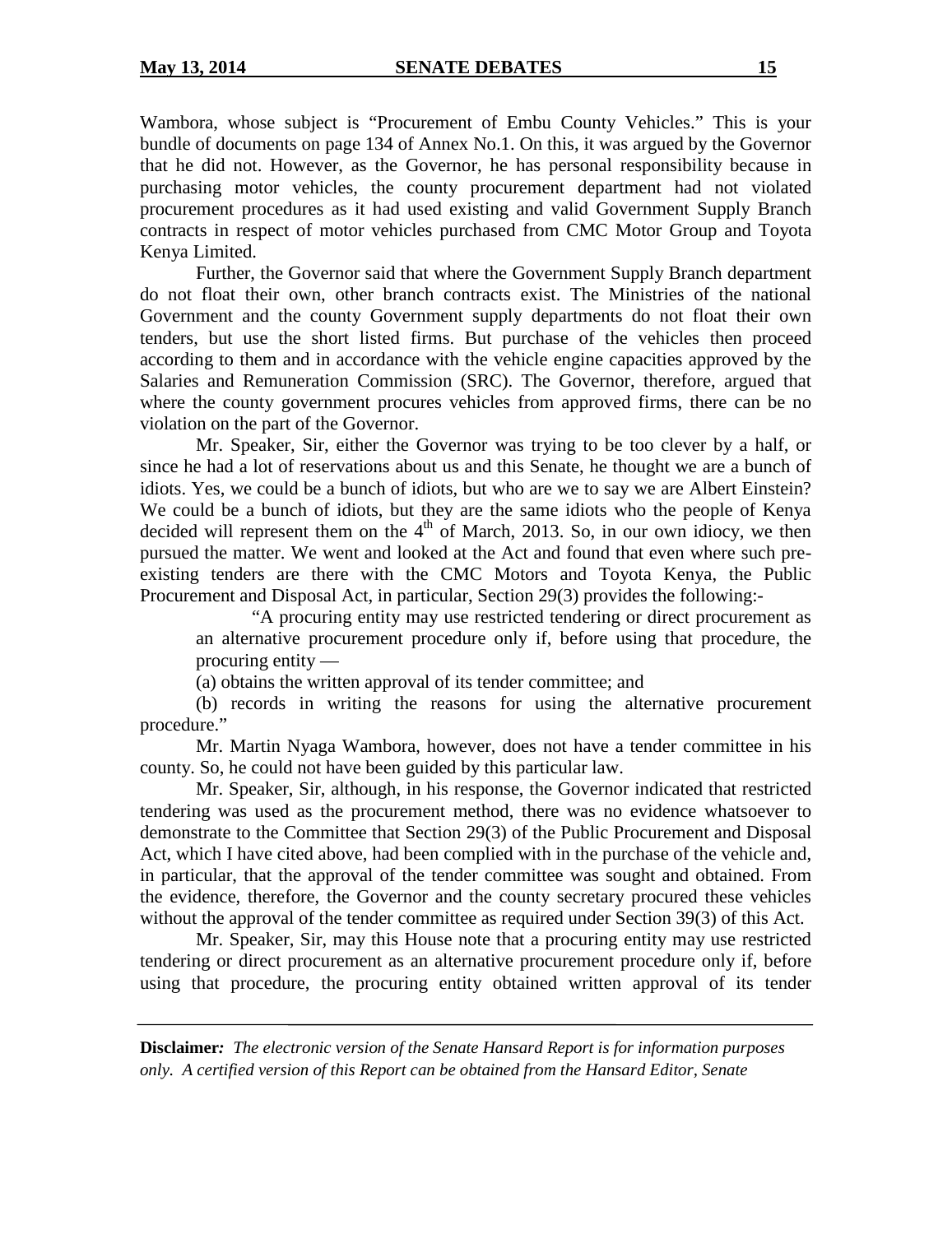Wambora, whose subject is "Procurement of Embu County Vehicles." This is your bundle of documents on page 134 of Annex No.1. On this, it was argued by the Governor that he did not. However, as the Governor, he has personal responsibility because in purchasing motor vehicles, the county procurement department had not violated procurement procedures as it had used existing and valid Government Supply Branch contracts in respect of motor vehicles purchased from CMC Motor Group and Toyota Kenya Limited.

Further, the Governor said that where the Government Supply Branch department do not float their own, other branch contracts exist. The Ministries of the national Government and the county Government supply departments do not float their own tenders, but use the short listed firms. But purchase of the vehicles then proceed according to them and in accordance with the vehicle engine capacities approved by the Salaries and Remuneration Commission (SRC). The Governor, therefore, argued that where the county government procures vehicles from approved firms, there can be no violation on the part of the Governor.

Mr. Speaker, Sir, either the Governor was trying to be too clever by a half, or since he had a lot of reservations about us and this Senate, he thought we are a bunch of idiots. Yes, we could be a bunch of idiots, but who are we to say we are Albert Einstein? We could be a bunch of idiots, but they are the same idiots who the people of Kenya decided will represent them on the  $4<sup>th</sup>$  of March, 2013. So, in our own idiocy, we then pursued the matter. We went and looked at the Act and found that even where such preexisting tenders are there with the CMC Motors and Toyota Kenya, the Public Procurement and Disposal Act, in particular, Section 29(3) provides the following:-

"A procuring entity may use restricted tendering or direct procurement as an alternative procurement procedure only if, before using that procedure, the procuring entity —

(a) obtains the written approval of its tender committee; and

(b) records in writing the reasons for using the alternative procurement procedure."

Mr. Martin Nyaga Wambora, however, does not have a tender committee in his county. So, he could not have been guided by this particular law.

Mr. Speaker, Sir, although, in his response, the Governor indicated that restricted tendering was used as the procurement method, there was no evidence whatsoever to demonstrate to the Committee that Section 29(3) of the Public Procurement and Disposal Act, which I have cited above, had been complied with in the purchase of the vehicle and, in particular, that the approval of the tender committee was sought and obtained. From the evidence, therefore, the Governor and the county secretary procured these vehicles without the approval of the tender committee as required under Section 39(3) of this Act.

Mr. Speaker, Sir, may this House note that a procuring entity may use restricted tendering or direct procurement as an alternative procurement procedure only if, before using that procedure, the procuring entity obtained written approval of its tender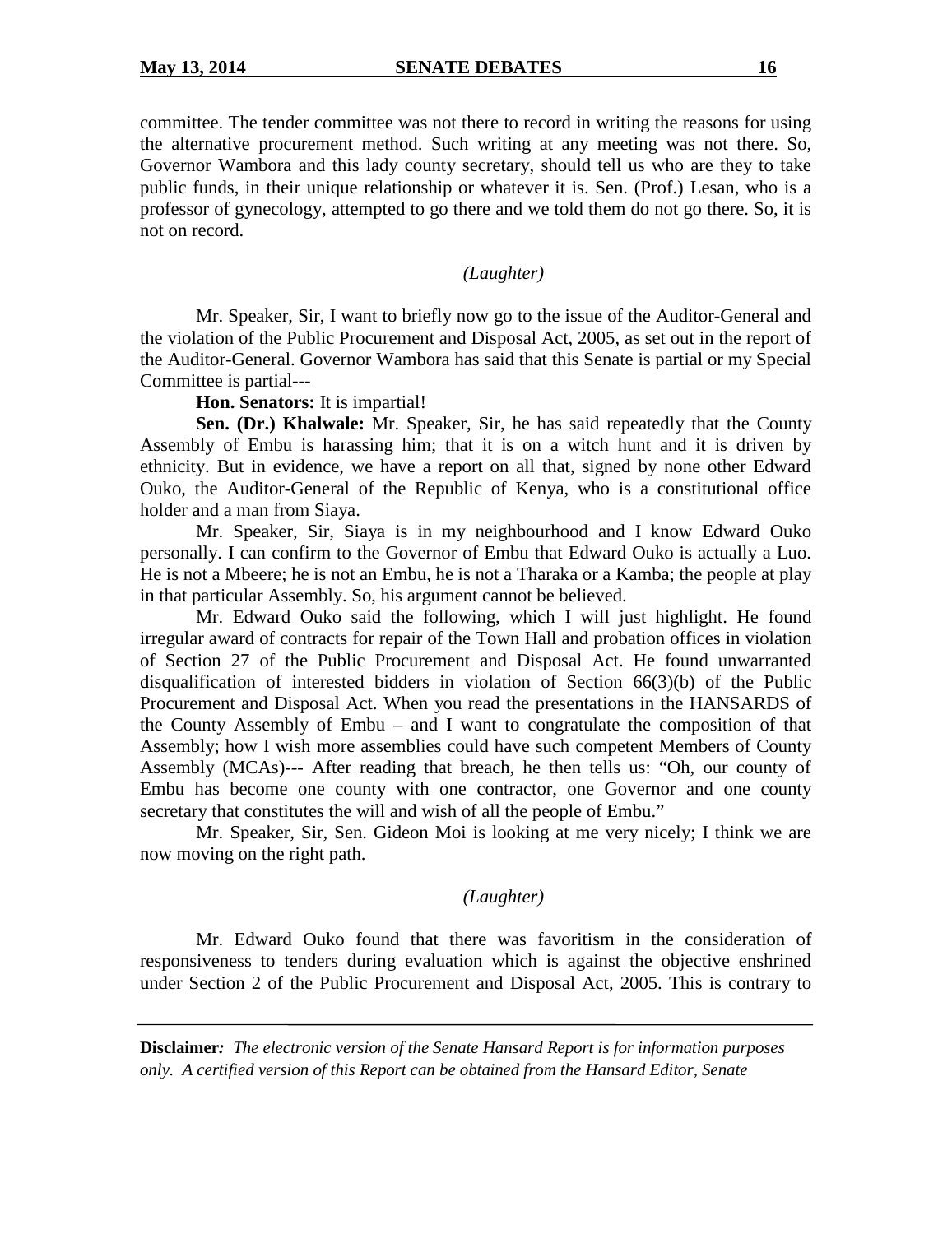committee. The tender committee was not there to record in writing the reasons for using the alternative procurement method. Such writing at any meeting was not there. So, Governor Wambora and this lady county secretary, should tell us who are they to take public funds, in their unique relationship or whatever it is. Sen. (Prof.) Lesan, who is a professor of gynecology, attempted to go there and we told them do not go there. So, it is not on record.

*(Laughter)*

Mr. Speaker, Sir, I want to briefly now go to the issue of the Auditor-General and the violation of the Public Procurement and Disposal Act, 2005, as set out in the report of the Auditor-General. Governor Wambora has said that this Senate is partial or my Special Committee is partial---

**Hon. Senators:** It is impartial!

**Sen. (Dr.) Khalwale:** Mr. Speaker, Sir, he has said repeatedly that the County Assembly of Embu is harassing him; that it is on a witch hunt and it is driven by ethnicity. But in evidence, we have a report on all that, signed by none other Edward Ouko, the Auditor-General of the Republic of Kenya, who is a constitutional office holder and a man from Siaya.

Mr. Speaker, Sir, Siaya is in my neighbourhood and I know Edward Ouko personally. I can confirm to the Governor of Embu that Edward Ouko is actually a Luo. He is not a Mbeere; he is not an Embu, he is not a Tharaka or a Kamba; the people at play in that particular Assembly. So, his argument cannot be believed.

Mr. Edward Ouko said the following, which I will just highlight. He found irregular award of contracts for repair of the Town Hall and probation offices in violation of Section 27 of the Public Procurement and Disposal Act. He found unwarranted disqualification of interested bidders in violation of Section 66(3)(b) of the Public Procurement and Disposal Act. When you read the presentations in the HANSARDS of the County Assembly of Embu – and I want to congratulate the composition of that Assembly; how I wish more assemblies could have such competent Members of County Assembly (MCAs)--- After reading that breach, he then tells us: "Oh, our county of Embu has become one county with one contractor, one Governor and one county secretary that constitutes the will and wish of all the people of Embu."

Mr. Speaker, Sir, Sen. Gideon Moi is looking at me very nicely; I think we are now moving on the right path.

# *(Laughter)*

Mr. Edward Ouko found that there was favoritism in the consideration of responsiveness to tenders during evaluation which is against the objective enshrined under Section 2 of the Public Procurement and Disposal Act, 2005. This is contrary to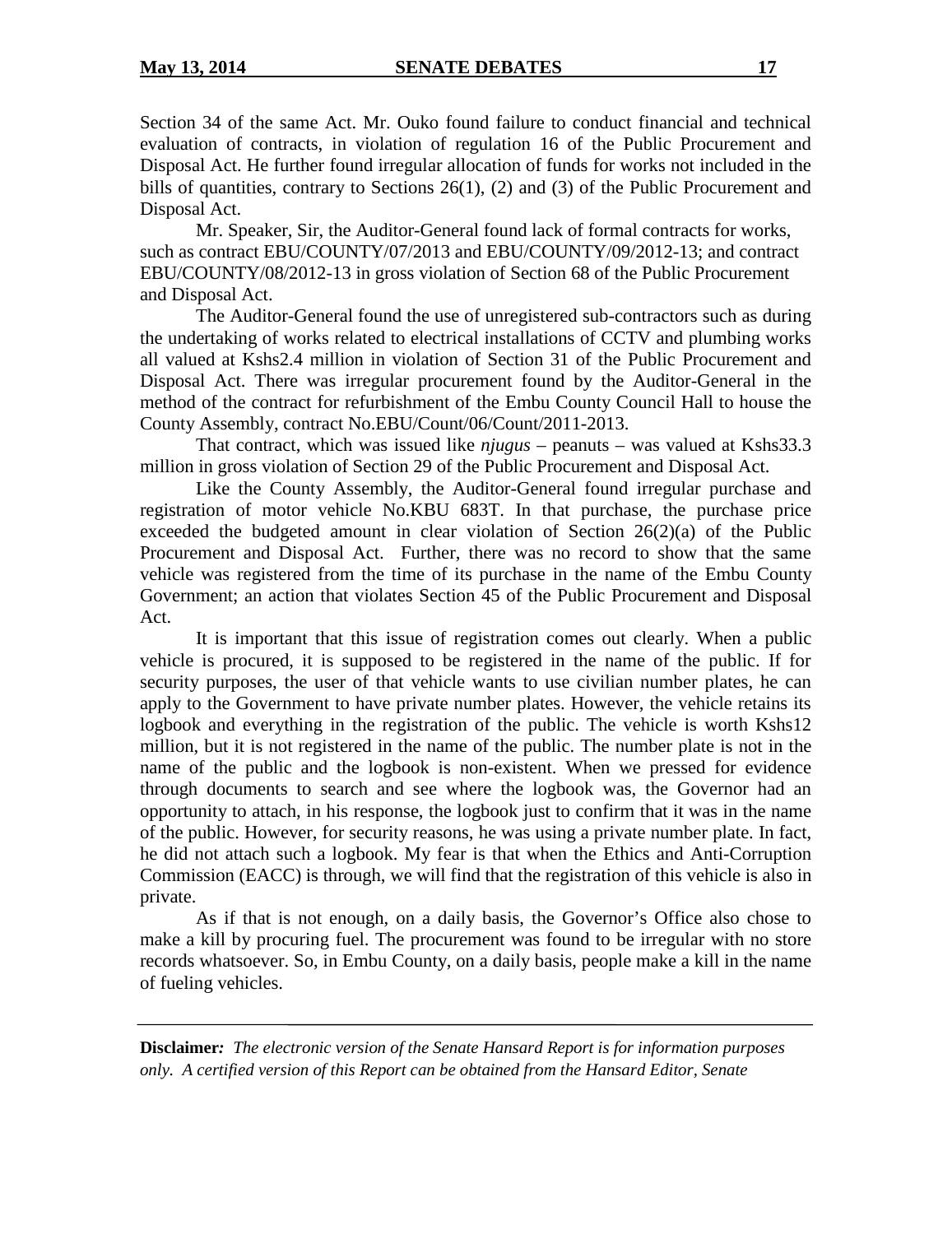Section 34 of the same Act. Mr. Ouko found failure to conduct financial and technical evaluation of contracts, in violation of regulation 16 of the Public Procurement and Disposal Act. He further found irregular allocation of funds for works not included in the bills of quantities, contrary to Sections 26(1), (2) and (3) of the Public Procurement and Disposal Act.

Mr. Speaker, Sir, the Auditor-General found lack of formal contracts for works, such as contract EBU/COUNTY/07/2013 and EBU/COUNTY/09/2012-13; and contract EBU/COUNTY/08/2012-13 in gross violation of Section 68 of the Public Procurement and Disposal Act.

The Auditor-General found the use of unregistered sub-contractors such as during the undertaking of works related to electrical installations of CCTV and plumbing works all valued at Kshs2.4 million in violation of Section 31 of the Public Procurement and Disposal Act. There was irregular procurement found by the Auditor-General in the method of the contract for refurbishment of the Embu County Council Hall to house the County Assembly, contract No.EBU/Count/06/Count/2011-2013.

That contract, which was issued like *njugus* – peanuts – was valued at Kshs33.3 million in gross violation of Section 29 of the Public Procurement and Disposal Act.

Like the County Assembly, the Auditor-General found irregular purchase and registration of motor vehicle No.KBU 683T. In that purchase, the purchase price exceeded the budgeted amount in clear violation of Section 26(2)(a) of the Public Procurement and Disposal Act. Further, there was no record to show that the same vehicle was registered from the time of its purchase in the name of the Embu County Government; an action that violates Section 45 of the Public Procurement and Disposal Act.

It is important that this issue of registration comes out clearly. When a public vehicle is procured, it is supposed to be registered in the name of the public. If for security purposes, the user of that vehicle wants to use civilian number plates, he can apply to the Government to have private number plates. However, the vehicle retains its logbook and everything in the registration of the public. The vehicle is worth Kshs12 million, but it is not registered in the name of the public. The number plate is not in the name of the public and the logbook is non-existent. When we pressed for evidence through documents to search and see where the logbook was, the Governor had an opportunity to attach, in his response, the logbook just to confirm that it was in the name of the public. However, for security reasons, he was using a private number plate. In fact, he did not attach such a logbook. My fear is that when the Ethics and Anti-Corruption Commission (EACC) is through, we will find that the registration of this vehicle is also in private.

As if that is not enough, on a daily basis, the Governor's Office also chose to make a kill by procuring fuel. The procurement was found to be irregular with no store records whatsoever. So, in Embu County, on a daily basis, people make a kill in the name of fueling vehicles.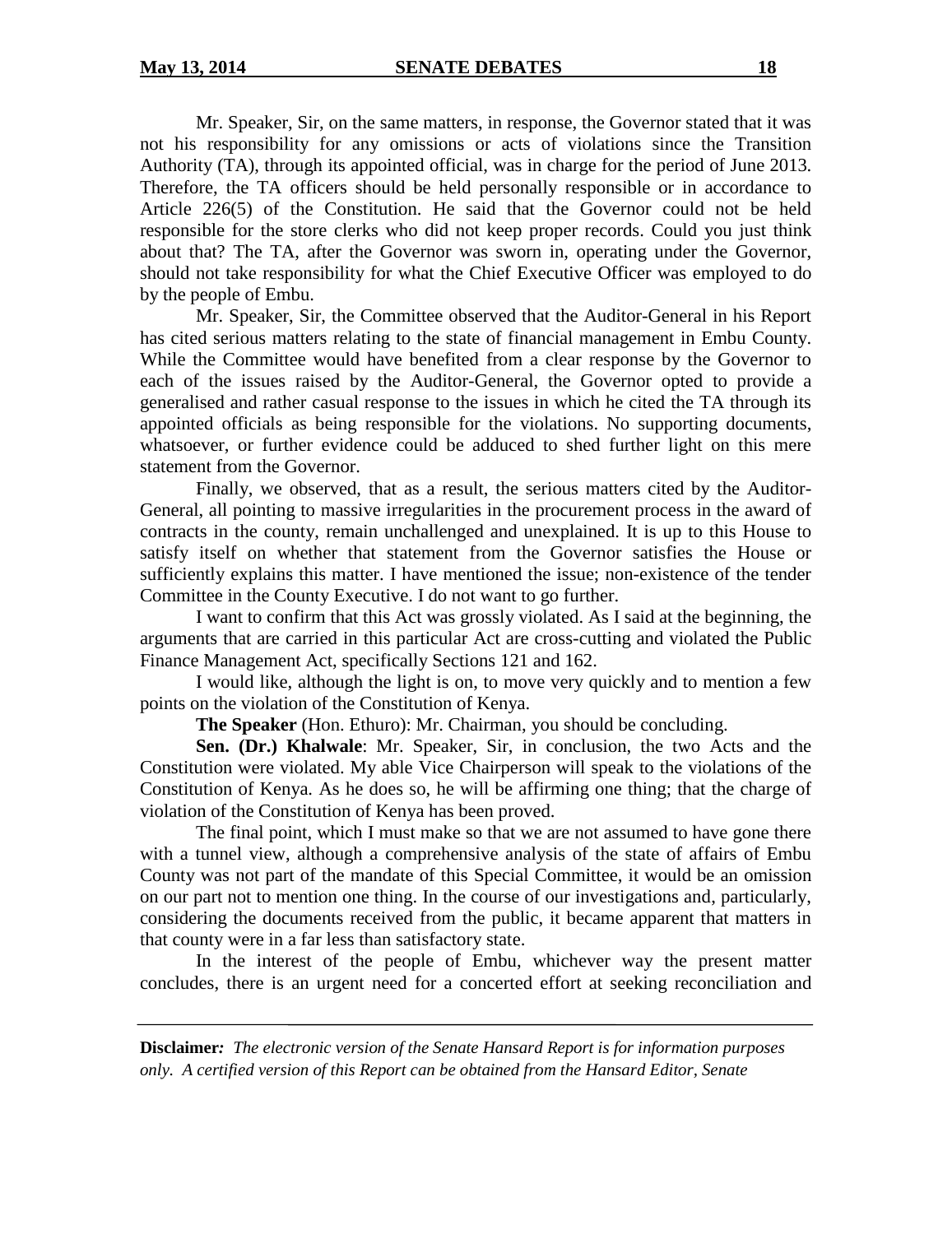Mr. Speaker, Sir, on the same matters, in response, the Governor stated that it was not his responsibility for any omissions or acts of violations since the Transition Authority (TA), through its appointed official, was in charge for the period of June 2013. Therefore, the TA officers should be held personally responsible or in accordance to Article 226(5) of the Constitution. He said that the Governor could not be held responsible for the store clerks who did not keep proper records. Could you just think about that? The TA, after the Governor was sworn in, operating under the Governor, should not take responsibility for what the Chief Executive Officer was employed to do by the people of Embu.

Mr. Speaker, Sir, the Committee observed that the Auditor-General in his Report has cited serious matters relating to the state of financial management in Embu County. While the Committee would have benefited from a clear response by the Governor to each of the issues raised by the Auditor-General, the Governor opted to provide a generalised and rather casual response to the issues in which he cited the TA through its appointed officials as being responsible for the violations. No supporting documents, whatsoever, or further evidence could be adduced to shed further light on this mere statement from the Governor.

Finally, we observed, that as a result, the serious matters cited by the Auditor-General, all pointing to massive irregularities in the procurement process in the award of contracts in the county, remain unchallenged and unexplained. It is up to this House to satisfy itself on whether that statement from the Governor satisfies the House or sufficiently explains this matter. I have mentioned the issue; non-existence of the tender Committee in the County Executive. I do not want to go further.

I want to confirm that this Act was grossly violated. As I said at the beginning, the arguments that are carried in this particular Act are cross-cutting and violated the Public Finance Management Act, specifically Sections 121 and 162.

I would like, although the light is on, to move very quickly and to mention a few points on the violation of the Constitution of Kenya.

**The Speaker** (Hon. Ethuro): Mr. Chairman, you should be concluding.

**Sen. (Dr.) Khalwale**: Mr. Speaker, Sir, in conclusion, the two Acts and the Constitution were violated. My able Vice Chairperson will speak to the violations of the Constitution of Kenya. As he does so, he will be affirming one thing; that the charge of violation of the Constitution of Kenya has been proved.

The final point, which I must make so that we are not assumed to have gone there with a tunnel view, although a comprehensive analysis of the state of affairs of Embu County was not part of the mandate of this Special Committee, it would be an omission on our part not to mention one thing. In the course of our investigations and, particularly, considering the documents received from the public, it became apparent that matters in that county were in a far less than satisfactory state.

In the interest of the people of Embu, whichever way the present matter concludes, there is an urgent need for a concerted effort at seeking reconciliation and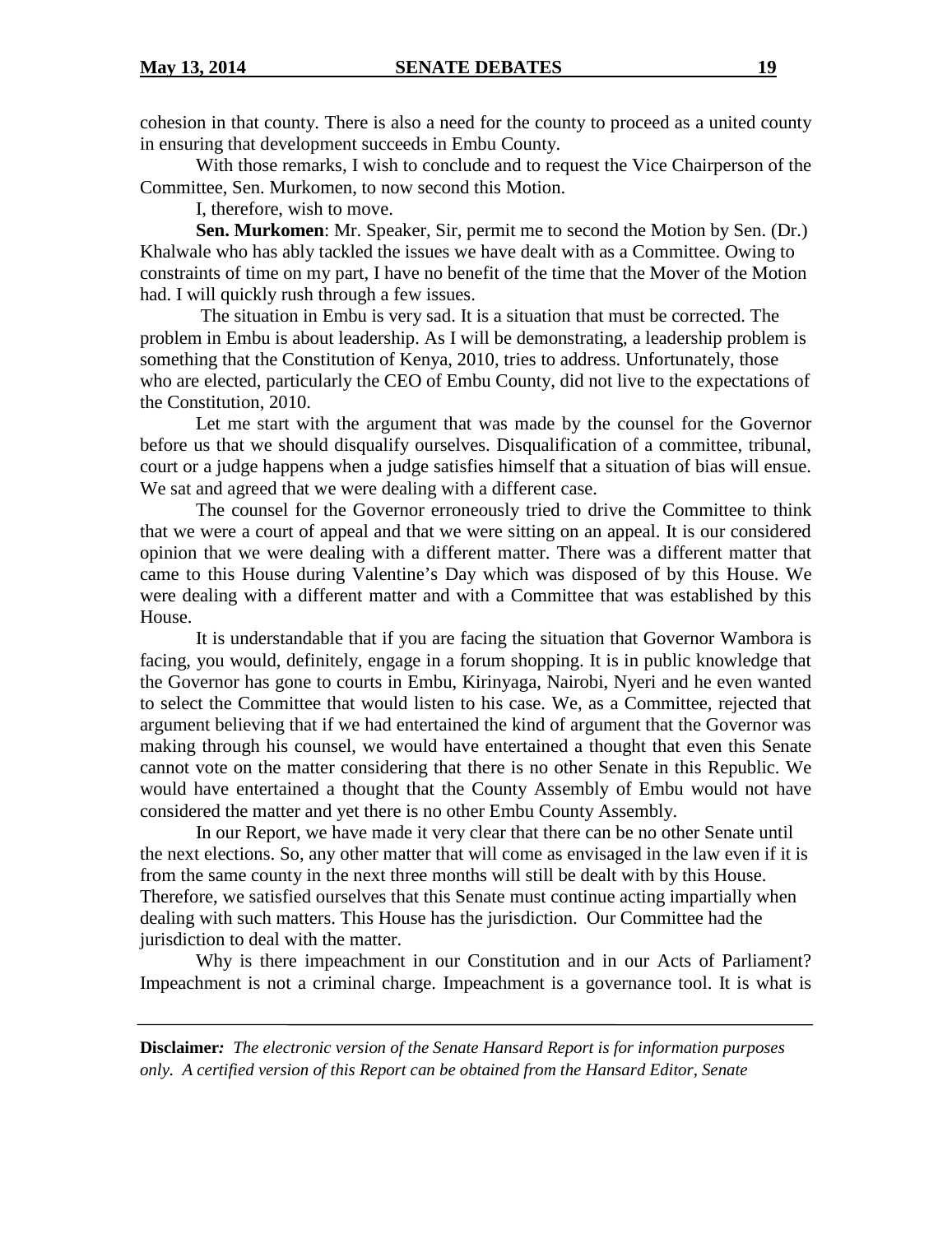cohesion in that county. There is also a need for the county to proceed as a united county in ensuring that development succeeds in Embu County.

With those remarks, I wish to conclude and to request the Vice Chairperson of the Committee, Sen. Murkomen, to now second this Motion.

I, therefore, wish to move.

**Sen. Murkomen**: Mr. Speaker, Sir, permit me to second the Motion by Sen. (Dr.) Khalwale who has ably tackled the issues we have dealt with as a Committee. Owing to constraints of time on my part, I have no benefit of the time that the Mover of the Motion had. I will quickly rush through a few issues.

The situation in Embu is very sad. It is a situation that must be corrected. The problem in Embu is about leadership. As I will be demonstrating, a leadership problem is something that the Constitution of Kenya, 2010, tries to address. Unfortunately, those who are elected, particularly the CEO of Embu County, did not live to the expectations of the Constitution, 2010.

Let me start with the argument that was made by the counsel for the Governor before us that we should disqualify ourselves. Disqualification of a committee, tribunal, court or a judge happens when a judge satisfies himself that a situation of bias will ensue. We sat and agreed that we were dealing with a different case.

The counsel for the Governor erroneously tried to drive the Committee to think that we were a court of appeal and that we were sitting on an appeal. It is our considered opinion that we were dealing with a different matter. There was a different matter that came to this House during Valentine's Day which was disposed of by this House. We were dealing with a different matter and with a Committee that was established by this House.

It is understandable that if you are facing the situation that Governor Wambora is facing, you would, definitely, engage in a forum shopping. It is in public knowledge that the Governor has gone to courts in Embu, Kirinyaga, Nairobi, Nyeri and he even wanted to select the Committee that would listen to his case. We, as a Committee, rejected that argument believing that if we had entertained the kind of argument that the Governor was making through his counsel, we would have entertained a thought that even this Senate cannot vote on the matter considering that there is no other Senate in this Republic. We would have entertained a thought that the County Assembly of Embu would not have considered the matter and yet there is no other Embu County Assembly.

In our Report, we have made it very clear that there can be no other Senate until the next elections. So, any other matter that will come as envisaged in the law even if it is from the same county in the next three months will still be dealt with by this House. Therefore, we satisfied ourselves that this Senate must continue acting impartially when dealing with such matters. This House has the jurisdiction. Our Committee had the jurisdiction to deal with the matter.

Why is there impeachment in our Constitution and in our Acts of Parliament? Impeachment is not a criminal charge. Impeachment is a governance tool. It is what is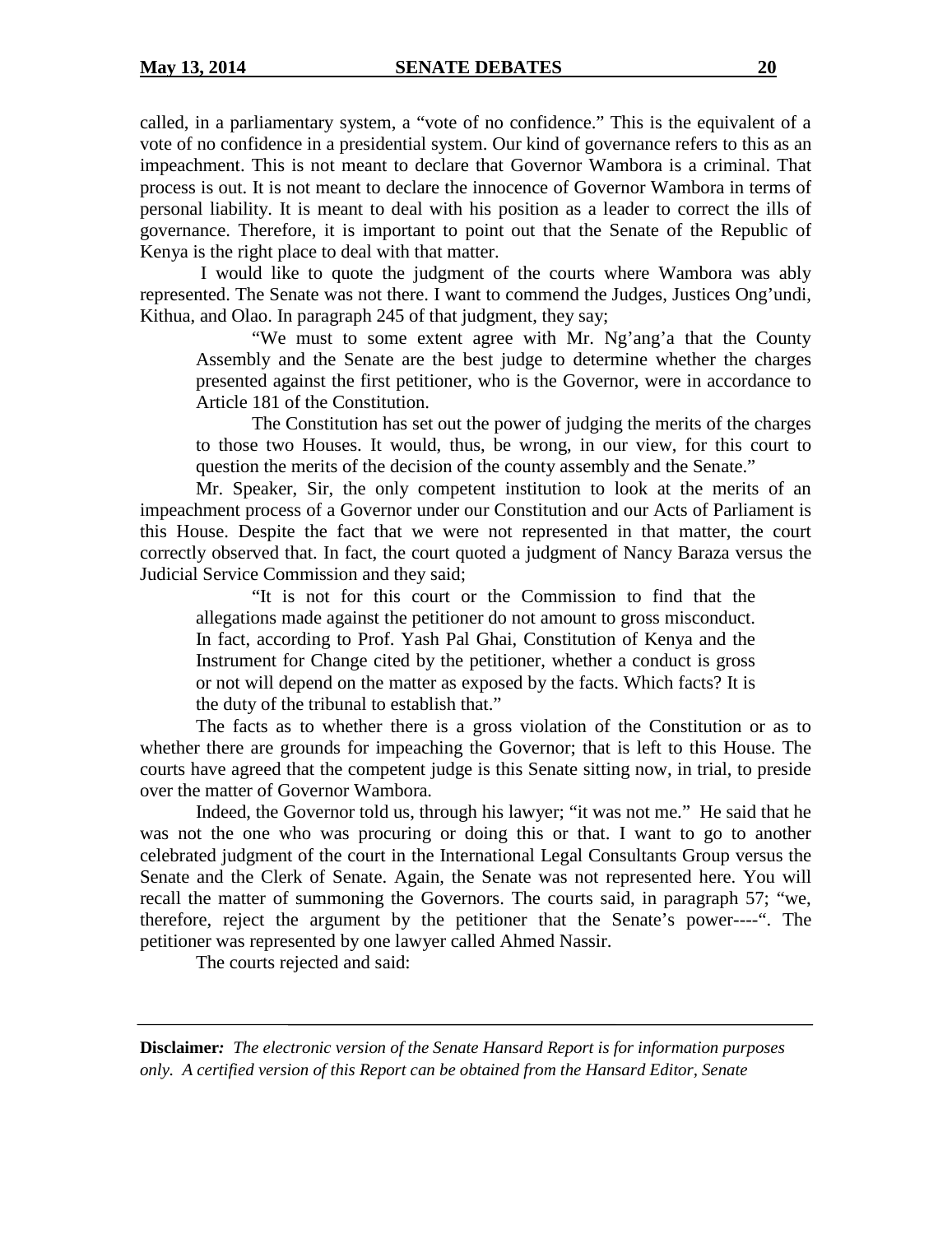called, in a parliamentary system, a "vote of no confidence." This is the equivalent of a vote of no confidence in a presidential system. Our kind of governance refers to this as an impeachment. This is not meant to declare that Governor Wambora is a criminal. That process is out. It is not meant to declare the innocence of Governor Wambora in terms of personal liability. It is meant to deal with his position as a leader to correct the ills of governance. Therefore, it is important to point out that the Senate of the Republic of Kenya is the right place to deal with that matter.

I would like to quote the judgment of the courts where Wambora was ably represented. The Senate was not there. I want to commend the Judges, Justices Ong'undi, Kithua, and Olao. In paragraph 245 of that judgment, they say;

"We must to some extent agree with Mr. Ng'ang'a that the County Assembly and the Senate are the best judge to determine whether the charges presented against the first petitioner, who is the Governor, were in accordance to Article 181 of the Constitution.

The Constitution has set out the power of judging the merits of the charges to those two Houses. It would, thus, be wrong, in our view, for this court to question the merits of the decision of the county assembly and the Senate."

Mr. Speaker, Sir, the only competent institution to look at the merits of an impeachment process of a Governor under our Constitution and our Acts of Parliament is this House. Despite the fact that we were not represented in that matter, the court correctly observed that. In fact, the court quoted a judgment of Nancy Baraza versus the Judicial Service Commission and they said;

"It is not for this court or the Commission to find that the allegations made against the petitioner do not amount to gross misconduct. In fact, according to Prof. Yash Pal Ghai, Constitution of Kenya and the Instrument for Change cited by the petitioner, whether a conduct is gross or not will depend on the matter as exposed by the facts. Which facts? It is the duty of the tribunal to establish that."

The facts as to whether there is a gross violation of the Constitution or as to whether there are grounds for impeaching the Governor; that is left to this House. The courts have agreed that the competent judge is this Senate sitting now, in trial, to preside over the matter of Governor Wambora.

Indeed, the Governor told us, through his lawyer; "it was not me." He said that he was not the one who was procuring or doing this or that. I want to go to another celebrated judgment of the court in the International Legal Consultants Group versus the Senate and the Clerk of Senate. Again, the Senate was not represented here. You will recall the matter of summoning the Governors. The courts said, in paragraph 57; "we, therefore, reject the argument by the petitioner that the Senate's power----". The petitioner was represented by one lawyer called Ahmed Nassir.

The courts rejected and said: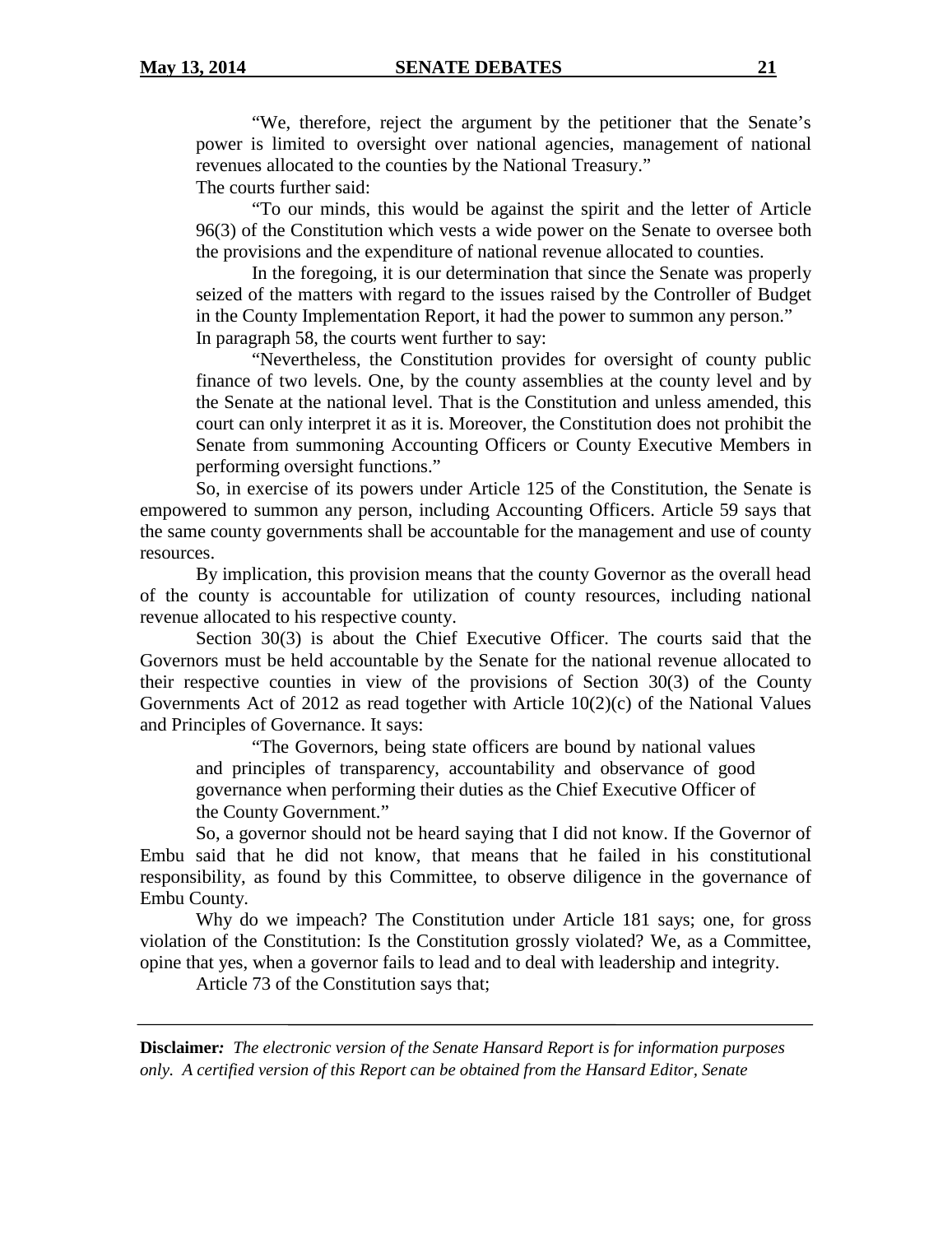"We, therefore, reject the argument by the petitioner that the Senate's power is limited to oversight over national agencies, management of national revenues allocated to the counties by the National Treasury."

The courts further said:

"To our minds, this would be against the spirit and the letter of Article 96(3) of the Constitution which vests a wide power on the Senate to oversee both the provisions and the expenditure of national revenue allocated to counties.

In the foregoing, it is our determination that since the Senate was properly seized of the matters with regard to the issues raised by the Controller of Budget in the County Implementation Report, it had the power to summon any person." In paragraph 58, the courts went further to say:

"Nevertheless, the Constitution provides for oversight of county public finance of two levels. One, by the county assemblies at the county level and by the Senate at the national level. That is the Constitution and unless amended, this court can only interpret it as it is. Moreover, the Constitution does not prohibit the Senate from summoning Accounting Officers or County Executive Members in performing oversight functions."

So, in exercise of its powers under Article 125 of the Constitution, the Senate is empowered to summon any person, including Accounting Officers. Article 59 says that the same county governments shall be accountable for the management and use of county resources.

By implication, this provision means that the county Governor as the overall head of the county is accountable for utilization of county resources, including national revenue allocated to his respective county.

Section 30(3) is about the Chief Executive Officer. The courts said that the Governors must be held accountable by the Senate for the national revenue allocated to their respective counties in view of the provisions of Section 30(3) of the County Governments Act of 2012 as read together with Article 10(2)(c) of the National Values and Principles of Governance. It says:

"The Governors, being state officers are bound by national values and principles of transparency, accountability and observance of good governance when performing their duties as the Chief Executive Officer of the County Government."

So, a governor should not be heard saying that I did not know. If the Governor of Embu said that he did not know, that means that he failed in his constitutional responsibility, as found by this Committee, to observe diligence in the governance of Embu County.

Why do we impeach? The Constitution under Article 181 says; one, for gross violation of the Constitution: Is the Constitution grossly violated? We, as a Committee, opine that yes, when a governor fails to lead and to deal with leadership and integrity.

Article 73 of the Constitution says that;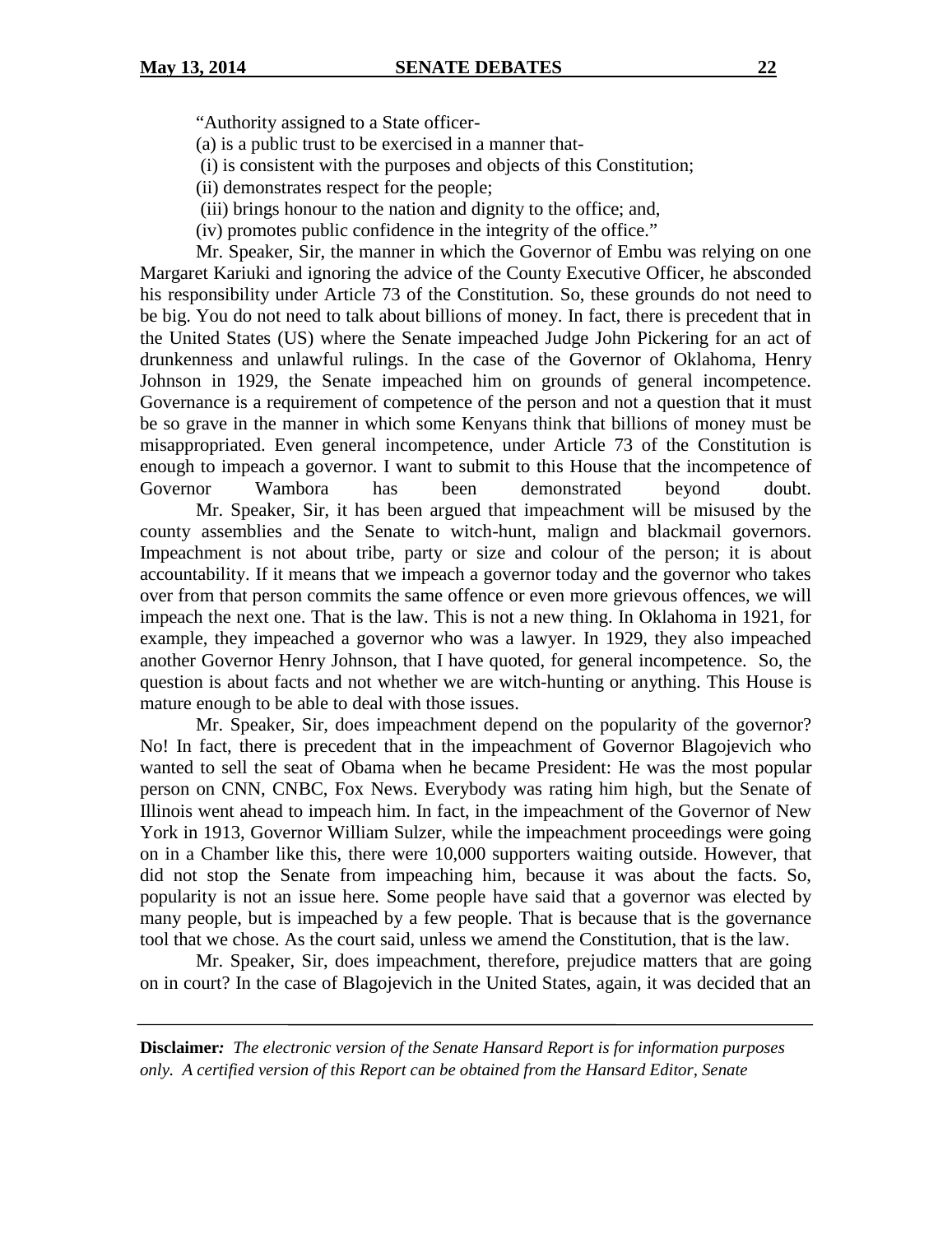"Authority assigned to a State officer-

(a) is a public trust to be exercised in a manner that-

(i) is consistent with the purposes and objects of this Constitution;

(ii) demonstrates respect for the people;

(iii) brings honour to the nation and dignity to the office; and,

(iv) promotes public confidence in the integrity of the office."

Mr. Speaker, Sir, the manner in which the Governor of Embu was relying on one Margaret Kariuki and ignoring the advice of the County Executive Officer, he absconded his responsibility under Article 73 of the Constitution. So, these grounds do not need to be big. You do not need to talk about billions of money. In fact, there is precedent that in the United States (US) where the Senate impeached Judge John Pickering for an act of drunkenness and unlawful rulings. In the case of the Governor of Oklahoma, Henry Johnson in 1929, the Senate impeached him on grounds of general incompetence. Governance is a requirement of competence of the person and not a question that it must be so grave in the manner in which some Kenyans think that billions of money must be misappropriated. Even general incompetence, under Article 73 of the Constitution is enough to impeach a governor. I want to submit to this House that the incompetence of Governor Wambora has been demonstrated beyond doubt.

Mr. Speaker, Sir, it has been argued that impeachment will be misused by the county assemblies and the Senate to witch-hunt, malign and blackmail governors. Impeachment is not about tribe, party or size and colour of the person; it is about accountability. If it means that we impeach a governor today and the governor who takes over from that person commits the same offence or even more grievous offences, we will impeach the next one. That is the law. This is not a new thing. In Oklahoma in 1921, for example, they impeached a governor who was a lawyer. In 1929, they also impeached another Governor Henry Johnson, that I have quoted, for general incompetence. So, the question is about facts and not whether we are witch-hunting or anything. This House is mature enough to be able to deal with those issues.

Mr. Speaker, Sir, does impeachment depend on the popularity of the governor? No! In fact, there is precedent that in the impeachment of Governor Blagojevich who wanted to sell the seat of Obama when he became President: He was the most popular person on CNN, CNBC, Fox News. Everybody was rating him high, but the Senate of Illinois went ahead to impeach him. In fact, in the impeachment of the Governor of New York in 1913, Governor William Sulzer, while the impeachment proceedings were going on in a Chamber like this, there were 10,000 supporters waiting outside. However, that did not stop the Senate from impeaching him, because it was about the facts. So, popularity is not an issue here. Some people have said that a governor was elected by many people, but is impeached by a few people. That is because that is the governance tool that we chose. As the court said, unless we amend the Constitution, that is the law.

Mr. Speaker, Sir, does impeachment, therefore, prejudice matters that are going on in court? In the case of Blagojevich in the United States, again, it was decided that an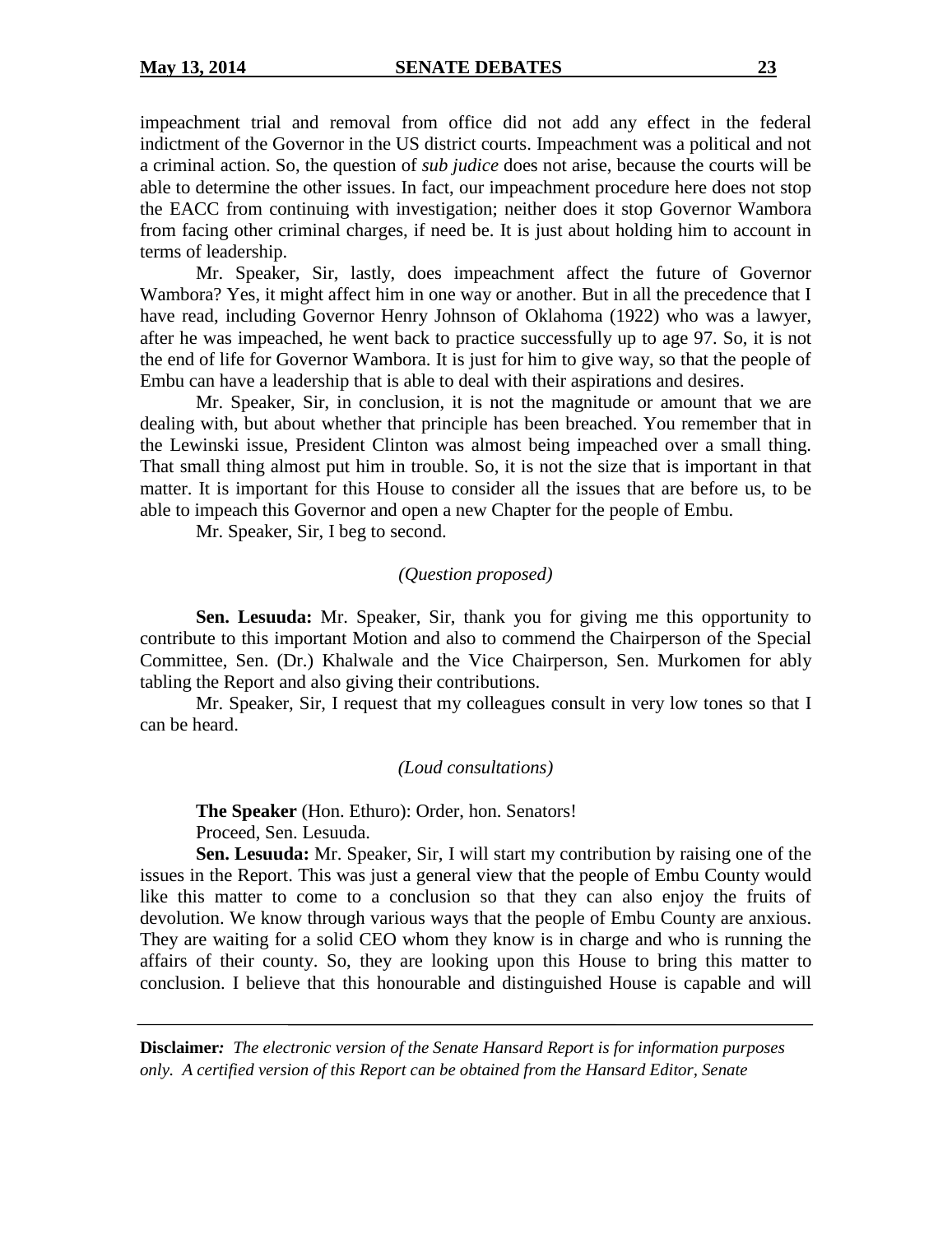impeachment trial and removal from office did not add any effect in the federal indictment of the Governor in the US district courts. Impeachment was a political and not a criminal action. So, the question of *sub judice* does not arise, because the courts will be able to determine the other issues. In fact, our impeachment procedure here does not stop the EACC from continuing with investigation; neither does it stop Governor Wambora from facing other criminal charges, if need be. It is just about holding him to account in terms of leadership.

Mr. Speaker, Sir, lastly, does impeachment affect the future of Governor Wambora? Yes, it might affect him in one way or another. But in all the precedence that I have read, including Governor Henry Johnson of Oklahoma (1922) who was a lawyer, after he was impeached, he went back to practice successfully up to age 97. So, it is not the end of life for Governor Wambora. It is just for him to give way, so that the people of Embu can have a leadership that is able to deal with their aspirations and desires.

Mr. Speaker, Sir, in conclusion, it is not the magnitude or amount that we are dealing with, but about whether that principle has been breached. You remember that in the Lewinski issue, President Clinton was almost being impeached over a small thing. That small thing almost put him in trouble. So, it is not the size that is important in that matter. It is important for this House to consider all the issues that are before us, to be able to impeach this Governor and open a new Chapter for the people of Embu.

Mr. Speaker, Sir, I beg to second.

#### *(Question proposed)*

**Sen. Lesuuda:** Mr. Speaker, Sir, thank you for giving me this opportunity to contribute to this important Motion and also to commend the Chairperson of the Special Committee, Sen. (Dr.) Khalwale and the Vice Chairperson, Sen. Murkomen for ably tabling the Report and also giving their contributions.

Mr. Speaker, Sir, I request that my colleagues consult in very low tones so that I can be heard.

#### *(Loud consultations)*

**The Speaker** (Hon. Ethuro): Order, hon. Senators! Proceed, Sen. Lesuuda.

**Sen. Lesuuda:** Mr. Speaker, Sir, I will start my contribution by raising one of the issues in the Report. This was just a general view that the people of Embu County would like this matter to come to a conclusion so that they can also enjoy the fruits of devolution. We know through various ways that the people of Embu County are anxious. They are waiting for a solid CEO whom they know is in charge and who is running the affairs of their county. So, they are looking upon this House to bring this matter to conclusion. I believe that this honourable and distinguished House is capable and will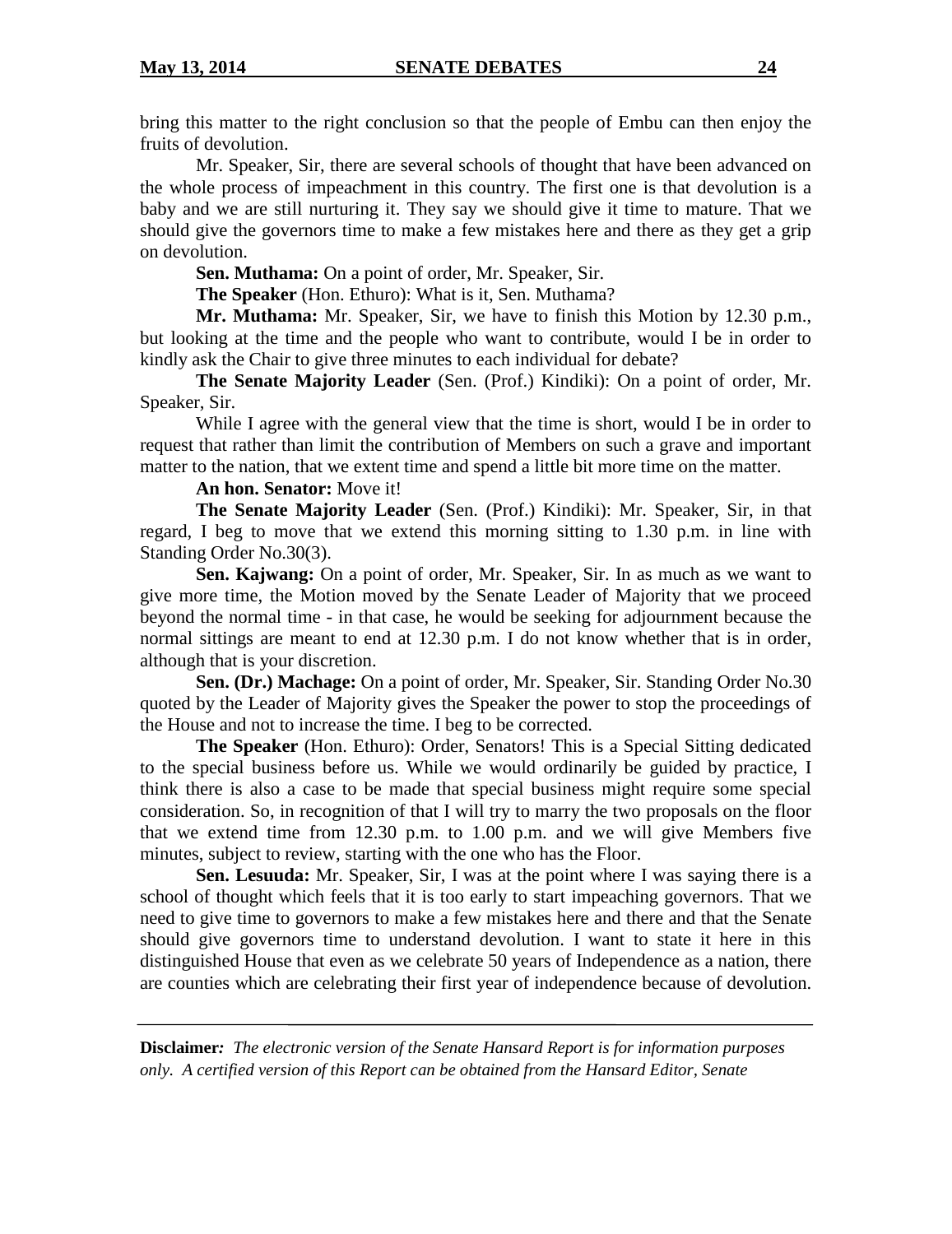bring this matter to the right conclusion so that the people of Embu can then enjoy the fruits of devolution.

Mr. Speaker, Sir, there are several schools of thought that have been advanced on the whole process of impeachment in this country. The first one is that devolution is a baby and we are still nurturing it. They say we should give it time to mature. That we should give the governors time to make a few mistakes here and there as they get a grip on devolution.

**Sen. Muthama:** On a point of order, Mr. Speaker, Sir.

**The Speaker** (Hon. Ethuro): What is it, Sen. Muthama?

**Mr. Muthama:** Mr. Speaker, Sir, we have to finish this Motion by 12.30 p.m., but looking at the time and the people who want to contribute, would I be in order to kindly ask the Chair to give three minutes to each individual for debate?

**The Senate Majority Leader** (Sen. (Prof.) Kindiki): On a point of order, Mr. Speaker, Sir.

While I agree with the general view that the time is short, would I be in order to request that rather than limit the contribution of Members on such a grave and important matter to the nation, that we extent time and spend a little bit more time on the matter.

#### **An hon. Senator:** Move it!

**The Senate Majority Leader** (Sen. (Prof.) Kindiki): Mr. Speaker, Sir, in that regard, I beg to move that we extend this morning sitting to 1.30 p.m. in line with Standing Order No.30(3).

**Sen. Kajwang:** On a point of order, Mr. Speaker, Sir. In as much as we want to give more time, the Motion moved by the Senate Leader of Majority that we proceed beyond the normal time - in that case, he would be seeking for adjournment because the normal sittings are meant to end at 12.30 p.m. I do not know whether that is in order, although that is your discretion.

**Sen. (Dr.) Machage:** On a point of order, Mr. Speaker, Sir. Standing Order No.30 quoted by the Leader of Majority gives the Speaker the power to stop the proceedings of the House and not to increase the time. I beg to be corrected.

**The Speaker** (Hon. Ethuro): Order, Senators! This is a Special Sitting dedicated to the special business before us. While we would ordinarily be guided by practice, I think there is also a case to be made that special business might require some special consideration. So, in recognition of that I will try to marry the two proposals on the floor that we extend time from 12.30 p.m. to 1.00 p.m. and we will give Members five minutes, subject to review, starting with the one who has the Floor.

**Sen. Lesuuda:** Mr. Speaker, Sir, I was at the point where I was saying there is a school of thought which feels that it is too early to start impeaching governors. That we need to give time to governors to make a few mistakes here and there and that the Senate should give governors time to understand devolution. I want to state it here in this distinguished House that even as we celebrate 50 years of Independence as a nation, there are counties which are celebrating their first year of independence because of devolution.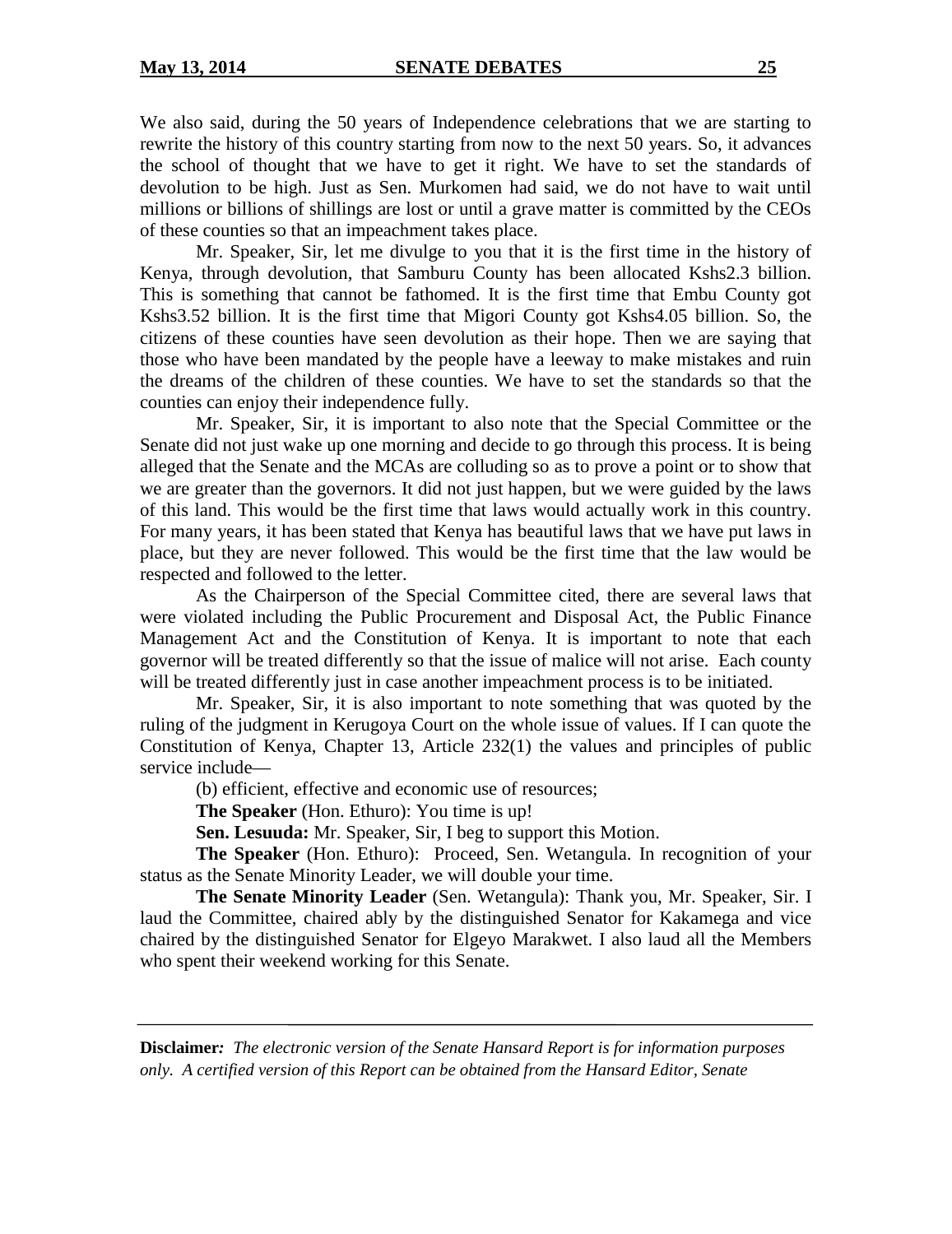We also said, during the 50 years of Independence celebrations that we are starting to rewrite the history of this country starting from now to the next 50 years. So, it advances the school of thought that we have to get it right. We have to set the standards of devolution to be high. Just as Sen. Murkomen had said, we do not have to wait until millions or billions of shillings are lost or until a grave matter is committed by the CEOs of these counties so that an impeachment takes place.

Mr. Speaker, Sir, let me divulge to you that it is the first time in the history of Kenya, through devolution, that Samburu County has been allocated Kshs2.3 billion. This is something that cannot be fathomed. It is the first time that Embu County got Kshs3.52 billion. It is the first time that Migori County got Kshs4.05 billion. So, the citizens of these counties have seen devolution as their hope. Then we are saying that those who have been mandated by the people have a leeway to make mistakes and ruin the dreams of the children of these counties. We have to set the standards so that the counties can enjoy their independence fully.

Mr. Speaker, Sir, it is important to also note that the Special Committee or the Senate did not just wake up one morning and decide to go through this process. It is being alleged that the Senate and the MCAs are colluding so as to prove a point or to show that we are greater than the governors. It did not just happen, but we were guided by the laws of this land. This would be the first time that laws would actually work in this country. For many years, it has been stated that Kenya has beautiful laws that we have put laws in place, but they are never followed. This would be the first time that the law would be respected and followed to the letter.

As the Chairperson of the Special Committee cited, there are several laws that were violated including the Public Procurement and Disposal Act, the Public Finance Management Act and the Constitution of Kenya. It is important to note that each governor will be treated differently so that the issue of malice will not arise. Each county will be treated differently just in case another impeachment process is to be initiated.

Mr. Speaker, Sir, it is also important to note something that was quoted by the ruling of the judgment in Kerugoya Court on the whole issue of values. If I can quote the Constitution of Kenya, Chapter 13, Article 232(1) the values and principles of public service include—

(b) efficient, effective and economic use of resources;

**The Speaker** (Hon. Ethuro): You time is up!

**Sen. Lesuuda:** Mr. Speaker, Sir, I beg to support this Motion.

**The Speaker** (Hon. Ethuro): Proceed, Sen. Wetangula. In recognition of your status as the Senate Minority Leader, we will double your time.

**The Senate Minority Leader** (Sen. Wetangula): Thank you, Mr. Speaker, Sir. I laud the Committee, chaired ably by the distinguished Senator for Kakamega and vice chaired by the distinguished Senator for Elgeyo Marakwet. I also laud all the Members who spent their weekend working for this Senate.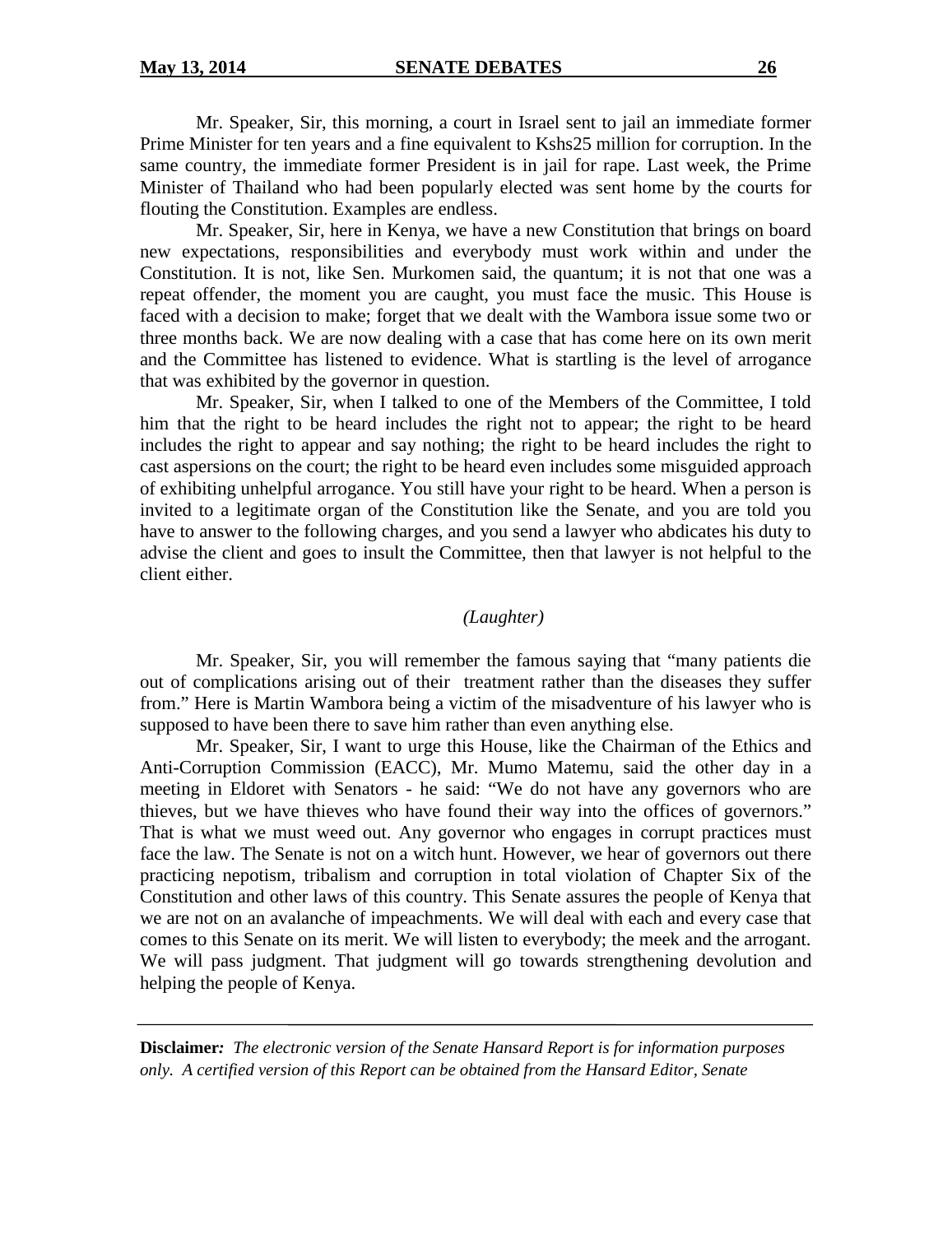Mr. Speaker, Sir, this morning, a court in Israel sent to jail an immediate former Prime Minister for ten years and a fine equivalent to Kshs25 million for corruption. In the same country, the immediate former President is in jail for rape. Last week, the Prime Minister of Thailand who had been popularly elected was sent home by the courts for flouting the Constitution. Examples are endless.

Mr. Speaker, Sir, here in Kenya, we have a new Constitution that brings on board new expectations, responsibilities and everybody must work within and under the Constitution. It is not, like Sen. Murkomen said, the quantum; it is not that one was a repeat offender, the moment you are caught, you must face the music. This House is faced with a decision to make; forget that we dealt with the Wambora issue some two or three months back. We are now dealing with a case that has come here on its own merit and the Committee has listened to evidence. What is startling is the level of arrogance that was exhibited by the governor in question.

Mr. Speaker, Sir, when I talked to one of the Members of the Committee, I told him that the right to be heard includes the right not to appear; the right to be heard includes the right to appear and say nothing; the right to be heard includes the right to cast aspersions on the court; the right to be heard even includes some misguided approach of exhibiting unhelpful arrogance. You still have your right to be heard. When a person is invited to a legitimate organ of the Constitution like the Senate, and you are told you have to answer to the following charges, and you send a lawyer who abdicates his duty to advise the client and goes to insult the Committee, then that lawyer is not helpful to the client either.

#### *(Laughter)*

Mr. Speaker, Sir, you will remember the famous saying that "many patients die out of complications arising out of their treatment rather than the diseases they suffer from." Here is Martin Wambora being a victim of the misadventure of his lawyer who is supposed to have been there to save him rather than even anything else.

Mr. Speaker, Sir, I want to urge this House, like the Chairman of the Ethics and Anti-Corruption Commission (EACC), Mr. Mumo Matemu, said the other day in a meeting in Eldoret with Senators - he said: "We do not have any governors who are thieves, but we have thieves who have found their way into the offices of governors." That is what we must weed out. Any governor who engages in corrupt practices must face the law. The Senate is not on a witch hunt. However, we hear of governors out there practicing nepotism, tribalism and corruption in total violation of Chapter Six of the Constitution and other laws of this country. This Senate assures the people of Kenya that we are not on an avalanche of impeachments. We will deal with each and every case that comes to this Senate on its merit. We will listen to everybody; the meek and the arrogant. We will pass judgment. That judgment will go towards strengthening devolution and helping the people of Kenya.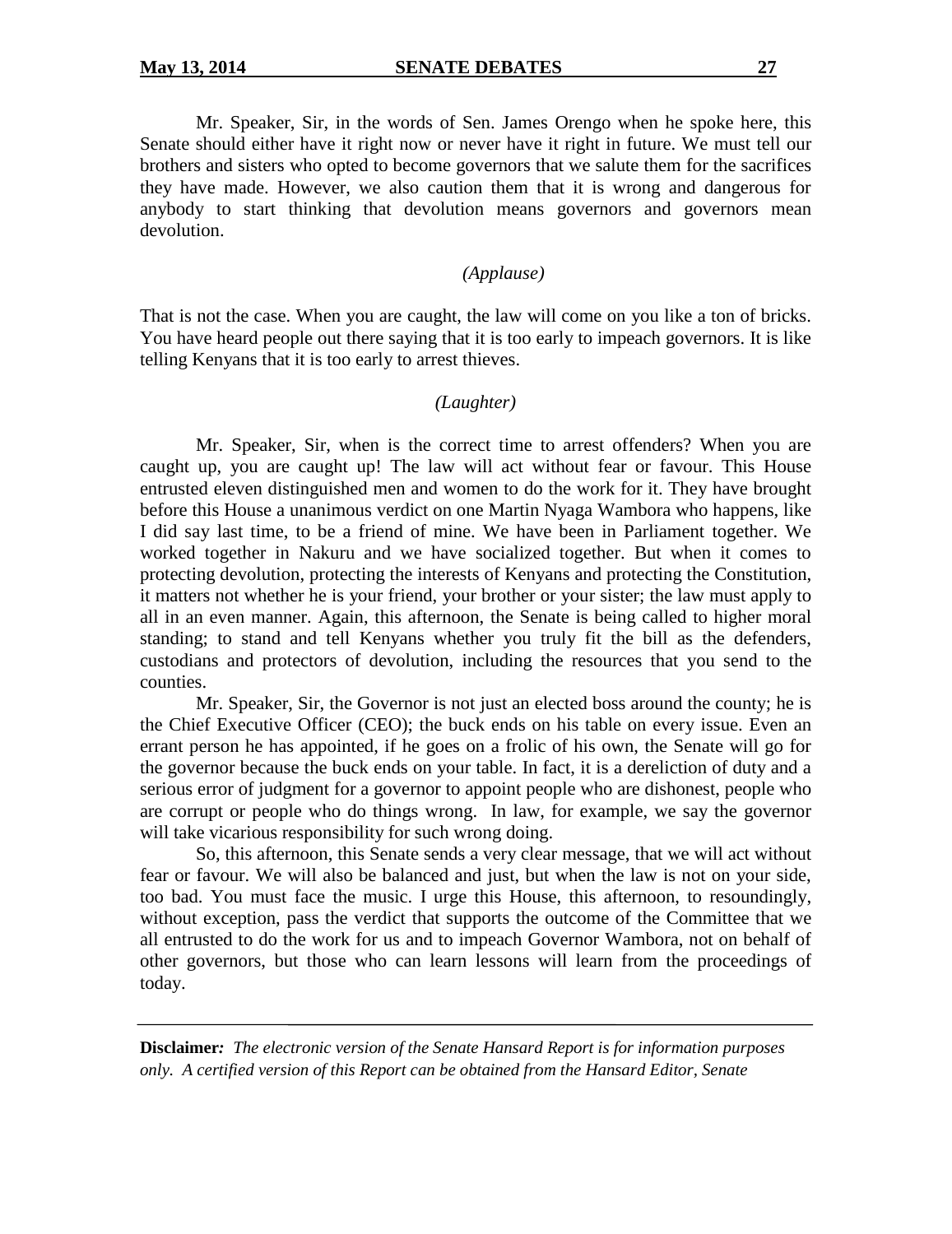Mr. Speaker, Sir, in the words of Sen. James Orengo when he spoke here, this Senate should either have it right now or never have it right in future. We must tell our brothers and sisters who opted to become governors that we salute them for the sacrifices they have made. However, we also caution them that it is wrong and dangerous for anybody to start thinking that devolution means governors and governors mean devolution.

# *(Applause)*

That is not the case. When you are caught, the law will come on you like a ton of bricks. You have heard people out there saying that it is too early to impeach governors. It is like telling Kenyans that it is too early to arrest thieves.

#### *(Laughter)*

Mr. Speaker, Sir, when is the correct time to arrest offenders? When you are caught up, you are caught up! The law will act without fear or favour. This House entrusted eleven distinguished men and women to do the work for it. They have brought before this House a unanimous verdict on one Martin Nyaga Wambora who happens, like I did say last time, to be a friend of mine. We have been in Parliament together. We worked together in Nakuru and we have socialized together. But when it comes to protecting devolution, protecting the interests of Kenyans and protecting the Constitution, it matters not whether he is your friend, your brother or your sister; the law must apply to all in an even manner. Again, this afternoon, the Senate is being called to higher moral standing; to stand and tell Kenyans whether you truly fit the bill as the defenders, custodians and protectors of devolution, including the resources that you send to the counties.

Mr. Speaker, Sir, the Governor is not just an elected boss around the county; he is the Chief Executive Officer (CEO); the buck ends on his table on every issue. Even an errant person he has appointed, if he goes on a frolic of his own, the Senate will go for the governor because the buck ends on your table. In fact, it is a dereliction of duty and a serious error of judgment for a governor to appoint people who are dishonest, people who are corrupt or people who do things wrong. In law, for example, we say the governor will take vicarious responsibility for such wrong doing.

So, this afternoon, this Senate sends a very clear message, that we will act without fear or favour. We will also be balanced and just, but when the law is not on your side, too bad. You must face the music. I urge this House, this afternoon, to resoundingly, without exception, pass the verdict that supports the outcome of the Committee that we all entrusted to do the work for us and to impeach Governor Wambora, not on behalf of other governors, but those who can learn lessons will learn from the proceedings of today.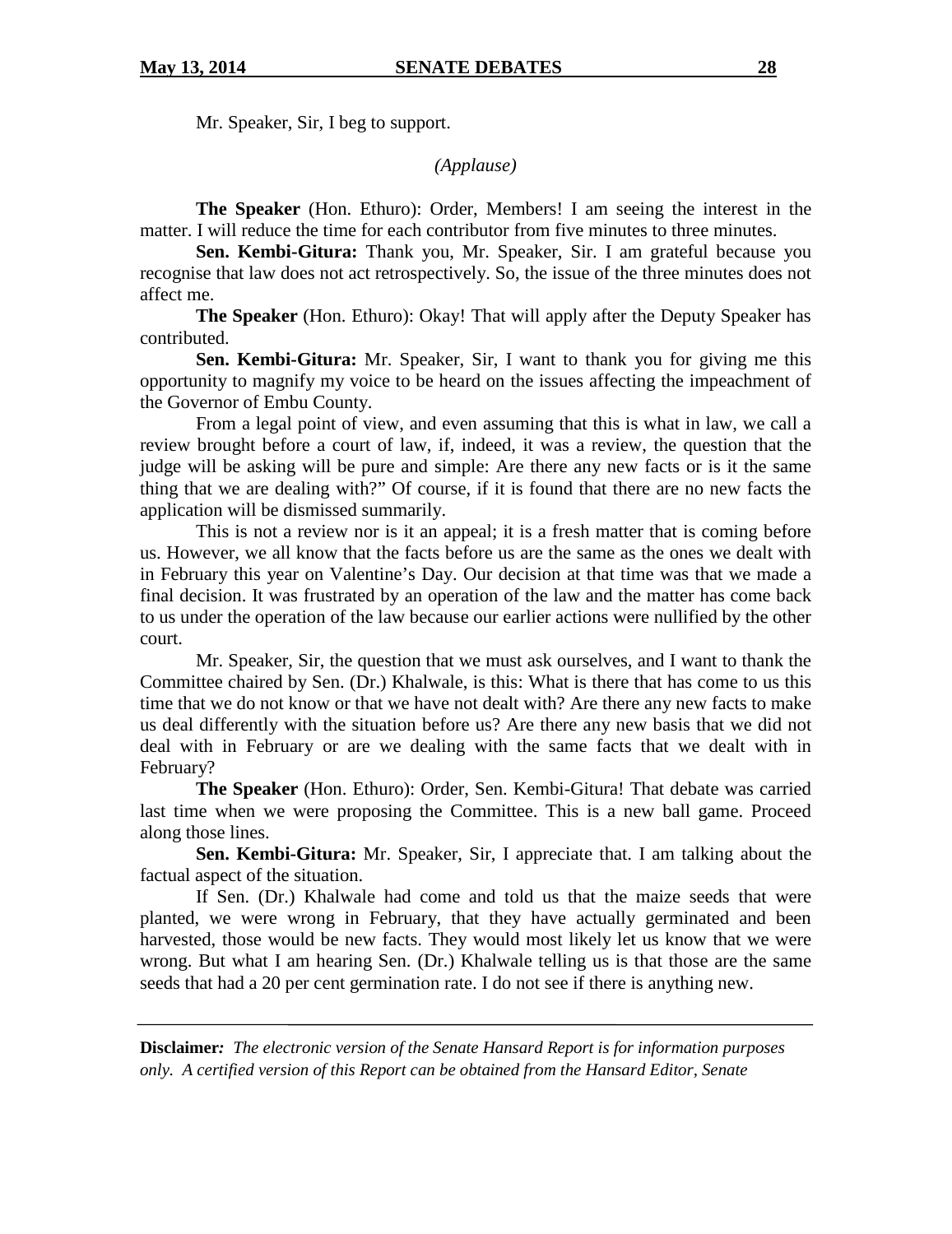Mr. Speaker, Sir, I beg to support.

*(Applause)*

**The Speaker** (Hon. Ethuro): Order, Members! I am seeing the interest in the matter. I will reduce the time for each contributor from five minutes to three minutes.

**Sen. Kembi-Gitura:** Thank you, Mr. Speaker, Sir. I am grateful because you recognise that law does not act retrospectively. So, the issue of the three minutes does not affect me.

**The Speaker** (Hon. Ethuro): Okay! That will apply after the Deputy Speaker has contributed.

**Sen. Kembi-Gitura:** Mr. Speaker, Sir, I want to thank you for giving me this opportunity to magnify my voice to be heard on the issues affecting the impeachment of the Governor of Embu County.

From a legal point of view, and even assuming that this is what in law, we call a review brought before a court of law, if, indeed, it was a review, the question that the judge will be asking will be pure and simple: Are there any new facts or is it the same thing that we are dealing with?" Of course, if it is found that there are no new facts the application will be dismissed summarily.

This is not a review nor is it an appeal; it is a fresh matter that is coming before us. However, we all know that the facts before us are the same as the ones we dealt with in February this year on Valentine's Day. Our decision at that time was that we made a final decision. It was frustrated by an operation of the law and the matter has come back to us under the operation of the law because our earlier actions were nullified by the other court.

Mr. Speaker, Sir, the question that we must ask ourselves, and I want to thank the Committee chaired by Sen. (Dr.) Khalwale, is this: What is there that has come to us this time that we do not know or that we have not dealt with? Are there any new facts to make us deal differently with the situation before us? Are there any new basis that we did not deal with in February or are we dealing with the same facts that we dealt with in February?

**The Speaker** (Hon. Ethuro): Order, Sen. Kembi-Gitura! That debate was carried last time when we were proposing the Committee. This is a new ball game. Proceed along those lines.

**Sen. Kembi-Gitura:** Mr. Speaker, Sir, I appreciate that. I am talking about the factual aspect of the situation.

If Sen. (Dr.) Khalwale had come and told us that the maize seeds that were planted, we were wrong in February, that they have actually germinated and been harvested, those would be new facts. They would most likely let us know that we were wrong. But what I am hearing Sen. (Dr.) Khalwale telling us is that those are the same seeds that had a 20 per cent germination rate. I do not see if there is anything new.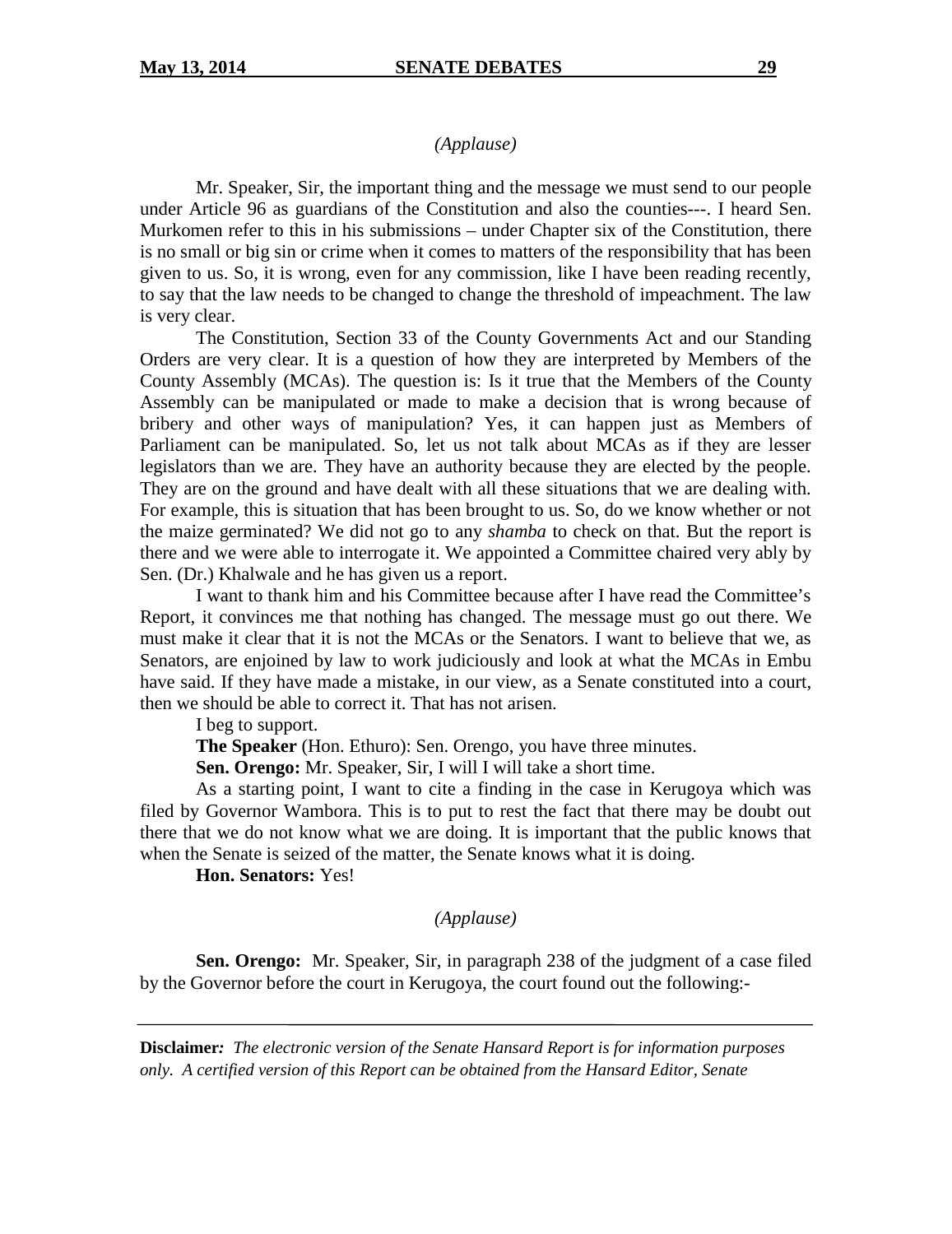#### *(Applause)*

Mr. Speaker, Sir, the important thing and the message we must send to our people under Article 96 as guardians of the Constitution and also the counties---. I heard Sen. Murkomen refer to this in his submissions – under Chapter six of the Constitution, there is no small or big sin or crime when it comes to matters of the responsibility that has been given to us. So, it is wrong, even for any commission, like I have been reading recently, to say that the law needs to be changed to change the threshold of impeachment. The law is very clear.

The Constitution, Section 33 of the County Governments Act and our Standing Orders are very clear. It is a question of how they are interpreted by Members of the County Assembly (MCAs). The question is: Is it true that the Members of the County Assembly can be manipulated or made to make a decision that is wrong because of bribery and other ways of manipulation? Yes, it can happen just as Members of Parliament can be manipulated. So, let us not talk about MCAs as if they are lesser legislators than we are. They have an authority because they are elected by the people. They are on the ground and have dealt with all these situations that we are dealing with. For example, this is situation that has been brought to us. So, do we know whether or not the maize germinated? We did not go to any *shamba* to check on that. But the report is there and we were able to interrogate it. We appointed a Committee chaired very ably by Sen. (Dr.) Khalwale and he has given us a report.

I want to thank him and his Committee because after I have read the Committee's Report, it convinces me that nothing has changed. The message must go out there. We must make it clear that it is not the MCAs or the Senators. I want to believe that we, as Senators, are enjoined by law to work judiciously and look at what the MCAs in Embu have said. If they have made a mistake, in our view, as a Senate constituted into a court, then we should be able to correct it. That has not arisen.

I beg to support.

**The Speaker** (Hon. Ethuro): Sen. Orengo, you have three minutes.

**Sen. Orengo:** Mr. Speaker, Sir, I will I will take a short time.

As a starting point, I want to cite a finding in the case in Kerugoya which was filed by Governor Wambora. This is to put to rest the fact that there may be doubt out there that we do not know what we are doing. It is important that the public knows that when the Senate is seized of the matter, the Senate knows what it is doing.

**Hon. Senators:** Yes!

*(Applause)*

**Sen. Orengo:** Mr. Speaker, Sir, in paragraph 238 of the judgment of a case filed by the Governor before the court in Kerugoya, the court found out the following:-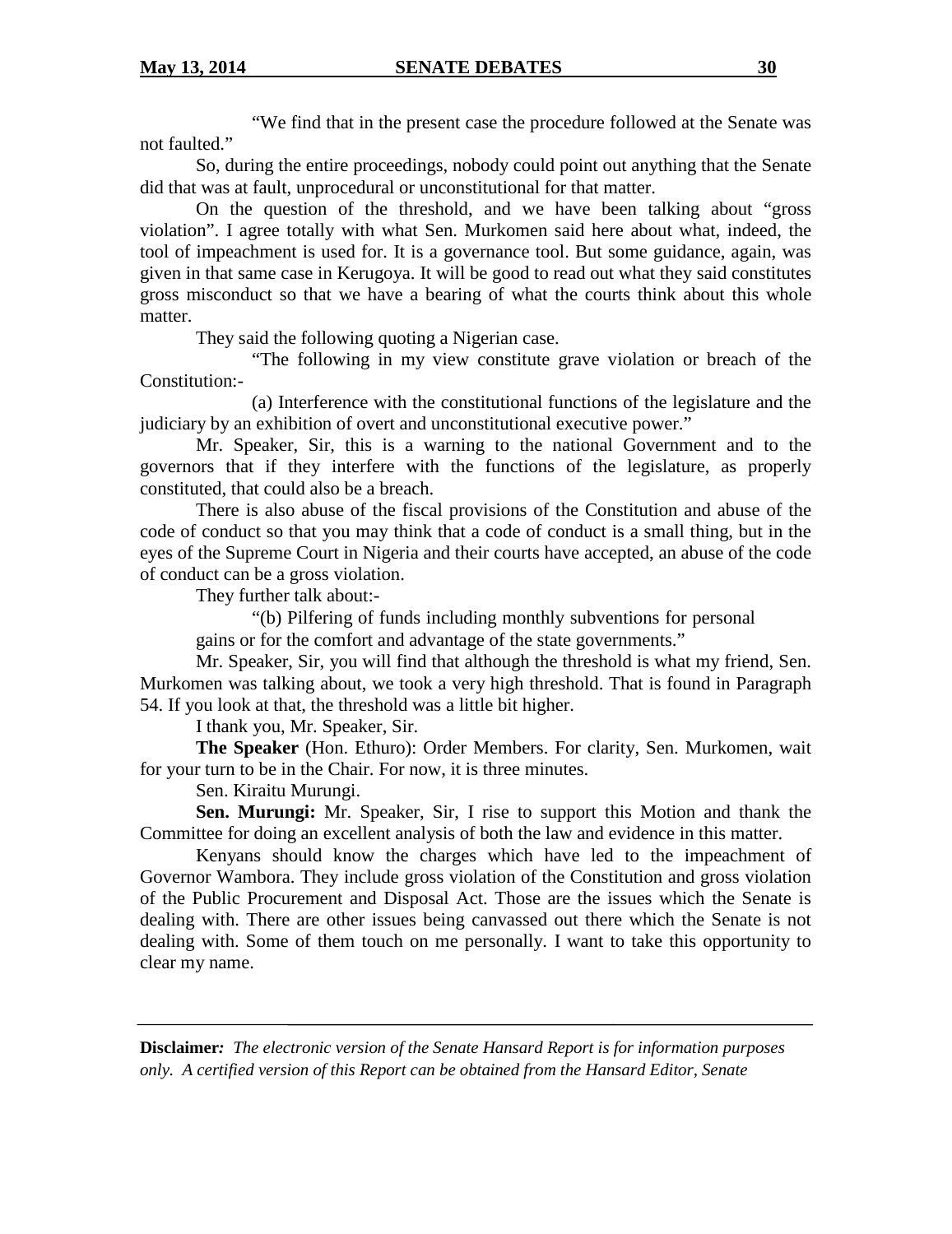"We find that in the present case the procedure followed at the Senate was not faulted."

So, during the entire proceedings, nobody could point out anything that the Senate did that was at fault, unprocedural or unconstitutional for that matter.

On the question of the threshold, and we have been talking about "gross violation". I agree totally with what Sen. Murkomen said here about what, indeed, the tool of impeachment is used for. It is a governance tool. But some guidance, again, was given in that same case in Kerugoya. It will be good to read out what they said constitutes gross misconduct so that we have a bearing of what the courts think about this whole matter.

They said the following quoting a Nigerian case.

"The following in my view constitute grave violation or breach of the Constitution:-

(a) Interference with the constitutional functions of the legislature and the judiciary by an exhibition of overt and unconstitutional executive power."

Mr. Speaker, Sir, this is a warning to the national Government and to the governors that if they interfere with the functions of the legislature, as properly constituted, that could also be a breach.

There is also abuse of the fiscal provisions of the Constitution and abuse of the code of conduct so that you may think that a code of conduct is a small thing, but in the eyes of the Supreme Court in Nigeria and their courts have accepted, an abuse of the code of conduct can be a gross violation.

They further talk about:-

"(b) Pilfering of funds including monthly subventions for personal gains or for the comfort and advantage of the state governments."

Mr. Speaker, Sir, you will find that although the threshold is what my friend, Sen. Murkomen was talking about, we took a very high threshold. That is found in Paragraph 54. If you look at that, the threshold was a little bit higher.

I thank you, Mr. Speaker, Sir.

**The Speaker** (Hon. Ethuro): Order Members. For clarity, Sen. Murkomen, wait for your turn to be in the Chair. For now, it is three minutes.

Sen. Kiraitu Murungi.

**Sen. Murungi:** Mr. Speaker, Sir, I rise to support this Motion and thank the Committee for doing an excellent analysis of both the law and evidence in this matter.

Kenyans should know the charges which have led to the impeachment of Governor Wambora. They include gross violation of the Constitution and gross violation of the Public Procurement and Disposal Act. Those are the issues which the Senate is dealing with. There are other issues being canvassed out there which the Senate is not dealing with. Some of them touch on me personally. I want to take this opportunity to clear my name.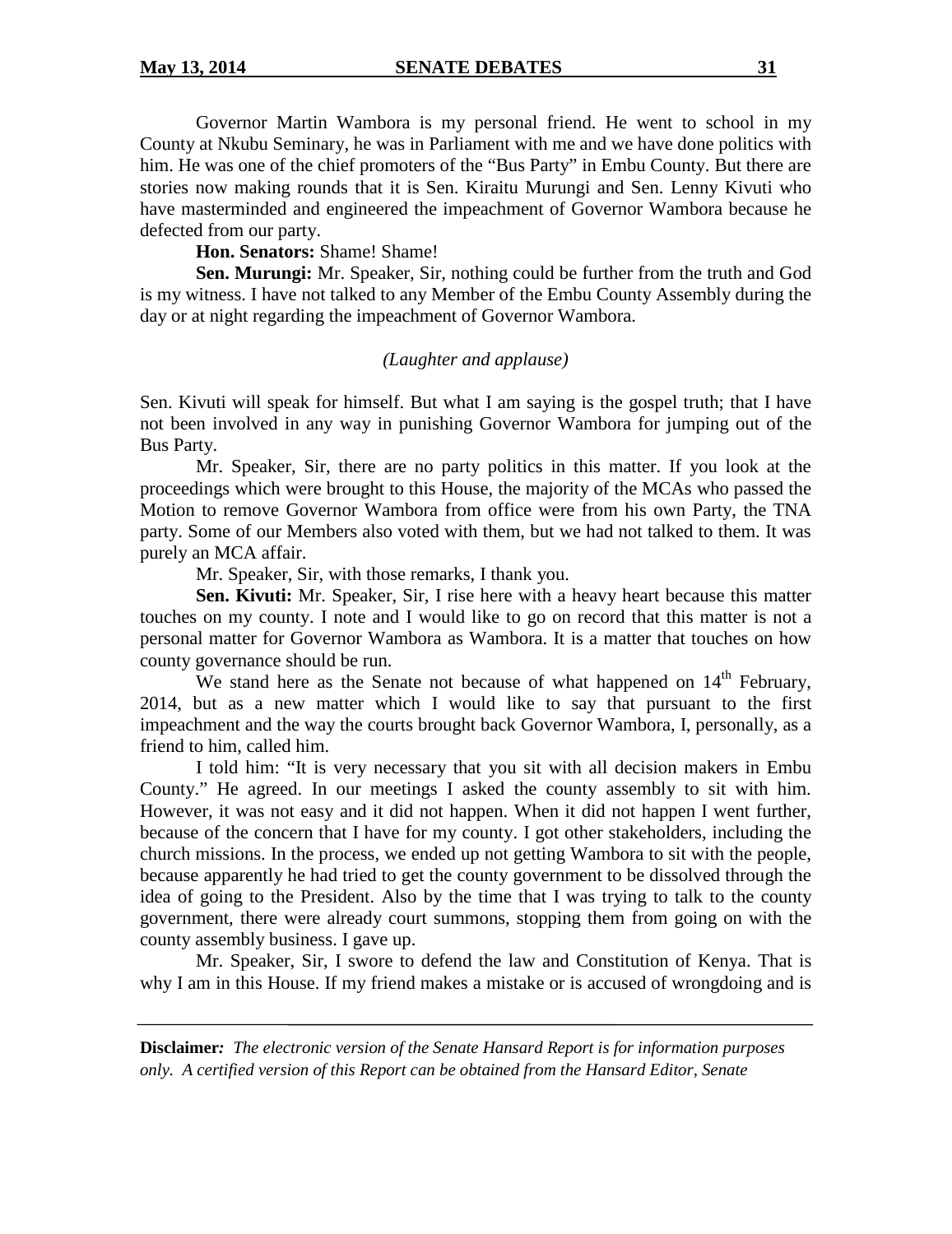Governor Martin Wambora is my personal friend. He went to school in my County at Nkubu Seminary, he was in Parliament with me and we have done politics with him. He was one of the chief promoters of the "Bus Party" in Embu County. But there are stories now making rounds that it is Sen. Kiraitu Murungi and Sen. Lenny Kivuti who have masterminded and engineered the impeachment of Governor Wambora because he defected from our party.

**Hon. Senators:** Shame! Shame!

**Sen. Murungi:** Mr. Speaker, Sir, nothing could be further from the truth and God is my witness. I have not talked to any Member of the Embu County Assembly during the day or at night regarding the impeachment of Governor Wambora.

# *(Laughter and applause)*

Sen. Kivuti will speak for himself. But what I am saying is the gospel truth; that I have not been involved in any way in punishing Governor Wambora for jumping out of the Bus Party.

Mr. Speaker, Sir, there are no party politics in this matter. If you look at the proceedings which were brought to this House, the majority of the MCAs who passed the Motion to remove Governor Wambora from office were from his own Party, the TNA party. Some of our Members also voted with them, but we had not talked to them. It was purely an MCA affair.

Mr. Speaker, Sir, with those remarks, I thank you.

**Sen. Kivuti:** Mr. Speaker, Sir, I rise here with a heavy heart because this matter touches on my county. I note and I would like to go on record that this matter is not a personal matter for Governor Wambora as Wambora. It is a matter that touches on how county governance should be run.

We stand here as the Senate not because of what happened on  $14<sup>th</sup>$  February, 2014, but as a new matter which I would like to say that pursuant to the first impeachment and the way the courts brought back Governor Wambora, I, personally, as a friend to him, called him.

I told him: "It is very necessary that you sit with all decision makers in Embu County." He agreed. In our meetings I asked the county assembly to sit with him. However, it was not easy and it did not happen. When it did not happen I went further, because of the concern that I have for my county. I got other stakeholders, including the church missions. In the process, we ended up not getting Wambora to sit with the people, because apparently he had tried to get the county government to be dissolved through the idea of going to the President. Also by the time that I was trying to talk to the county government, there were already court summons, stopping them from going on with the county assembly business. I gave up.

Mr. Speaker, Sir, I swore to defend the law and Constitution of Kenya. That is why I am in this House. If my friend makes a mistake or is accused of wrongdoing and is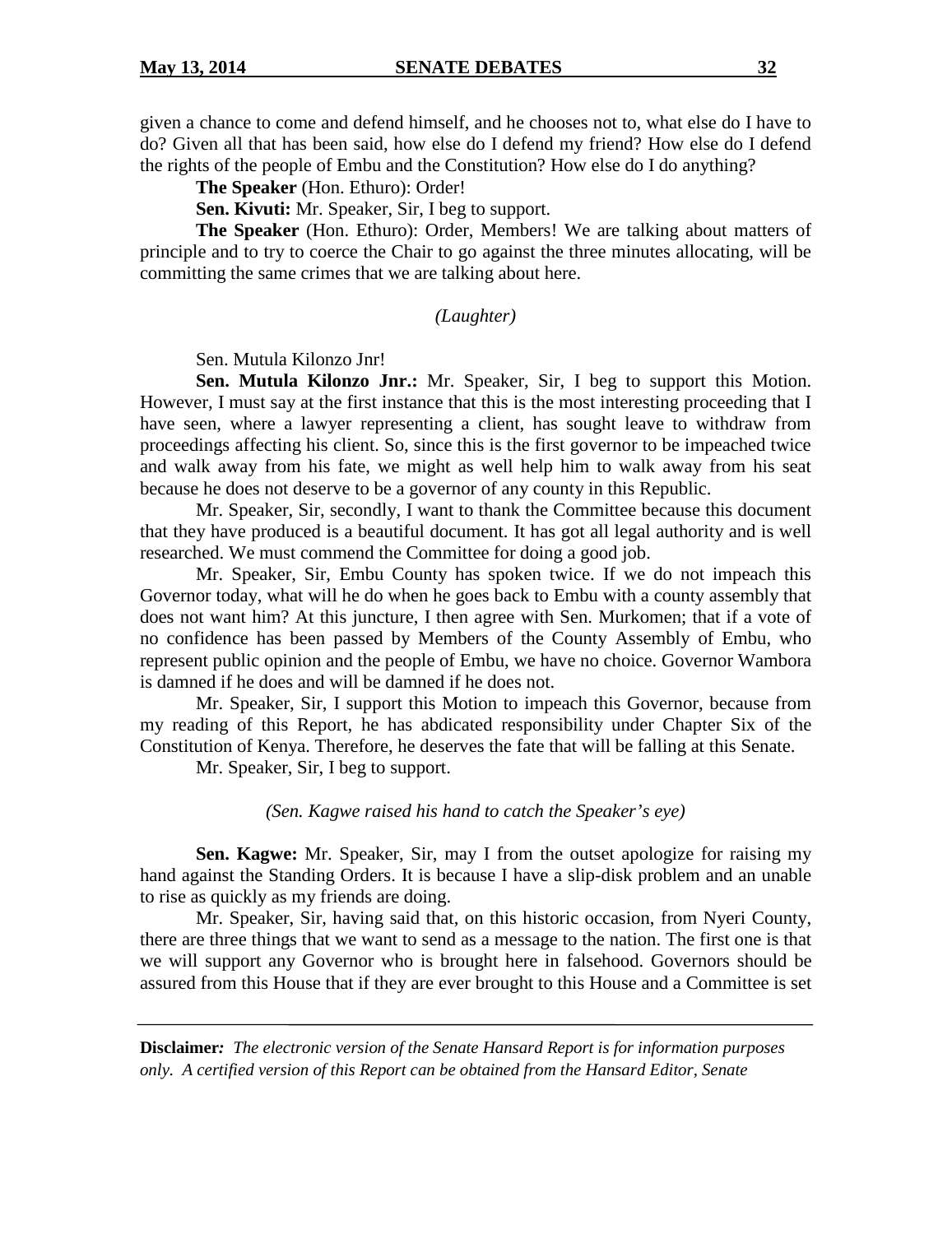given a chance to come and defend himself, and he chooses not to, what else do I have to do? Given all that has been said, how else do I defend my friend? How else do I defend the rights of the people of Embu and the Constitution? How else do I do anything?

**The Speaker** (Hon. Ethuro): Order!

**Sen. Kivuti:** Mr. Speaker, Sir, I beg to support.

**The Speaker** (Hon. Ethuro): Order, Members! We are talking about matters of principle and to try to coerce the Chair to go against the three minutes allocating, will be committing the same crimes that we are talking about here.

#### *(Laughter)*

Sen. Mutula Kilonzo Jnr!

**Sen. Mutula Kilonzo Jnr.:** Mr. Speaker, Sir, I beg to support this Motion. However, I must say at the first instance that this is the most interesting proceeding that I have seen, where a lawyer representing a client, has sought leave to withdraw from proceedings affecting his client. So, since this is the first governor to be impeached twice and walk away from his fate, we might as well help him to walk away from his seat because he does not deserve to be a governor of any county in this Republic.

Mr. Speaker, Sir, secondly, I want to thank the Committee because this document that they have produced is a beautiful document. It has got all legal authority and is well researched. We must commend the Committee for doing a good job.

Mr. Speaker, Sir, Embu County has spoken twice. If we do not impeach this Governor today, what will he do when he goes back to Embu with a county assembly that does not want him? At this juncture, I then agree with Sen. Murkomen; that if a vote of no confidence has been passed by Members of the County Assembly of Embu, who represent public opinion and the people of Embu, we have no choice. Governor Wambora is damned if he does and will be damned if he does not.

Mr. Speaker, Sir, I support this Motion to impeach this Governor, because from my reading of this Report, he has abdicated responsibility under Chapter Six of the Constitution of Kenya. Therefore, he deserves the fate that will be falling at this Senate.

Mr. Speaker, Sir, I beg to support.

*(Sen. Kagwe raised his hand to catch the Speaker's eye)*

**Sen. Kagwe:** Mr. Speaker, Sir, may I from the outset apologize for raising my hand against the Standing Orders. It is because I have a slip-disk problem and an unable to rise as quickly as my friends are doing.

Mr. Speaker, Sir, having said that, on this historic occasion, from Nyeri County, there are three things that we want to send as a message to the nation. The first one is that we will support any Governor who is brought here in falsehood. Governors should be assured from this House that if they are ever brought to this House and a Committee is set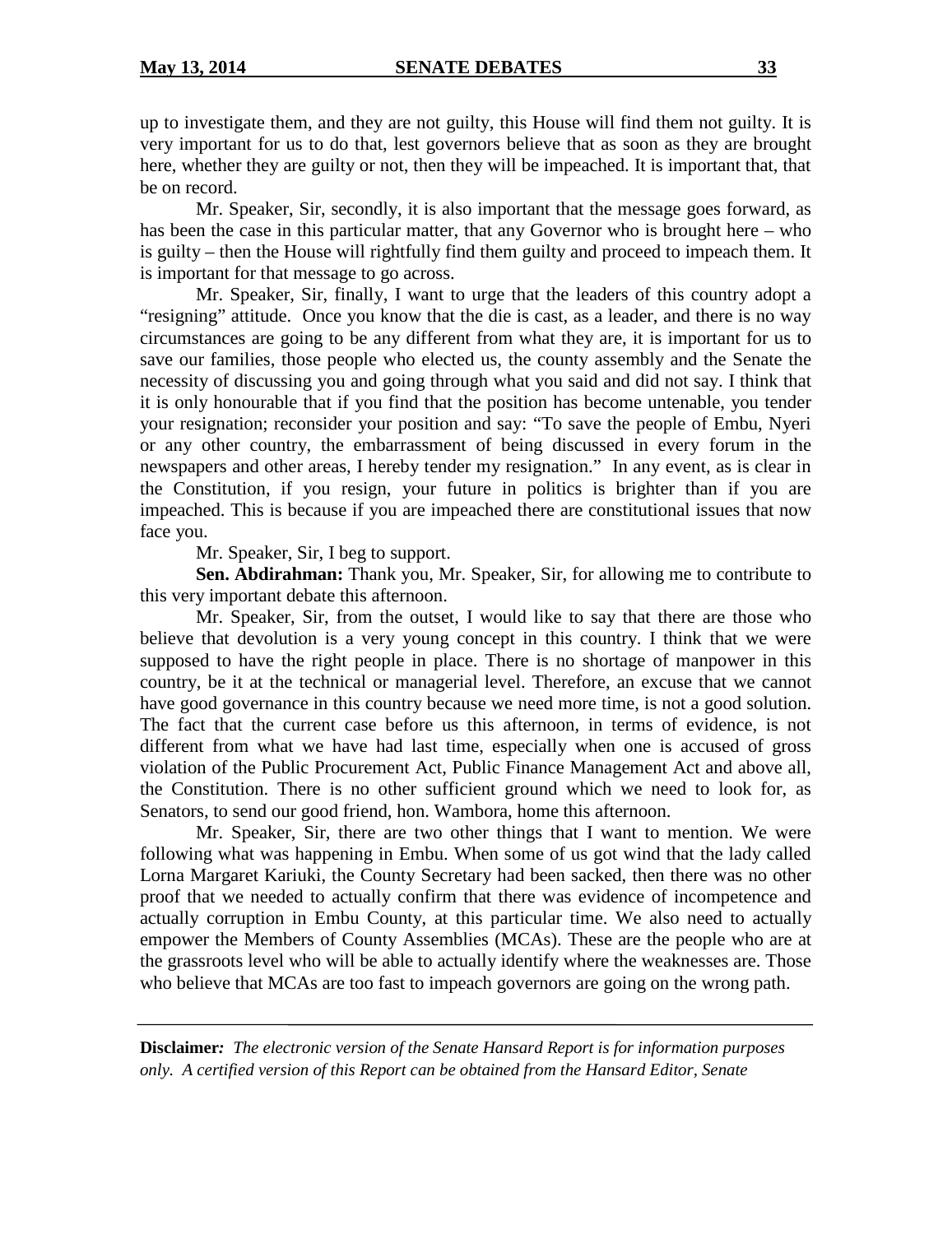up to investigate them, and they are not guilty, this House will find them not guilty. It is very important for us to do that, lest governors believe that as soon as they are brought here, whether they are guilty or not, then they will be impeached. It is important that, that be on record.

Mr. Speaker, Sir, secondly, it is also important that the message goes forward, as has been the case in this particular matter, that any Governor who is brought here – who is guilty – then the House will rightfully find them guilty and proceed to impeach them. It is important for that message to go across.

Mr. Speaker, Sir, finally, I want to urge that the leaders of this country adopt a "resigning" attitude. Once you know that the die is cast, as a leader, and there is no way circumstances are going to be any different from what they are, it is important for us to save our families, those people who elected us, the county assembly and the Senate the necessity of discussing you and going through what you said and did not say. I think that it is only honourable that if you find that the position has become untenable, you tender your resignation; reconsider your position and say: "To save the people of Embu, Nyeri or any other country, the embarrassment of being discussed in every forum in the newspapers and other areas, I hereby tender my resignation." In any event, as is clear in the Constitution, if you resign, your future in politics is brighter than if you are impeached. This is because if you are impeached there are constitutional issues that now face you.

Mr. Speaker, Sir, I beg to support.

**Sen. Abdirahman:** Thank you, Mr. Speaker, Sir, for allowing me to contribute to this very important debate this afternoon.

Mr. Speaker, Sir, from the outset, I would like to say that there are those who believe that devolution is a very young concept in this country. I think that we were supposed to have the right people in place. There is no shortage of manpower in this country, be it at the technical or managerial level. Therefore, an excuse that we cannot have good governance in this country because we need more time, is not a good solution. The fact that the current case before us this afternoon, in terms of evidence, is not different from what we have had last time, especially when one is accused of gross violation of the Public Procurement Act, Public Finance Management Act and above all, the Constitution. There is no other sufficient ground which we need to look for, as Senators, to send our good friend, hon. Wambora, home this afternoon.

Mr. Speaker, Sir, there are two other things that I want to mention. We were following what was happening in Embu. When some of us got wind that the lady called Lorna Margaret Kariuki, the County Secretary had been sacked, then there was no other proof that we needed to actually confirm that there was evidence of incompetence and actually corruption in Embu County, at this particular time. We also need to actually empower the Members of County Assemblies (MCAs). These are the people who are at the grassroots level who will be able to actually identify where the weaknesses are. Those who believe that MCAs are too fast to impeach governors are going on the wrong path.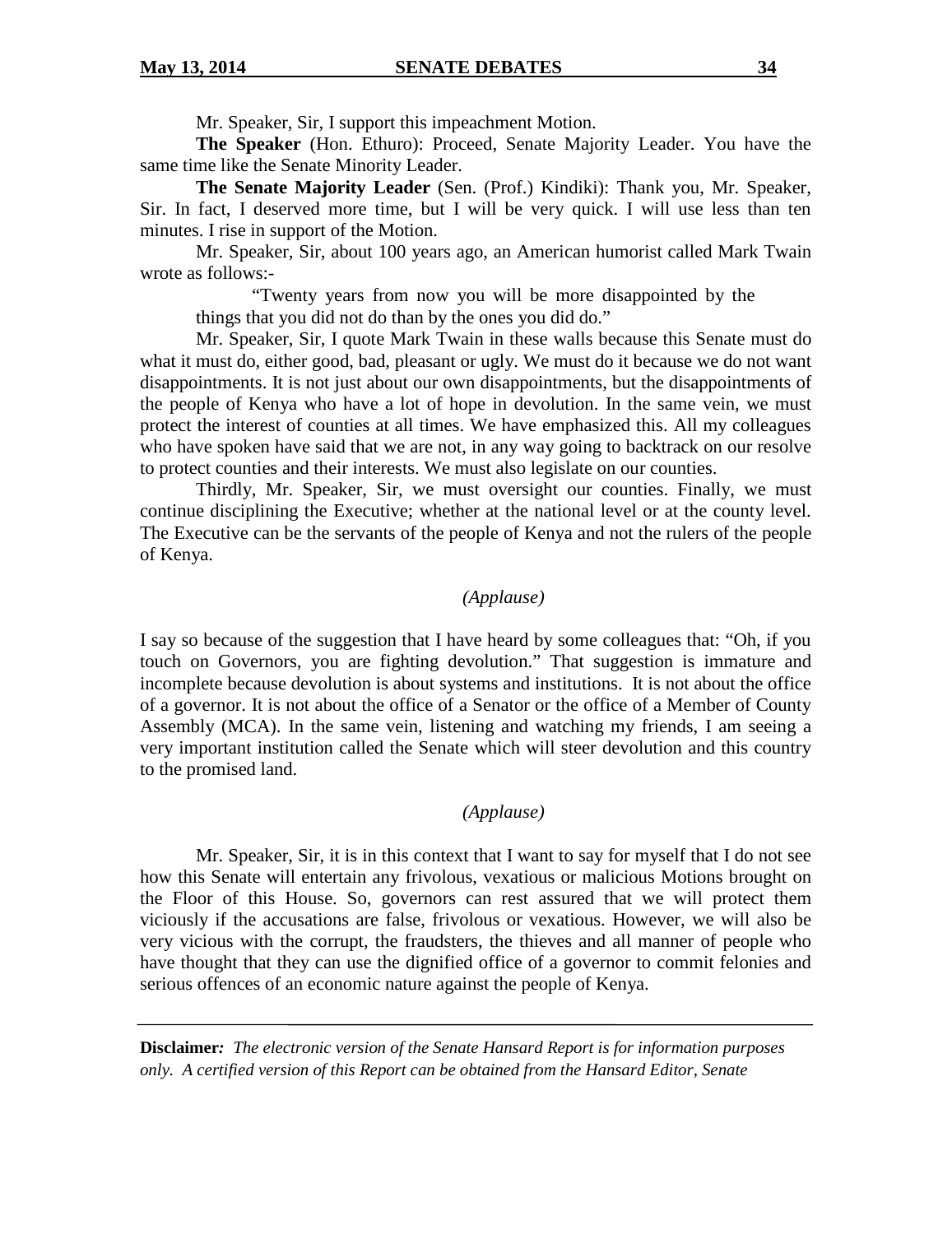Mr. Speaker, Sir, I support this impeachment Motion.

**The Speaker** (Hon. Ethuro): Proceed, Senate Majority Leader. You have the same time like the Senate Minority Leader.

**The Senate Majority Leader** (Sen. (Prof.) Kindiki): Thank you, Mr. Speaker, Sir. In fact, I deserved more time, but I will be very quick. I will use less than ten minutes. I rise in support of the Motion.

Mr. Speaker, Sir, about 100 years ago, an American humorist called Mark Twain wrote as follows:-

"Twenty years from now you will be more disappointed by the things that you did not do than by the ones you did do."

Mr. Speaker, Sir, I quote Mark Twain in these walls because this Senate must do what it must do, either good, bad, pleasant or ugly. We must do it because we do not want disappointments. It is not just about our own disappointments, but the disappointments of the people of Kenya who have a lot of hope in devolution. In the same vein, we must protect the interest of counties at all times. We have emphasized this. All my colleagues who have spoken have said that we are not, in any way going to backtrack on our resolve to protect counties and their interests. We must also legislate on our counties.

Thirdly, Mr. Speaker, Sir, we must oversight our counties. Finally, we must continue disciplining the Executive; whether at the national level or at the county level. The Executive can be the servants of the people of Kenya and not the rulers of the people of Kenya.

## *(Applause)*

I say so because of the suggestion that I have heard by some colleagues that: "Oh, if you touch on Governors, you are fighting devolution." That suggestion is immature and incomplete because devolution is about systems and institutions. It is not about the office of a governor. It is not about the office of a Senator or the office of a Member of County Assembly (MCA). In the same vein, listening and watching my friends, I am seeing a very important institution called the Senate which will steer devolution and this country to the promised land.

#### *(Applause)*

Mr. Speaker, Sir, it is in this context that I want to say for myself that I do not see how this Senate will entertain any frivolous, vexatious or malicious Motions brought on the Floor of this House. So, governors can rest assured that we will protect them viciously if the accusations are false, frivolous or vexatious. However, we will also be very vicious with the corrupt, the fraudsters, the thieves and all manner of people who have thought that they can use the dignified office of a governor to commit felonies and serious offences of an economic nature against the people of Kenya.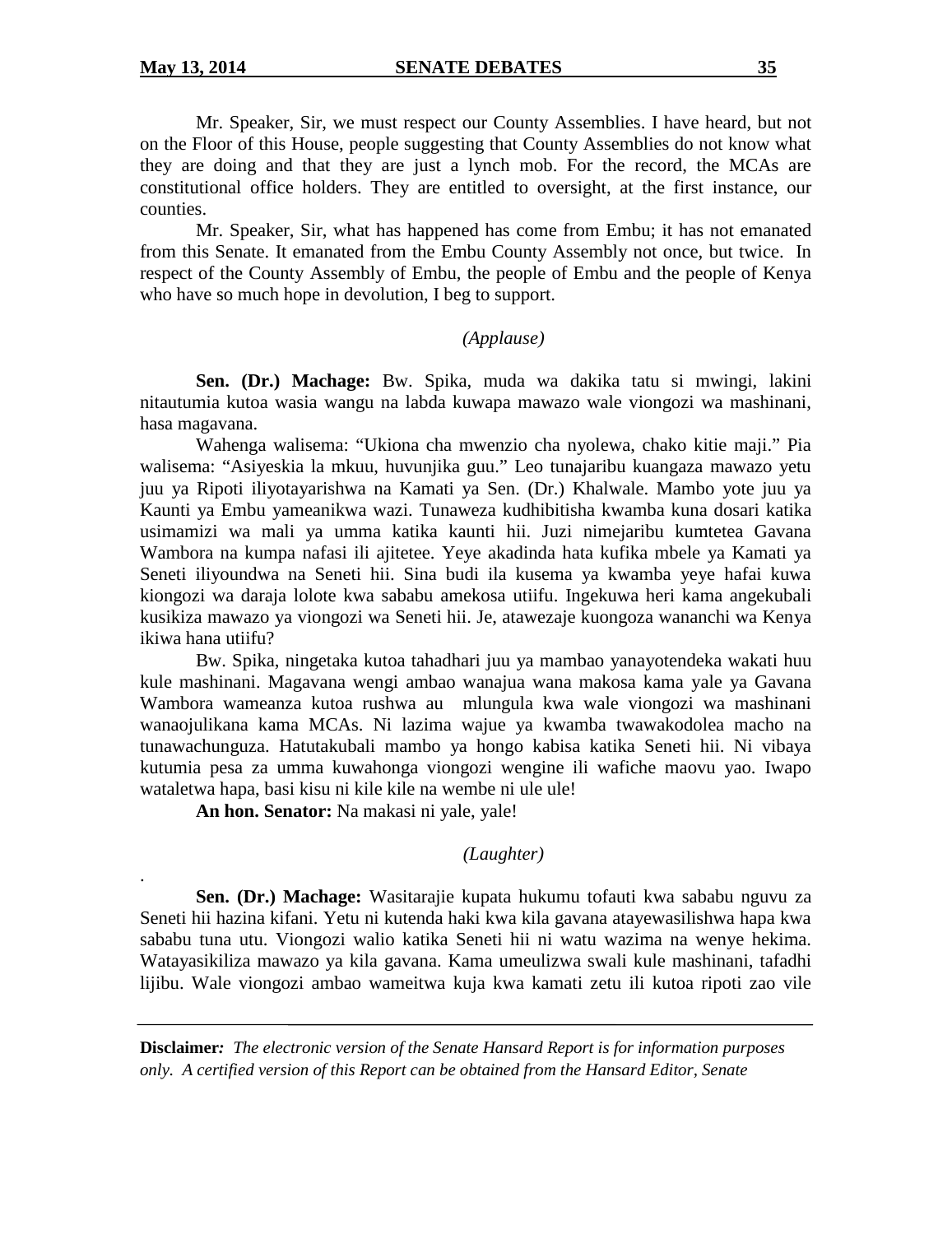.

Mr. Speaker, Sir, we must respect our County Assemblies. I have heard, but not on the Floor of this House, people suggesting that County Assemblies do not know what they are doing and that they are just a lynch mob. For the record, the MCAs are constitutional office holders. They are entitled to oversight, at the first instance, our counties.

Mr. Speaker, Sir, what has happened has come from Embu; it has not emanated from this Senate. It emanated from the Embu County Assembly not once, but twice. In respect of the County Assembly of Embu, the people of Embu and the people of Kenya who have so much hope in devolution, I beg to support.

#### *(Applause)*

**Sen. (Dr.) Machage:** Bw. Spika, muda wa dakika tatu si mwingi, lakini nitautumia kutoa wasia wangu na labda kuwapa mawazo wale viongozi wa mashinani, hasa magavana.

Wahenga walisema: "Ukiona cha mwenzio cha nyolewa, chako kitie maji." Pia walisema: "Asiyeskia la mkuu, huvunjika guu." Leo tunajaribu kuangaza mawazo yetu juu ya Ripoti iliyotayarishwa na Kamati ya Sen. (Dr.) Khalwale. Mambo yote juu ya Kaunti ya Embu yameanikwa wazi. Tunaweza kudhibitisha kwamba kuna dosari katika usimamizi wa mali ya umma katika kaunti hii. Juzi nimejaribu kumtetea Gavana Wambora na kumpa nafasi ili ajitetee. Yeye akadinda hata kufika mbele ya Kamati ya Seneti iliyoundwa na Seneti hii. Sina budi ila kusema ya kwamba yeye hafai kuwa kiongozi wa daraja lolote kwa sababu amekosa utiifu. Ingekuwa heri kama angekubali kusikiza mawazo ya viongozi wa Seneti hii. Je, atawezaje kuongoza wananchi wa Kenya ikiwa hana utiifu?

Bw. Spika, ningetaka kutoa tahadhari juu ya mambao yanayotendeka wakati huu kule mashinani. Magavana wengi ambao wanajua wana makosa kama yale ya Gavana Wambora wameanza kutoa rushwa au mlungula kwa wale viongozi wa mashinani wanaojulikana kama MCAs. Ni lazima wajue ya kwamba twawakodolea macho na tunawachunguza. Hatutakubali mambo ya hongo kabisa katika Seneti hii. Ni vibaya kutumia pesa za umma kuwahonga viongozi wengine ili wafiche maovu yao. Iwapo wataletwa hapa, basi kisu ni kile kile na wembe ni ule ule!

**An hon. Senator:** Na makasi ni yale, yale!

# *(Laughter)*

**Sen. (Dr.) Machage:** Wasitarajie kupata hukumu tofauti kwa sababu nguvu za Seneti hii hazina kifani. Yetu ni kutenda haki kwa kila gavana atayewasilishwa hapa kwa sababu tuna utu. Viongozi walio katika Seneti hii ni watu wazima na wenye hekima. Watayasikiliza mawazo ya kila gavana. Kama umeulizwa swali kule mashinani, tafadhi lijibu. Wale viongozi ambao wameitwa kuja kwa kamati zetu ili kutoa ripoti zao vile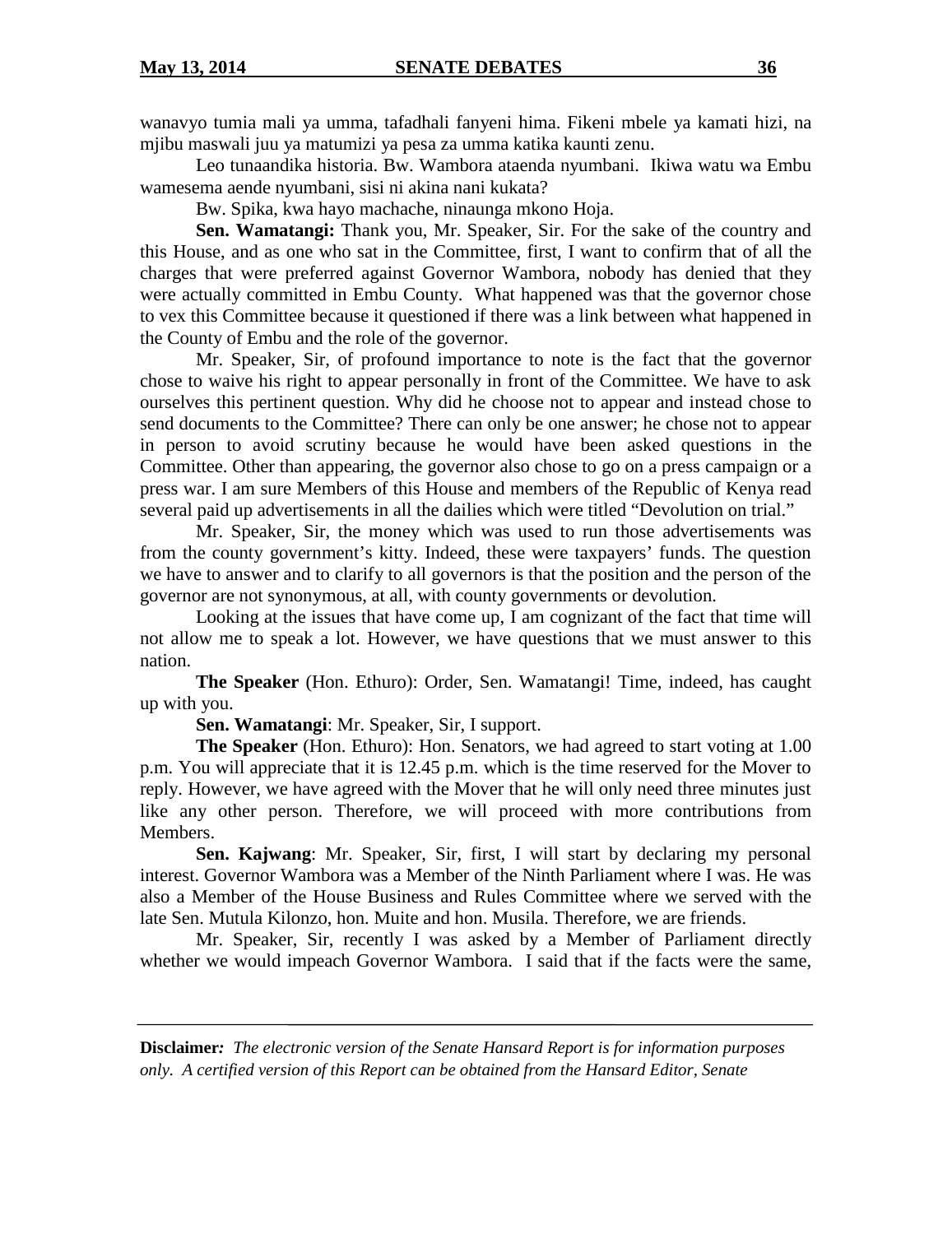wanavyo tumia mali ya umma, tafadhali fanyeni hima. Fikeni mbele ya kamati hizi, na mjibu maswali juu ya matumizi ya pesa za umma katika kaunti zenu.

Leo tunaandika historia. Bw. Wambora ataenda nyumbani. Ikiwa watu wa Embu wamesema aende nyumbani, sisi ni akina nani kukata?

Bw. Spika, kwa hayo machache, ninaunga mkono Hoja.

**Sen. Wamatangi:** Thank you, Mr. Speaker, Sir. For the sake of the country and this House, and as one who sat in the Committee, first, I want to confirm that of all the charges that were preferred against Governor Wambora, nobody has denied that they were actually committed in Embu County. What happened was that the governor chose to vex this Committee because it questioned if there was a link between what happened in the County of Embu and the role of the governor.

Mr. Speaker, Sir, of profound importance to note is the fact that the governor chose to waive his right to appear personally in front of the Committee. We have to ask ourselves this pertinent question. Why did he choose not to appear and instead chose to send documents to the Committee? There can only be one answer; he chose not to appear in person to avoid scrutiny because he would have been asked questions in the Committee. Other than appearing, the governor also chose to go on a press campaign or a press war. I am sure Members of this House and members of the Republic of Kenya read several paid up advertisements in all the dailies which were titled "Devolution on trial."

Mr. Speaker, Sir, the money which was used to run those advertisements was from the county government's kitty. Indeed, these were taxpayers' funds. The question we have to answer and to clarify to all governors is that the position and the person of the governor are not synonymous, at all, with county governments or devolution.

Looking at the issues that have come up, I am cognizant of the fact that time will not allow me to speak a lot. However, we have questions that we must answer to this nation.

**The Speaker** (Hon. Ethuro): Order, Sen. Wamatangi! Time, indeed, has caught up with you.

**Sen. Wamatangi**: Mr. Speaker, Sir, I support.

**The Speaker** (Hon. Ethuro): Hon. Senators, we had agreed to start voting at 1.00 p.m. You will appreciate that it is 12.45 p.m. which is the time reserved for the Mover to reply. However, we have agreed with the Mover that he will only need three minutes just like any other person. Therefore, we will proceed with more contributions from Members.

**Sen. Kajwang**: Mr. Speaker, Sir, first, I will start by declaring my personal interest. Governor Wambora was a Member of the Ninth Parliament where I was. He was also a Member of the House Business and Rules Committee where we served with the late Sen. Mutula Kilonzo, hon. Muite and hon. Musila. Therefore, we are friends.

Mr. Speaker, Sir, recently I was asked by a Member of Parliament directly whether we would impeach Governor Wambora. I said that if the facts were the same,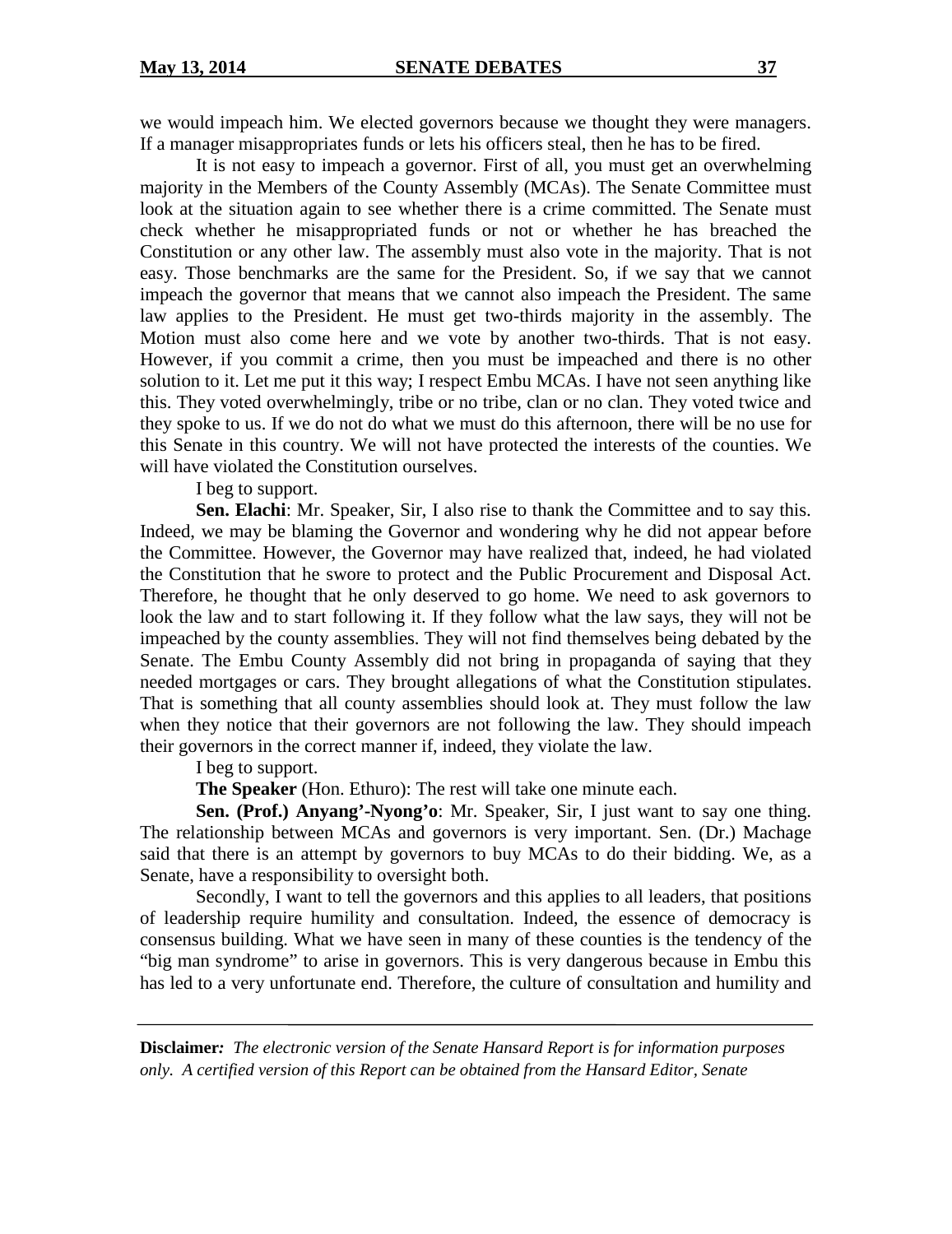we would impeach him. We elected governors because we thought they were managers. If a manager misappropriates funds or lets his officers steal, then he has to be fired.

It is not easy to impeach a governor. First of all, you must get an overwhelming majority in the Members of the County Assembly (MCAs). The Senate Committee must look at the situation again to see whether there is a crime committed. The Senate must check whether he misappropriated funds or not or whether he has breached the Constitution or any other law. The assembly must also vote in the majority. That is not easy. Those benchmarks are the same for the President. So, if we say that we cannot impeach the governor that means that we cannot also impeach the President. The same law applies to the President. He must get two-thirds majority in the assembly. The Motion must also come here and we vote by another two-thirds. That is not easy. However, if you commit a crime, then you must be impeached and there is no other solution to it. Let me put it this way; I respect Embu MCAs. I have not seen anything like this. They voted overwhelmingly, tribe or no tribe, clan or no clan. They voted twice and they spoke to us. If we do not do what we must do this afternoon, there will be no use for this Senate in this country. We will not have protected the interests of the counties. We will have violated the Constitution ourselves.

I beg to support.

**Sen. Elachi**: Mr. Speaker, Sir, I also rise to thank the Committee and to say this. Indeed, we may be blaming the Governor and wondering why he did not appear before the Committee. However, the Governor may have realized that, indeed, he had violated the Constitution that he swore to protect and the Public Procurement and Disposal Act. Therefore, he thought that he only deserved to go home. We need to ask governors to look the law and to start following it. If they follow what the law says, they will not be impeached by the county assemblies. They will not find themselves being debated by the Senate. The Embu County Assembly did not bring in propaganda of saying that they needed mortgages or cars. They brought allegations of what the Constitution stipulates. That is something that all county assemblies should look at. They must follow the law when they notice that their governors are not following the law. They should impeach their governors in the correct manner if, indeed, they violate the law.

# I beg to support.

**The Speaker** (Hon. Ethuro): The rest will take one minute each.

**Sen. (Prof.) Anyang'-Nyong'o**: Mr. Speaker, Sir, I just want to say one thing. The relationship between MCAs and governors is very important. Sen. (Dr.) Machage said that there is an attempt by governors to buy MCAs to do their bidding. We, as a Senate, have a responsibility to oversight both.

Secondly, I want to tell the governors and this applies to all leaders, that positions of leadership require humility and consultation. Indeed, the essence of democracy is consensus building. What we have seen in many of these counties is the tendency of the "big man syndrome" to arise in governors. This is very dangerous because in Embu this has led to a very unfortunate end. Therefore, the culture of consultation and humility and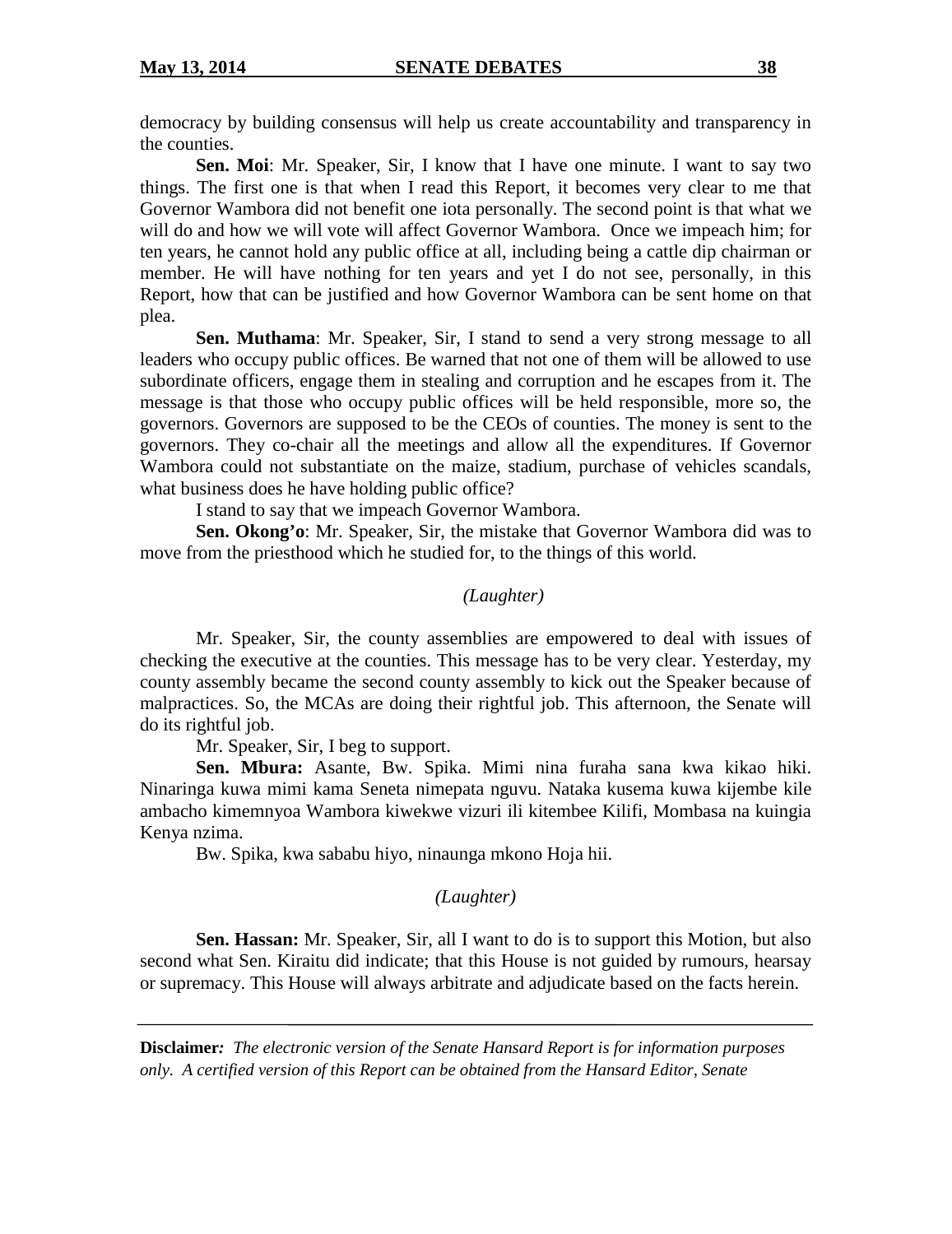democracy by building consensus will help us create accountability and transparency in the counties.

**Sen. Moi**: Mr. Speaker, Sir, I know that I have one minute. I want to say two things. The first one is that when I read this Report, it becomes very clear to me that Governor Wambora did not benefit one iota personally. The second point is that what we will do and how we will vote will affect Governor Wambora. Once we impeach him; for ten years, he cannot hold any public office at all, including being a cattle dip chairman or member. He will have nothing for ten years and yet I do not see, personally, in this Report, how that can be justified and how Governor Wambora can be sent home on that plea.

**Sen. Muthama**: Mr. Speaker, Sir, I stand to send a very strong message to all leaders who occupy public offices. Be warned that not one of them will be allowed to use subordinate officers, engage them in stealing and corruption and he escapes from it. The message is that those who occupy public offices will be held responsible, more so, the governors. Governors are supposed to be the CEOs of counties. The money is sent to the governors. They co-chair all the meetings and allow all the expenditures. If Governor Wambora could not substantiate on the maize, stadium, purchase of vehicles scandals, what business does he have holding public office?

I stand to say that we impeach Governor Wambora.

**Sen. Okong'o**: Mr. Speaker, Sir, the mistake that Governor Wambora did was to move from the priesthood which he studied for, to the things of this world.

#### *(Laughter)*

Mr. Speaker, Sir, the county assemblies are empowered to deal with issues of checking the executive at the counties. This message has to be very clear. Yesterday, my county assembly became the second county assembly to kick out the Speaker because of malpractices. So, the MCAs are doing their rightful job. This afternoon, the Senate will do its rightful job.

Mr. Speaker, Sir, I beg to support.

**Sen. Mbura:** Asante, Bw. Spika. Mimi nina furaha sana kwa kikao hiki. Ninaringa kuwa mimi kama Seneta nimepata nguvu. Nataka kusema kuwa kijembe kile ambacho kimemnyoa Wambora kiwekwe vizuri ili kitembee Kilifi, Mombasa na kuingia Kenya nzima.

Bw. Spika, kwa sababu hiyo, ninaunga mkono Hoja hii.

# *(Laughter)*

**Sen. Hassan:** Mr. Speaker, Sir, all I want to do is to support this Motion, but also second what Sen. Kiraitu did indicate; that this House is not guided by rumours, hearsay or supremacy. This House will always arbitrate and adjudicate based on the facts herein.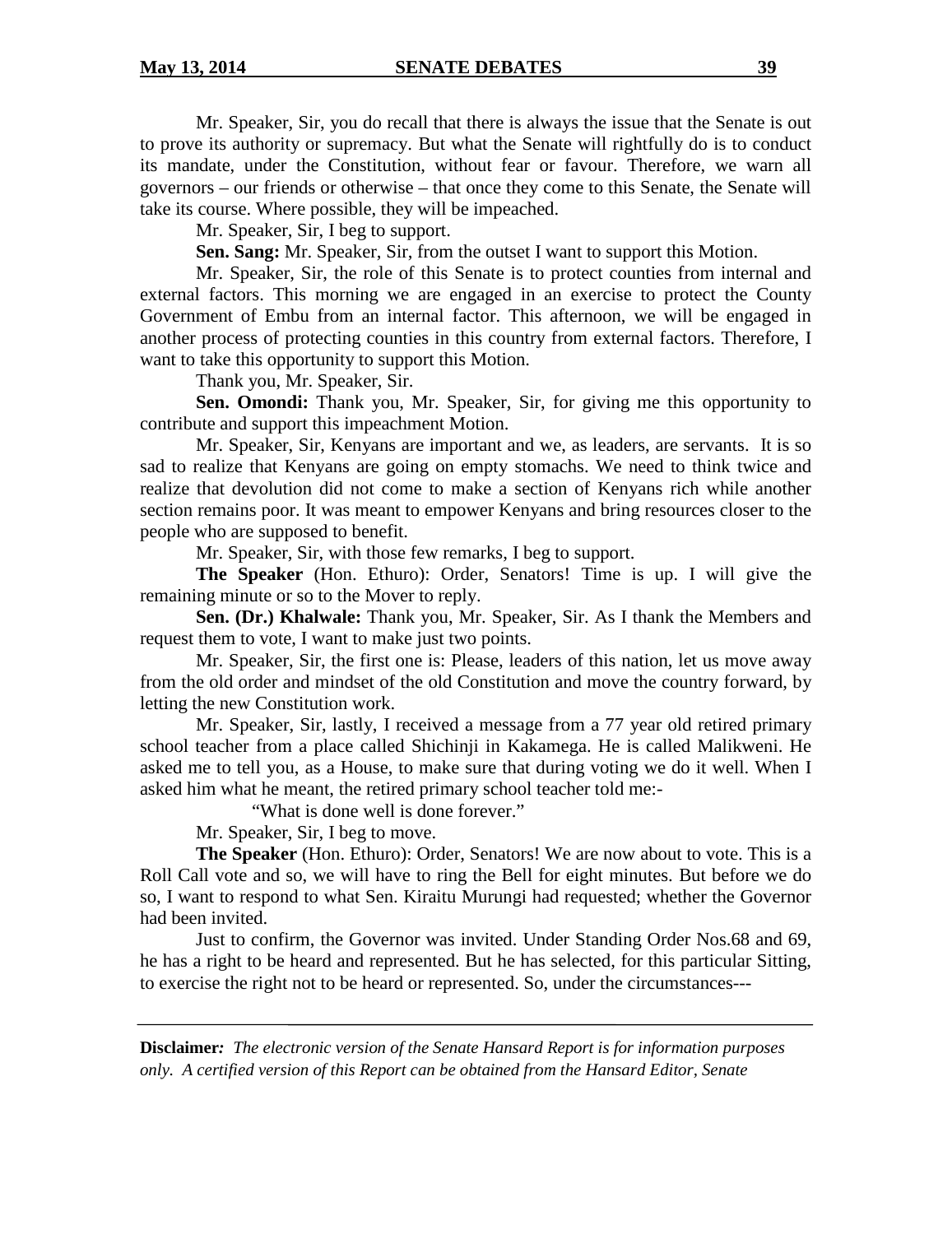Mr. Speaker, Sir, you do recall that there is always the issue that the Senate is out to prove its authority or supremacy. But what the Senate will rightfully do is to conduct its mandate, under the Constitution, without fear or favour. Therefore, we warn all governors – our friends or otherwise – that once they come to this Senate, the Senate will take its course. Where possible, they will be impeached.

Mr. Speaker, Sir, I beg to support.

**Sen. Sang:** Mr. Speaker, Sir, from the outset I want to support this Motion.

Mr. Speaker, Sir, the role of this Senate is to protect counties from internal and external factors. This morning we are engaged in an exercise to protect the County Government of Embu from an internal factor. This afternoon, we will be engaged in another process of protecting counties in this country from external factors. Therefore, I want to take this opportunity to support this Motion.

Thank you, Mr. Speaker, Sir.

**Sen. Omondi:** Thank you, Mr. Speaker, Sir, for giving me this opportunity to contribute and support this impeachment Motion.

Mr. Speaker, Sir, Kenyans are important and we, as leaders, are servants. It is so sad to realize that Kenyans are going on empty stomachs. We need to think twice and realize that devolution did not come to make a section of Kenyans rich while another section remains poor. It was meant to empower Kenyans and bring resources closer to the people who are supposed to benefit.

Mr. Speaker, Sir, with those few remarks, I beg to support.

**The Speaker** (Hon. Ethuro): Order, Senators! Time is up. I will give the remaining minute or so to the Mover to reply.

**Sen. (Dr.) Khalwale:** Thank you, Mr. Speaker, Sir. As I thank the Members and request them to vote, I want to make just two points.

Mr. Speaker, Sir, the first one is: Please, leaders of this nation, let us move away from the old order and mindset of the old Constitution and move the country forward, by letting the new Constitution work.

Mr. Speaker, Sir, lastly, I received a message from a 77 year old retired primary school teacher from a place called Shichinji in Kakamega. He is called Malikweni. He asked me to tell you, as a House, to make sure that during voting we do it well. When I asked him what he meant, the retired primary school teacher told me:-

"What is done well is done forever."

Mr. Speaker, Sir, I beg to move.

**The Speaker** (Hon. Ethuro): Order, Senators! We are now about to vote. This is a Roll Call vote and so, we will have to ring the Bell for eight minutes. But before we do so, I want to respond to what Sen. Kiraitu Murungi had requested; whether the Governor had been invited.

Just to confirm, the Governor was invited. Under Standing Order Nos.68 and 69, he has a right to be heard and represented. But he has selected, for this particular Sitting, to exercise the right not to be heard or represented. So, under the circumstances---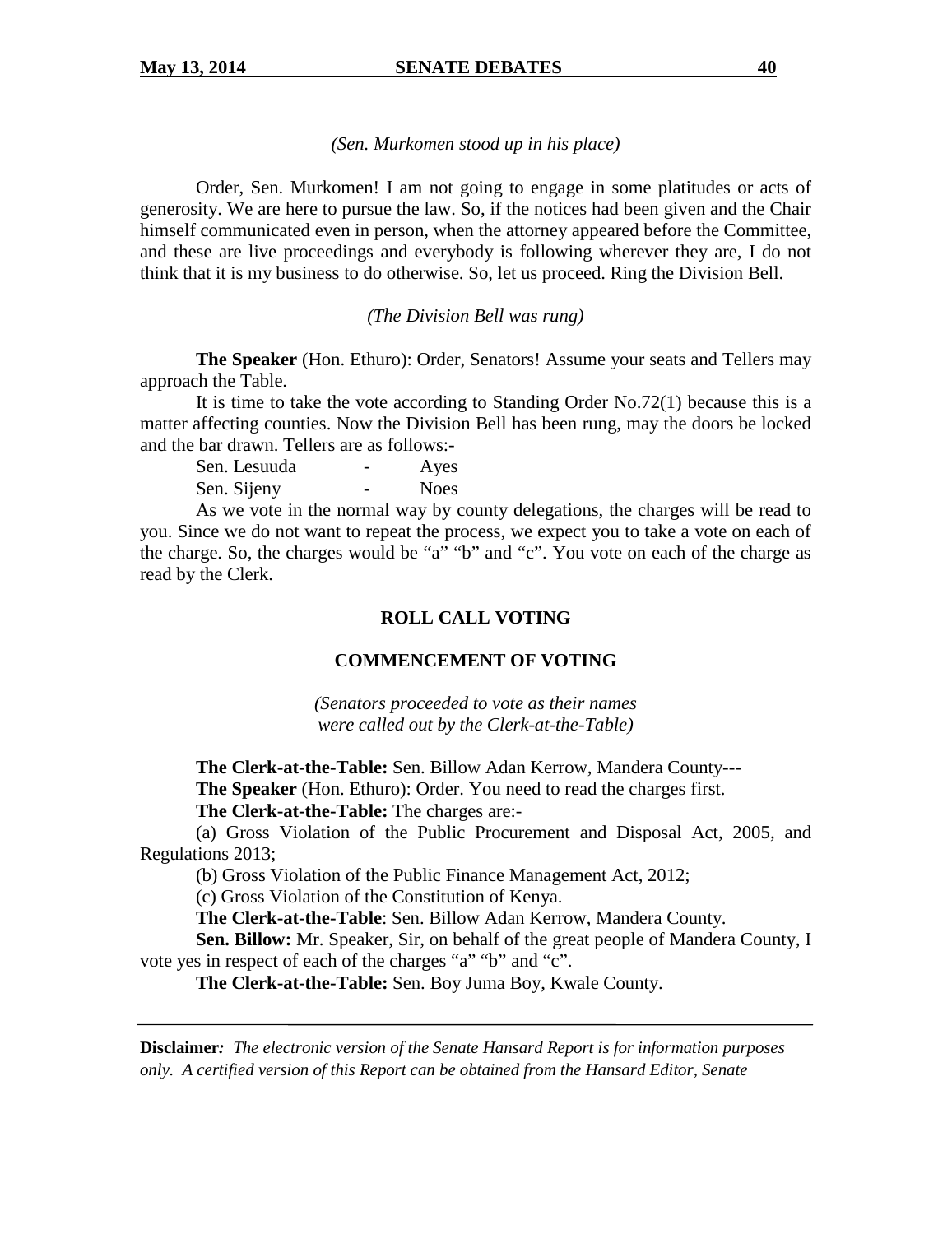#### *(Sen. Murkomen stood up in his place)*

Order, Sen. Murkomen! I am not going to engage in some platitudes or acts of generosity. We are here to pursue the law. So, if the notices had been given and the Chair himself communicated even in person, when the attorney appeared before the Committee, and these are live proceedings and everybody is following wherever they are, I do not think that it is my business to do otherwise. So, let us proceed. Ring the Division Bell.

#### *(The Division Bell was rung)*

**The Speaker** (Hon. Ethuro): Order, Senators! Assume your seats and Tellers may approach the Table.

It is time to take the vote according to Standing Order No.72(1) because this is a matter affecting counties. Now the Division Bell has been rung, may the doors be locked and the bar drawn. Tellers are as follows:-

|             | Sen. Lesuuda | Ayes        |
|-------------|--------------|-------------|
| Sen. Sijeny |              | <b>Noes</b> |

As we vote in the normal way by county delegations, the charges will be read to you. Since we do not want to repeat the process, we expect you to take a vote on each of the charge. So, the charges would be "a" "b" and "c". You vote on each of the charge as read by the Clerk.

# **ROLL CALL VOTING**

# **COMMENCEMENT OF VOTING**

*(Senators proceeded to vote as their names were called out by the Clerk-at-the-Table)*

**The Clerk-at-the-Table:** Sen. Billow Adan Kerrow, Mandera County--- **The Speaker** (Hon. Ethuro): Order. You need to read the charges first. **The Clerk-at-the-Table:** The charges are:-

(a) Gross Violation of the Public Procurement and Disposal Act, 2005, and Regulations 2013;

(b) Gross Violation of the Public Finance Management Act, 2012;

(c) Gross Violation of the Constitution of Kenya.

**The Clerk-at-the-Table**: Sen. Billow Adan Kerrow, Mandera County.

**Sen. Billow:** Mr. Speaker, Sir, on behalf of the great people of Mandera County, I vote yes in respect of each of the charges "a" "b" and "c".

**The Clerk-at-the-Table:** Sen. Boy Juma Boy, Kwale County.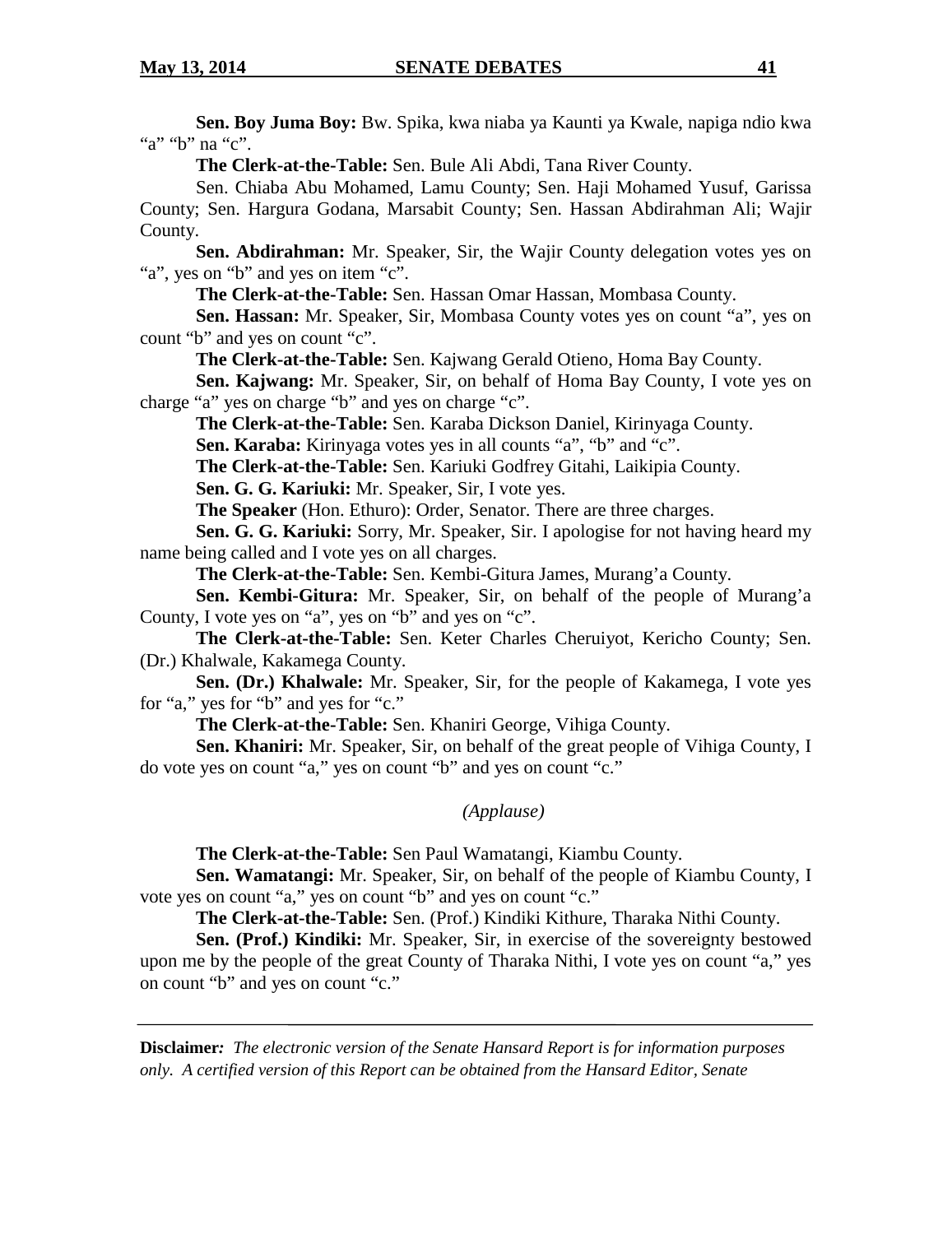**Sen. Boy Juma Boy:** Bw. Spika, kwa niaba ya Kaunti ya Kwale, napiga ndio kwa "a" "b" na "c".

**The Clerk-at-the-Table:** Sen. Bule Ali Abdi, Tana River County.

Sen. Chiaba Abu Mohamed, Lamu County; Sen. Haji Mohamed Yusuf, Garissa County; Sen. Hargura Godana, Marsabit County; Sen. Hassan Abdirahman Ali; Wajir County.

**Sen. Abdirahman:** Mr. Speaker, Sir, the Wajir County delegation votes yes on "a", yes on "b" and yes on item "c".

**The Clerk-at-the-Table:** Sen. Hassan Omar Hassan, Mombasa County.

**Sen. Hassan:** Mr. Speaker, Sir, Mombasa County votes yes on count "a", yes on count "b" and yes on count "c".

**The Clerk-at-the-Table:** Sen. Kajwang Gerald Otieno, Homa Bay County.

**Sen. Kajwang:** Mr. Speaker, Sir, on behalf of Homa Bay County, I vote yes on charge "a" yes on charge "b" and yes on charge "c".

**The Clerk-at-the-Table:** Sen. Karaba Dickson Daniel, Kirinyaga County.

**Sen. Karaba:** Kirinyaga votes yes in all counts "a", "b" and "c".

**The Clerk-at-the-Table:** Sen. Kariuki Godfrey Gitahi, Laikipia County.

**Sen. G. G. Kariuki:** Mr. Speaker, Sir, I vote yes.

**The Speaker** (Hon. Ethuro): Order, Senator. There are three charges.

**Sen. G. G. Kariuki:** Sorry, Mr. Speaker, Sir. I apologise for not having heard my name being called and I vote yes on all charges.

**The Clerk-at-the-Table:** Sen. Kembi-Gitura James, Murang'a County.

**Sen. Kembi-Gitura:** Mr. Speaker, Sir, on behalf of the people of Murang'a County, I vote yes on "a", yes on "b" and yes on "c".

**The Clerk-at-the-Table:** Sen. Keter Charles Cheruiyot, Kericho County; Sen. (Dr.) Khalwale, Kakamega County.

**Sen. (Dr.) Khalwale:** Mr. Speaker, Sir, for the people of Kakamega, I vote yes for "a," yes for "b" and yes for "c."

**The Clerk-at-the-Table:** Sen. Khaniri George, Vihiga County.

**Sen. Khaniri:** Mr. Speaker, Sir, on behalf of the great people of Vihiga County, I do vote yes on count "a," yes on count "b" and yes on count "c."

*(Applause)*

**The Clerk-at-the-Table:** Sen Paul Wamatangi, Kiambu County.

**Sen. Wamatangi:** Mr. Speaker, Sir, on behalf of the people of Kiambu County, I vote yes on count "a," yes on count "b" and yes on count "c."

**The Clerk-at-the-Table:** Sen. (Prof.) Kindiki Kithure, Tharaka Nithi County.

**Sen. (Prof.) Kindiki:** Mr. Speaker, Sir, in exercise of the sovereignty bestowed upon me by the people of the great County of Tharaka Nithi, I vote yes on count "a," yes on count "b" and yes on count "c."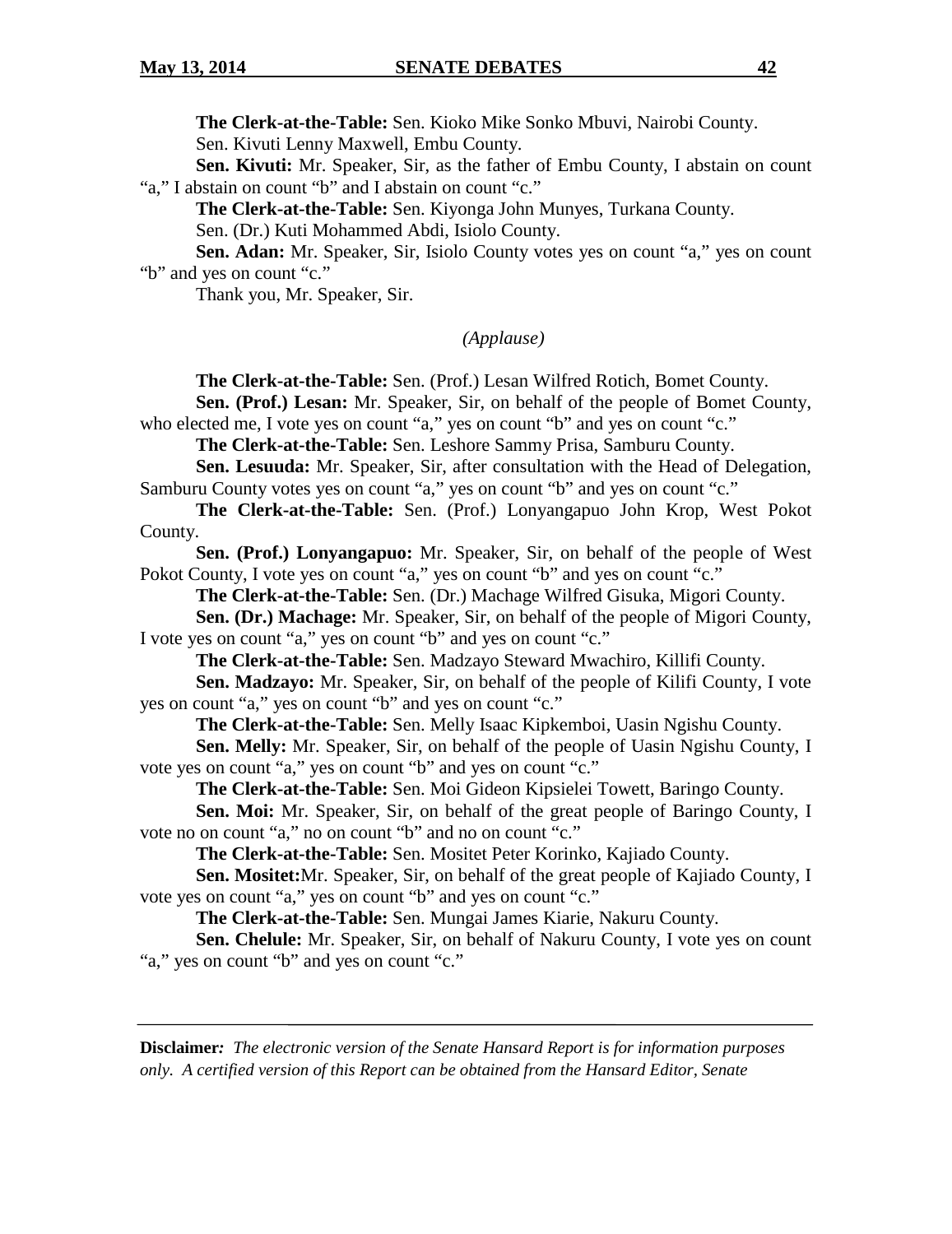**The Clerk-at-the-Table:** Sen. Kioko Mike Sonko Mbuvi, Nairobi County. Sen. Kivuti Lenny Maxwell, Embu County.

**Sen. Kivuti:** Mr. Speaker, Sir, as the father of Embu County, I abstain on count "a," I abstain on count "b" and I abstain on count "c."

**The Clerk-at-the-Table:** Sen. Kiyonga John Munyes, Turkana County.

Sen. (Dr.) Kuti Mohammed Abdi, Isiolo County.

**Sen. Adan:** Mr. Speaker, Sir, Isiolo County votes yes on count "a," yes on count "b" and yes on count "c."

Thank you, Mr. Speaker, Sir.

*(Applause)*

**The Clerk-at-the-Table:** Sen. (Prof.) Lesan Wilfred Rotich, Bomet County.

**Sen. (Prof.) Lesan:** Mr. Speaker, Sir, on behalf of the people of Bomet County, who elected me, I vote yes on count "a," yes on count "b" and yes on count "c."

**The Clerk-at-the-Table:** Sen. Leshore Sammy Prisa, Samburu County.

**Sen. Lesuuda:** Mr. Speaker, Sir, after consultation with the Head of Delegation, Samburu County votes yes on count "a," yes on count "b" and yes on count "c."

**The Clerk-at-the-Table:** Sen. (Prof.) Lonyangapuo John Krop, West Pokot County.

**Sen. (Prof.) Lonyangapuo:** Mr. Speaker, Sir, on behalf of the people of West Pokot County, I vote yes on count "a," yes on count "b" and yes on count "c."

**The Clerk-at-the-Table:** Sen. (Dr.) Machage Wilfred Gisuka, Migori County.

**Sen. (Dr.) Machage:** Mr. Speaker, Sir, on behalf of the people of Migori County, I vote yes on count "a," yes on count "b" and yes on count "c."

**The Clerk-at-the-Table:** Sen. Madzayo Steward Mwachiro, Killifi County.

**Sen. Madzayo:** Mr. Speaker, Sir, on behalf of the people of Kilifi County, I vote yes on count "a," yes on count "b" and yes on count "c."

**The Clerk-at-the-Table:** Sen. Melly Isaac Kipkemboi, Uasin Ngishu County.

**Sen. Melly:** Mr. Speaker, Sir, on behalf of the people of Uasin Ngishu County, I vote yes on count "a," yes on count "b" and yes on count "c."

**The Clerk-at-the-Table:** Sen. Moi Gideon Kipsielei Towett, Baringo County.

**Sen. Moi:** Mr. Speaker, Sir, on behalf of the great people of Baringo County, I vote no on count "a," no on count "b" and no on count "c."

**The Clerk-at-the-Table:** Sen. Mositet Peter Korinko, Kajiado County.

**Sen. Mositet:**Mr. Speaker, Sir, on behalf of the great people of Kajiado County, I vote yes on count "a," yes on count "b" and yes on count "c."

**The Clerk-at-the-Table:** Sen. Mungai James Kiarie, Nakuru County.

**Sen. Chelule:** Mr. Speaker, Sir, on behalf of Nakuru County, I vote yes on count "a," yes on count "b" and yes on count "c."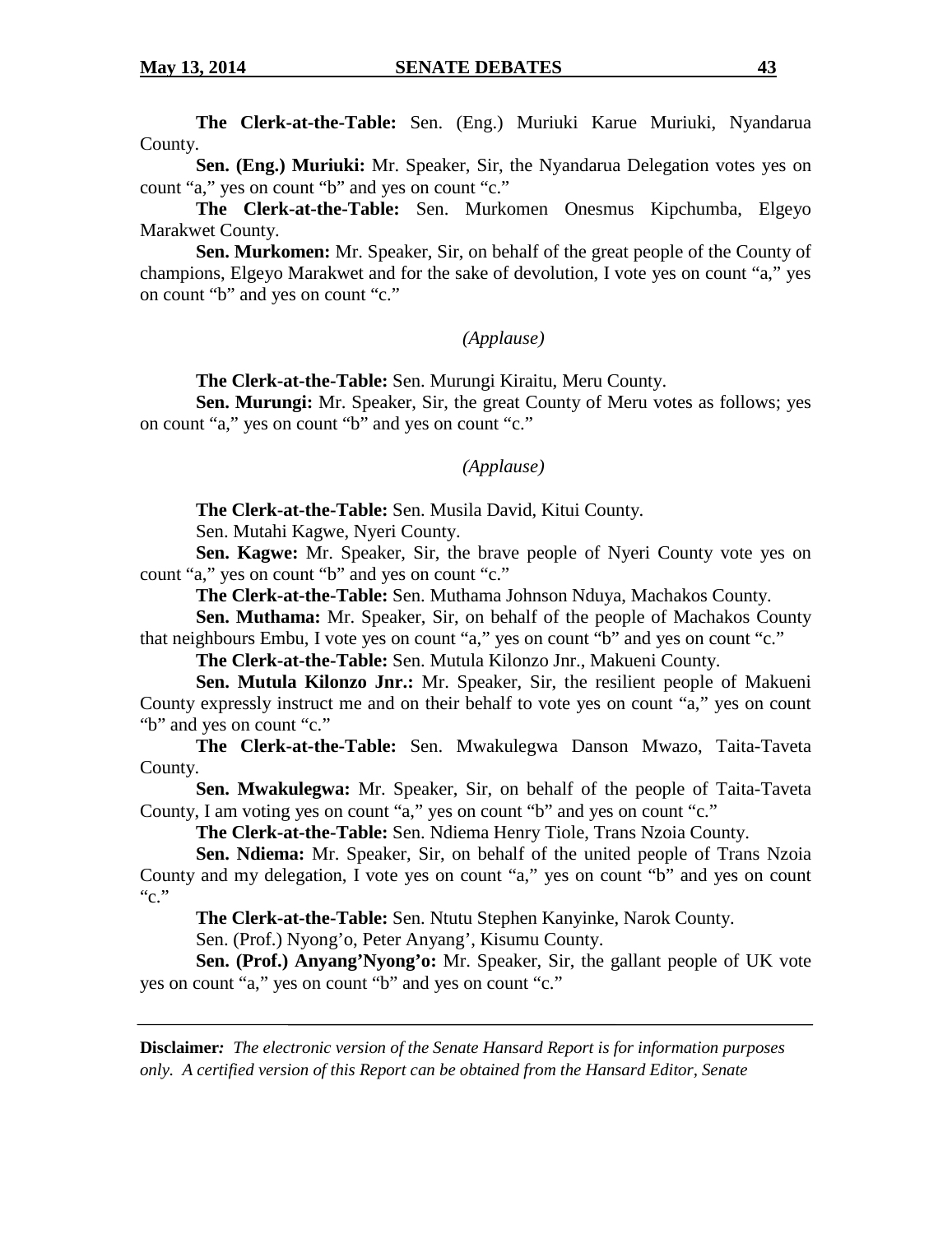**The Clerk-at-the-Table:** Sen. (Eng.) Muriuki Karue Muriuki, Nyandarua County.

**Sen. (Eng.) Muriuki:** Mr. Speaker, Sir, the Nyandarua Delegation votes yes on count "a," yes on count "b" and yes on count "c."

**The Clerk-at-the-Table:** Sen. Murkomen Onesmus Kipchumba, Elgeyo Marakwet County.

**Sen. Murkomen:** Mr. Speaker, Sir, on behalf of the great people of the County of champions, Elgeyo Marakwet and for the sake of devolution, I vote yes on count "a," yes on count "b" and yes on count "c."

#### *(Applause)*

**The Clerk-at-the-Table:** Sen. Murungi Kiraitu, Meru County.

**Sen. Murungi:** Mr. Speaker, Sir, the great County of Meru votes as follows; yes on count "a," yes on count "b" and yes on count "c."

#### *(Applause)*

**The Clerk-at-the-Table:** Sen. Musila David, Kitui County.

Sen. Mutahi Kagwe, Nyeri County.

**Sen. Kagwe:** Mr. Speaker, Sir, the brave people of Nyeri County vote yes on count "a," yes on count "b" and yes on count "c."

**The Clerk-at-the-Table:** Sen. Muthama Johnson Nduya, Machakos County.

**Sen. Muthama:** Mr. Speaker, Sir, on behalf of the people of Machakos County that neighbours Embu, I vote yes on count "a," yes on count "b" and yes on count "c."

**The Clerk-at-the-Table:** Sen. Mutula Kilonzo Jnr., Makueni County.

**Sen. Mutula Kilonzo Jnr.:** Mr. Speaker, Sir, the resilient people of Makueni County expressly instruct me and on their behalf to vote yes on count "a," yes on count "b" and yes on count "c."

**The Clerk-at-the-Table:** Sen. Mwakulegwa Danson Mwazo, Taita-Taveta County.

**Sen. Mwakulegwa:** Mr. Speaker, Sir, on behalf of the people of Taita-Taveta County, I am voting yes on count "a," yes on count "b" and yes on count "c."

**The Clerk-at-the-Table:** Sen. Ndiema Henry Tiole, Trans Nzoia County.

**Sen. Ndiema:** Mr. Speaker, Sir, on behalf of the united people of Trans Nzoia County and my delegation, I vote yes on count "a," yes on count "b" and yes on count  $C.$ "

**The Clerk-at-the-Table:** Sen. Ntutu Stephen Kanyinke, Narok County.

Sen. (Prof.) Nyong'o, Peter Anyang', Kisumu County.

**Sen. (Prof.) Anyang'Nyong'o:** Mr. Speaker, Sir, the gallant people of UK vote yes on count "a," yes on count "b" and yes on count "c."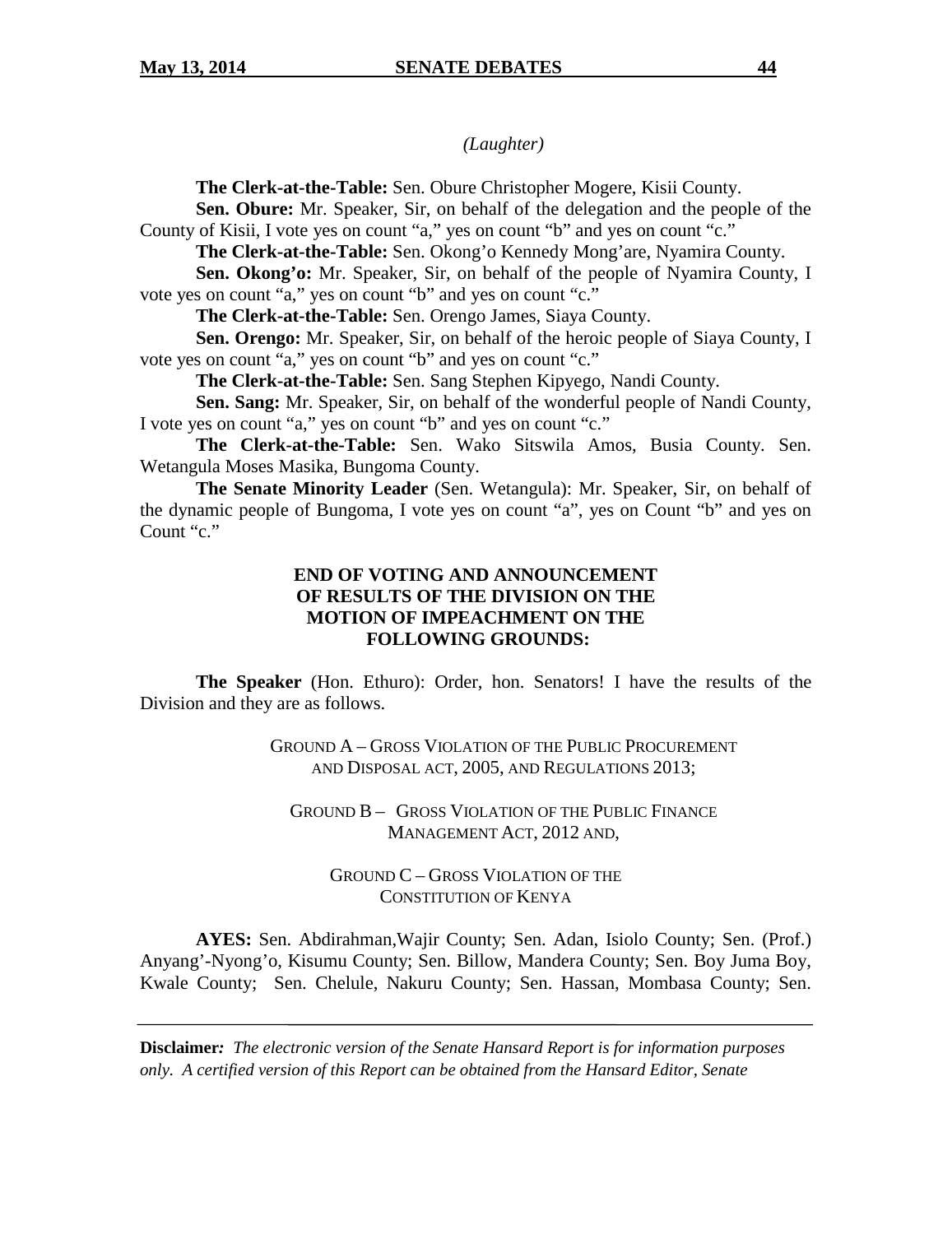*(Laughter)*

**The Clerk-at-the-Table:** Sen. Obure Christopher Mogere, Kisii County.

**Sen. Obure:** Mr. Speaker, Sir, on behalf of the delegation and the people of the County of Kisii, I vote yes on count "a," yes on count "b" and yes on count "c."

**The Clerk-at-the-Table:** Sen. Okong'o Kennedy Mong'are, Nyamira County.

**Sen. Okong'o:** Mr. Speaker, Sir, on behalf of the people of Nyamira County, I vote yes on count "a," yes on count "b" and yes on count "c."

**The Clerk-at-the-Table:** Sen. Orengo James, Siaya County.

**Sen. Orengo:** Mr. Speaker, Sir, on behalf of the heroic people of Siaya County, I vote yes on count "a," yes on count "b" and yes on count "c."

**The Clerk-at-the-Table:** Sen. Sang Stephen Kipyego, Nandi County.

**Sen. Sang:** Mr. Speaker, Sir, on behalf of the wonderful people of Nandi County, I vote yes on count "a," yes on count "b" and yes on count "c."

**The Clerk-at-the-Table:** Sen. Wako Sitswila Amos, Busia County. Sen. Wetangula Moses Masika, Bungoma County.

**The Senate Minority Leader** (Sen. Wetangula): Mr. Speaker, Sir, on behalf of the dynamic people of Bungoma, I vote yes on count "a", yes on Count "b" and yes on Count "c."

# **END OF VOTING AND ANNOUNCEMENT OF RESULTS OF THE DIVISION ON THE MOTION OF IMPEACHMENT ON THE FOLLOWING GROUNDS:**

**The Speaker** (Hon. Ethuro): Order, hon. Senators! I have the results of the Division and they are as follows.

> GROUND A – GROSS VIOLATION OF THE PUBLIC PROCUREMENT AND DISPOSAL ACT, 2005, AND REGULATIONS 2013;

GROUND B – GROSS VIOLATION OF THE PUBLIC FINANCE MANAGEMENT ACT, 2012 AND,

GROUND C – GROSS VIOLATION OF THE CONSTITUTION OF KENYA

**AYES:** Sen. Abdirahman,Wajir County; Sen. Adan, Isiolo County; Sen. (Prof.) Anyang'-Nyong'o, Kisumu County; Sen. Billow, Mandera County; Sen. Boy Juma Boy, Kwale County; Sen. Chelule, Nakuru County; Sen. Hassan, Mombasa County; Sen.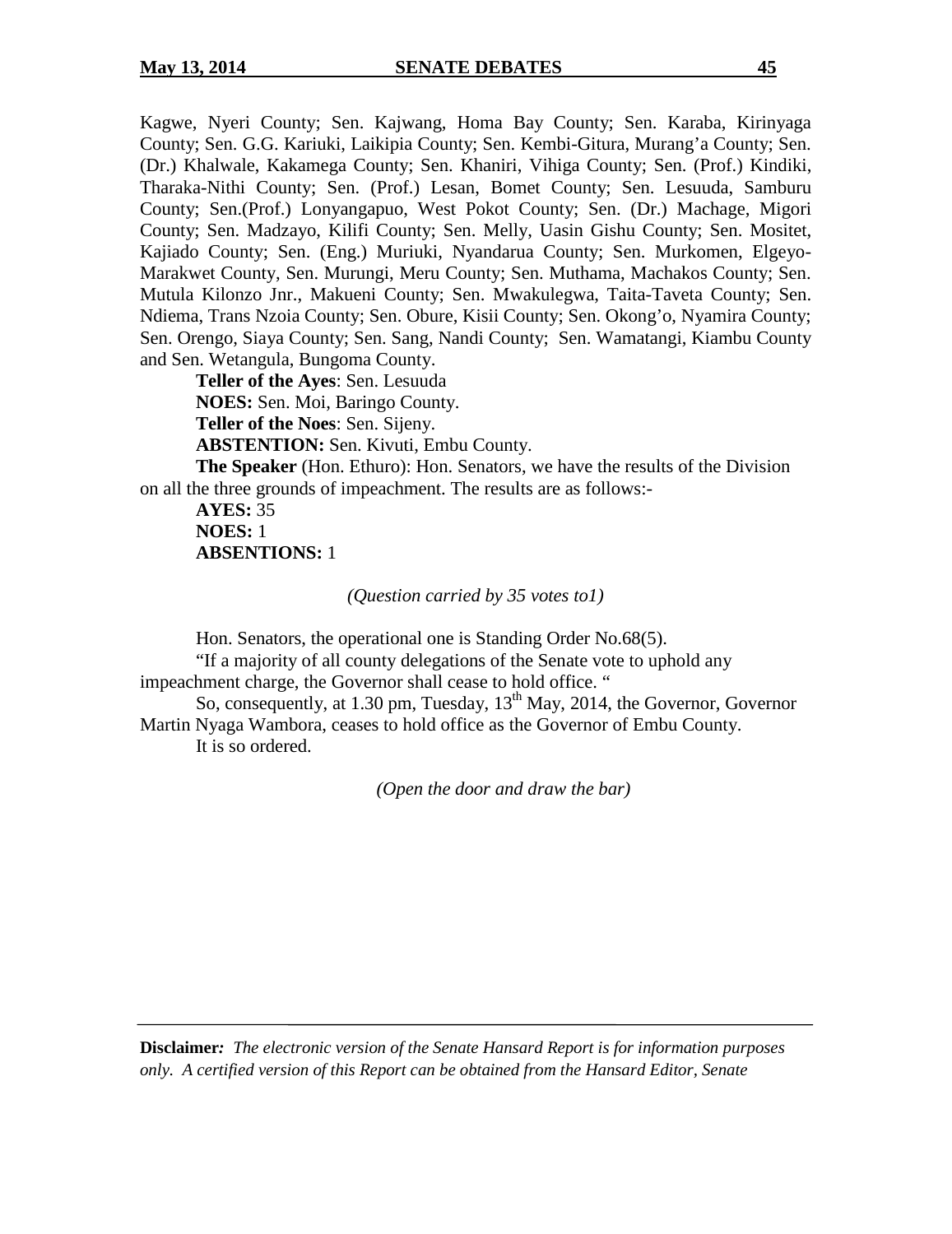Kagwe, Nyeri County; Sen. Kajwang, Homa Bay County; Sen. Karaba, Kirinyaga County; Sen. G.G. Kariuki, Laikipia County; Sen. Kembi-Gitura, Murang'a County; Sen. (Dr.) Khalwale, Kakamega County; Sen. Khaniri, Vihiga County; Sen. (Prof.) Kindiki, Tharaka-Nithi County; Sen. (Prof.) Lesan, Bomet County; Sen. Lesuuda, Samburu County; Sen.(Prof.) Lonyangapuo, West Pokot County; Sen. (Dr.) Machage, Migori County; Sen. Madzayo, Kilifi County; Sen. Melly, Uasin Gishu County; Sen. Mositet, Kajiado County; Sen. (Eng.) Muriuki, Nyandarua County; Sen. Murkomen, Elgeyo-Marakwet County, Sen. Murungi, Meru County; Sen. Muthama, Machakos County; Sen. Mutula Kilonzo Jnr., Makueni County; Sen. Mwakulegwa, Taita-Taveta County; Sen. Ndiema, Trans Nzoia County; Sen. Obure, Kisii County; Sen. Okong'o, Nyamira County; Sen. Orengo, Siaya County; Sen. Sang, Nandi County; Sen. Wamatangi, Kiambu County and Sen. Wetangula, Bungoma County.

**Teller of the Ayes**: Sen. Lesuuda **NOES:** Sen. Moi, Baringo County.

**Teller of the Noes**: Sen. Sijeny.

**ABSTENTION:** Sen. Kivuti, Embu County.

**The Speaker** (Hon. Ethuro): Hon. Senators, we have the results of the Division on all the three grounds of impeachment. The results are as follows:-

**AYES:** 35 **NOES:** 1 **ABSENTIONS:** 1

*(Question carried by 35 votes to1)*

Hon. Senators, the operational one is Standing Order No.68(5).

"If a majority of all county delegations of the Senate vote to uphold any impeachment charge, the Governor shall cease to hold office. "

So, consequently, at 1.30 pm, Tuesday,  $13<sup>th</sup>$  May, 2014, the Governor, Governor Martin Nyaga Wambora, ceases to hold office as the Governor of Embu County. It is so ordered.

*(Open the door and draw the bar)*